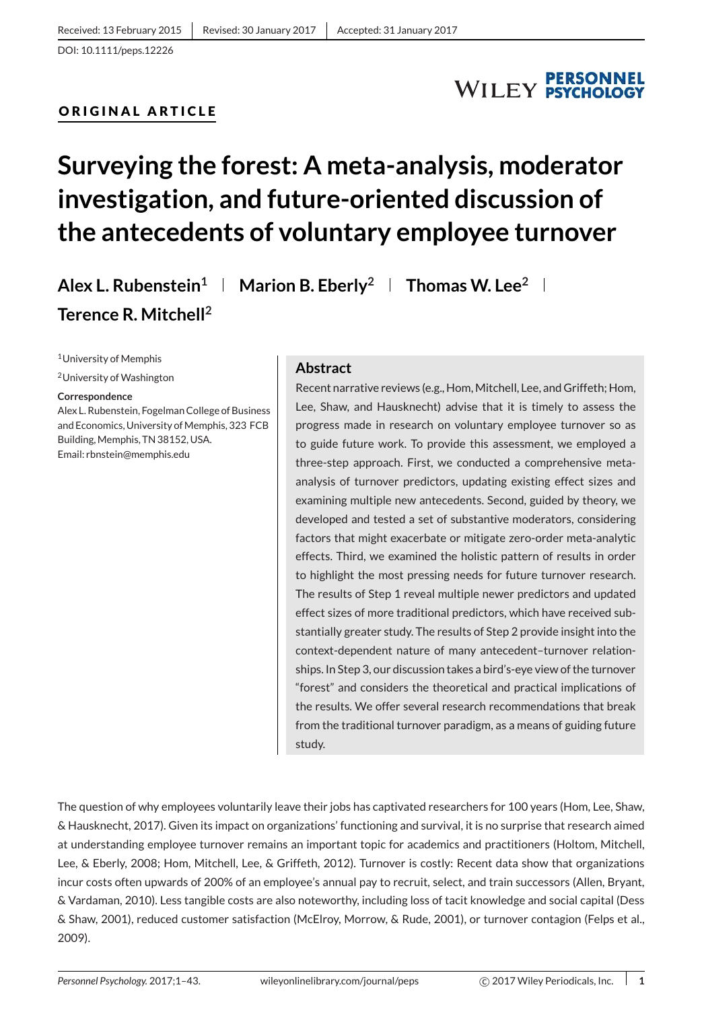#### **ORIGINAL ARTICLE**

### WILEY PERSONNEL

### **Surveying the forest: A meta-analysis, moderator investigation, and future-oriented discussion of the antecedents of voluntary employee turnover**

**Alex L. Rubenstein<sup>1</sup> | Marion B. Eberly<sup>2</sup> | Thomas W. Lee<sup>2</sup> | Terence R. Mitchell2**

1University of Memphis

2University of Washington

#### **Correspondence**

Alex L. Rubenstein, Fogelman College of Business and Economics, University of Memphis, 323 FCB Building, Memphis, TN 38152, USA. Email: rbnstein@memphis.edu

#### **Abstract**

Recent narrative reviews (e.g., Hom, Mitchell, Lee, and Griffeth; Hom, Lee, Shaw, and Hausknecht) advise that it is timely to assess the progress made in research on voluntary employee turnover so as to guide future work. To provide this assessment, we employed a three-step approach. First, we conducted a comprehensive metaanalysis of turnover predictors, updating existing effect sizes and examining multiple new antecedents. Second, guided by theory, we developed and tested a set of substantive moderators, considering factors that might exacerbate or mitigate zero-order meta-analytic effects. Third, we examined the holistic pattern of results in order to highlight the most pressing needs for future turnover research. The results of Step 1 reveal multiple newer predictors and updated effect sizes of more traditional predictors, which have received substantially greater study. The results of Step 2 provide insight into the context-dependent nature of many antecedent–turnover relationships. In Step 3, our discussion takes a bird's-eye view of the turnover "forest" and considers the theoretical and practical implications of the results. We offer several research recommendations that break from the traditional turnover paradigm, as a means of guiding future study.

The question of why employees voluntarily leave their jobs has captivated researchers for 100 years (Hom, Lee, Shaw, & Hausknecht, 2017). Given its impact on organizations' functioning and survival, it is no surprise that research aimed at understanding employee turnover remains an important topic for academics and practitioners (Holtom, Mitchell, Lee, & Eberly, 2008; Hom, Mitchell, Lee, & Griffeth, 2012). Turnover is costly: Recent data show that organizations incur costs often upwards of 200% of an employee's annual pay to recruit, select, and train successors (Allen, Bryant, & Vardaman, 2010). Less tangible costs are also noteworthy, including loss of tacit knowledge and social capital (Dess & Shaw, 2001), reduced customer satisfaction (McElroy, Morrow, & Rude, 2001), or turnover contagion (Felps et al., 2009).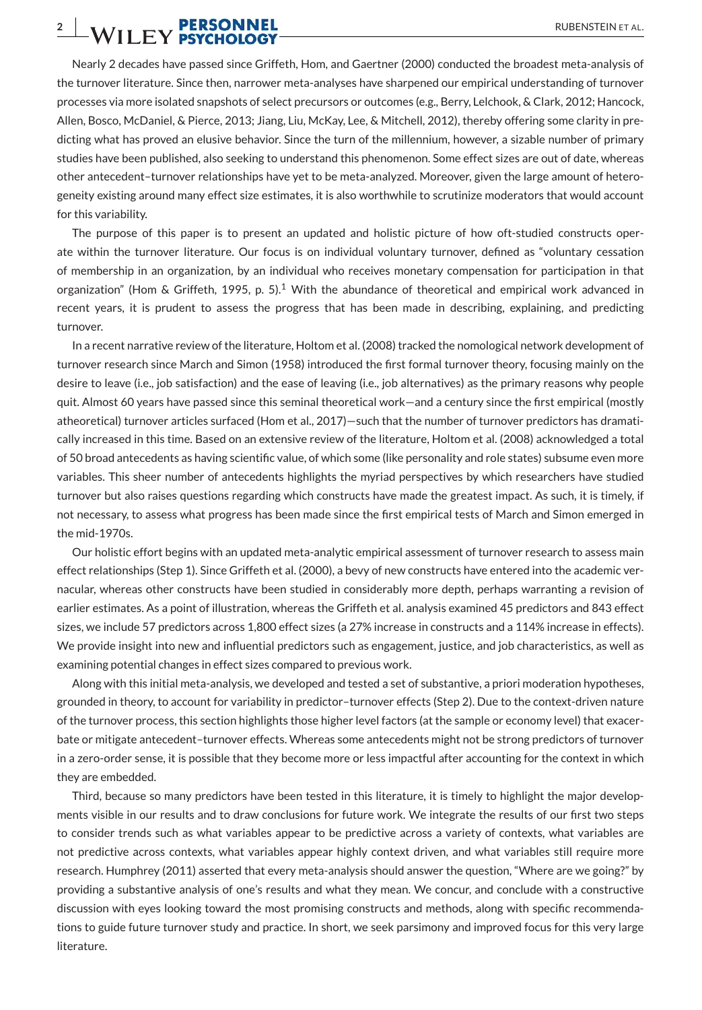### **2** WILEY **PERSONNEL** RUBENSTEIN ET AL.

Nearly 2 decades have passed since Griffeth, Hom, and Gaertner (2000) conducted the broadest meta-analysis of the turnover literature. Since then, narrower meta-analyses have sharpened our empirical understanding of turnover processes via more isolated snapshots of select precursors or outcomes (e.g., Berry, Lelchook, & Clark, 2012; Hancock, Allen, Bosco, McDaniel, & Pierce, 2013; Jiang, Liu, McKay, Lee, & Mitchell, 2012), thereby offering some clarity in predicting what has proved an elusive behavior. Since the turn of the millennium, however, a sizable number of primary studies have been published, also seeking to understand this phenomenon. Some effect sizes are out of date, whereas other antecedent–turnover relationships have yet to be meta-analyzed. Moreover, given the large amount of heterogeneity existing around many effect size estimates, it is also worthwhile to scrutinize moderators that would account for this variability.

The purpose of this paper is to present an updated and holistic picture of how oft-studied constructs operate within the turnover literature. Our focus is on individual voluntary turnover, defined as "voluntary cessation of membership in an organization, by an individual who receives monetary compensation for participation in that organization" (Hom & Griffeth, 1995, p. 5).<sup>1</sup> With the abundance of theoretical and empirical work advanced in recent years, it is prudent to assess the progress that has been made in describing, explaining, and predicting turnover.

In a recent narrative review of the literature, Holtom et al. (2008) tracked the nomological network development of turnover research since March and Simon (1958) introduced the first formal turnover theory, focusing mainly on the desire to leave (i.e., job satisfaction) and the ease of leaving (i.e., job alternatives) as the primary reasons why people quit. Almost 60 years have passed since this seminal theoretical work—and a century since the first empirical (mostly atheoretical) turnover articles surfaced (Hom et al., 2017)—such that the number of turnover predictors has dramatically increased in this time. Based on an extensive review of the literature, Holtom et al. (2008) acknowledged a total of 50 broad antecedents as having scientific value, of which some (like personality and role states) subsume even more variables. This sheer number of antecedents highlights the myriad perspectives by which researchers have studied turnover but also raises questions regarding which constructs have made the greatest impact. As such, it is timely, if not necessary, to assess what progress has been made since the first empirical tests of March and Simon emerged in the mid-1970s.

Our holistic effort begins with an updated meta-analytic empirical assessment of turnover research to assess main effect relationships (Step 1). Since Griffeth et al. (2000), a bevy of new constructs have entered into the academic vernacular, whereas other constructs have been studied in considerably more depth, perhaps warranting a revision of earlier estimates. As a point of illustration, whereas the Griffeth et al. analysis examined 45 predictors and 843 effect sizes, we include 57 predictors across 1,800 effect sizes (a 27% increase in constructs and a 114% increase in effects). We provide insight into new and influential predictors such as engagement, justice, and job characteristics, as well as examining potential changes in effect sizes compared to previous work.

Along with this initial meta-analysis, we developed and tested a set of substantive, a priori moderation hypotheses, grounded in theory, to account for variability in predictor–turnover effects (Step 2). Due to the context-driven nature of the turnover process, this section highlights those higher level factors (at the sample or economy level) that exacerbate or mitigate antecedent–turnover effects. Whereas some antecedents might not be strong predictors of turnover in a zero-order sense, it is possible that they become more or less impactful after accounting for the context in which they are embedded.

Third, because so many predictors have been tested in this literature, it is timely to highlight the major developments visible in our results and to draw conclusions for future work. We integrate the results of our first two steps to consider trends such as what variables appear to be predictive across a variety of contexts, what variables are not predictive across contexts, what variables appear highly context driven, and what variables still require more research. Humphrey (2011) asserted that every meta-analysis should answer the question, "Where are we going?" by providing a substantive analysis of one's results and what they mean. We concur, and conclude with a constructive discussion with eyes looking toward the most promising constructs and methods, along with specific recommendations to guide future turnover study and practice. In short, we seek parsimony and improved focus for this very large literature.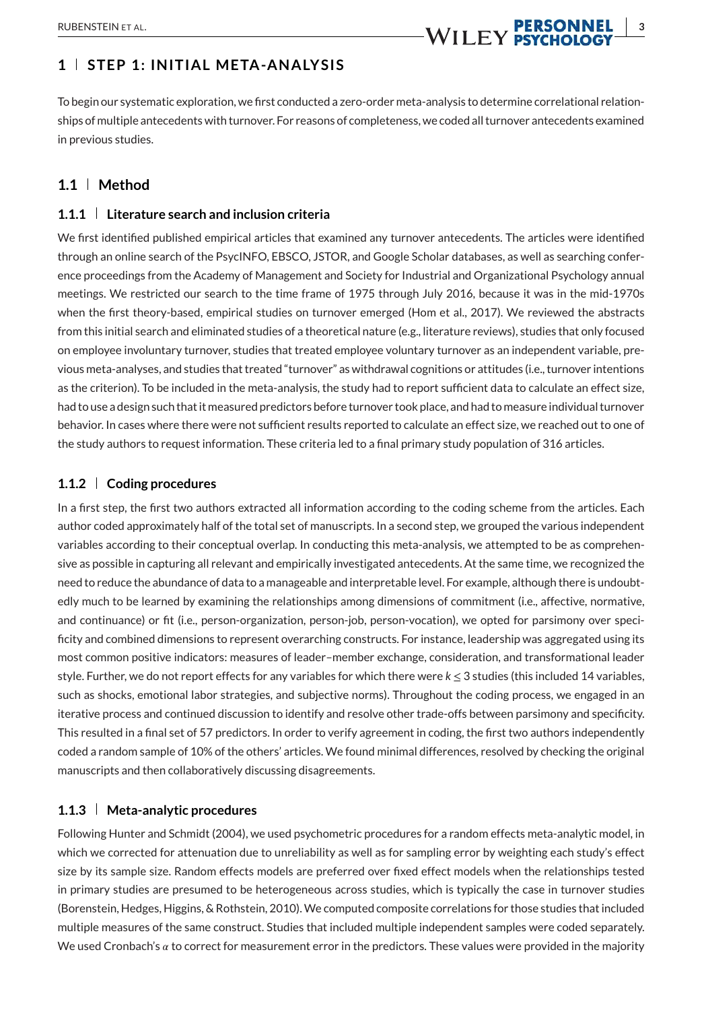#### **1 STEP 1: IN IT IAL META -ANALYS IS**

To begin our systematic exploration, we first conducted a zero-order meta-analysis to determine correlational relationships of multiple antecedents with turnover. For reasons of completeness, we coded all turnover antecedents examined in previous studies.

#### **1.1 Method**

#### **1.1.1 Literature search and inclusion criteria**

We first identified published empirical articles that examined any turnover antecedents. The articles were identified through an online search of the PsycINFO, EBSCO, JSTOR, and Google Scholar databases, as well as searching conference proceedings from the Academy of Management and Society for Industrial and Organizational Psychology annual meetings. We restricted our search to the time frame of 1975 through July 2016, because it was in the mid-1970s when the first theory-based, empirical studies on turnover emerged (Hom et al., 2017). We reviewed the abstracts from this initial search and eliminated studies of a theoretical nature (e.g., literature reviews), studies that only focused on employee involuntary turnover, studies that treated employee voluntary turnover as an independent variable, previous meta-analyses, and studies that treated "turnover" as withdrawal cognitions or attitudes (i.e., turnover intentions as the criterion). To be included in the meta-analysis, the study had to report sufficient data to calculate an effect size, had to use a design such that it measured predictors before turnover took place, and had to measure individual turnover behavior. In cases where there were not sufficient results reported to calculate an effect size, we reached out to one of the study authors to request information. These criteria led to a final primary study population of 316 articles.

#### **1.1.2 Coding procedures**

In a first step, the first two authors extracted all information according to the coding scheme from the articles. Each author coded approximately half of the total set of manuscripts. In a second step, we grouped the various independent variables according to their conceptual overlap. In conducting this meta-analysis, we attempted to be as comprehensive as possible in capturing all relevant and empirically investigated antecedents. At the same time, we recognized the need to reduce the abundance of data to a manageable and interpretable level. For example, although there is undoubtedly much to be learned by examining the relationships among dimensions of commitment (i.e., affective, normative, and continuance) or fit (i.e., person-organization, person-job, person-vocation), we opted for parsimony over specificity and combined dimensions to represent overarching constructs. For instance, leadership was aggregated using its most common positive indicators: measures of leader–member exchange, consideration, and transformational leader style. Further, we do not report effects for any variables for which there were *k* ≤ 3 studies (this included 14 variables, such as shocks, emotional labor strategies, and subjective norms). Throughout the coding process, we engaged in an iterative process and continued discussion to identify and resolve other trade-offs between parsimony and specificity. This resulted in a final set of 57 predictors. In order to verify agreement in coding, the first two authors independently coded a random sample of 10% of the others' articles. We found minimal differences, resolved by checking the original manuscripts and then collaboratively discussing disagreements.

#### **1.1.3 Meta-analytic procedures**

Following Hunter and Schmidt (2004), we used psychometric procedures for a random effects meta-analytic model, in which we corrected for attenuation due to unreliability as well as for sampling error by weighting each study's effect size by its sample size. Random effects models are preferred over fixed effect models when the relationships tested in primary studies are presumed to be heterogeneous across studies, which is typically the case in turnover studies (Borenstein, Hedges, Higgins, & Rothstein, 2010).We computed composite correlations for those studies that included multiple measures of the same construct. Studies that included multiple independent samples were coded separately. We used Cronbach's  $\alpha$  to correct for measurement error in the predictors. These values were provided in the majority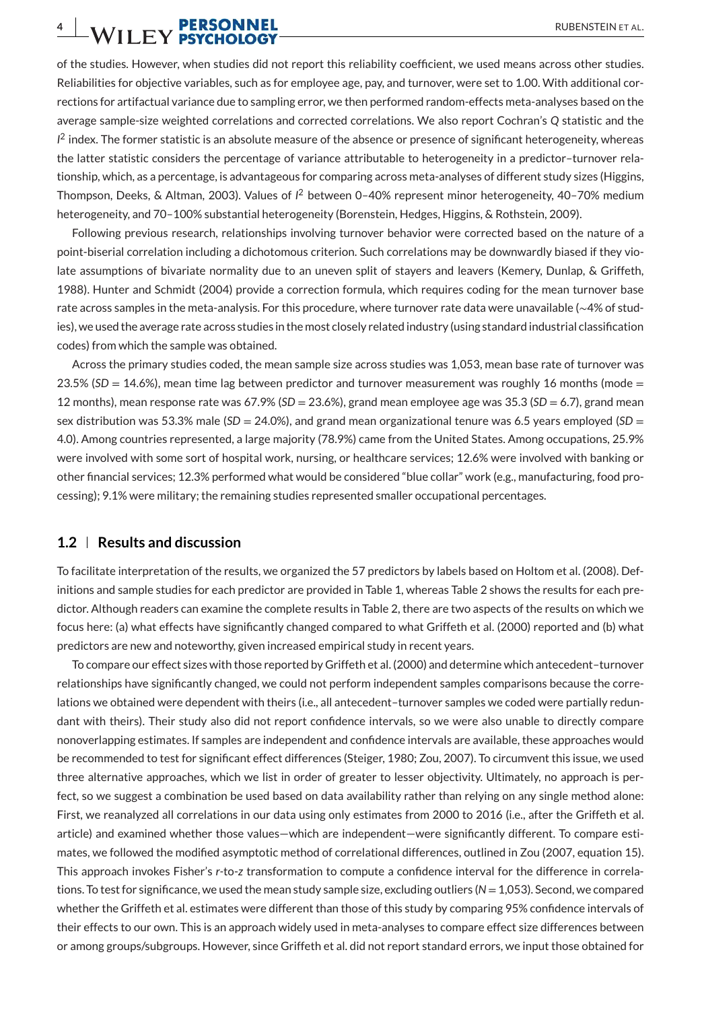# -WILEY PERSONNEL<br>Alley PSYCHOLOGY **All and State Contract Construct Contract Construct Construct Construct Construct AL.**

of the studies. However, when studies did not report this reliability coefficient, we used means across other studies. Reliabilities for objective variables, such as for employee age, pay, and turnover, were set to 1.00. With additional corrections for artifactual variance due to sampling error, we then performed random-effects meta-analyses based on the average sample-size weighted correlations and corrected correlations. We also report Cochran's *Q* statistic and the *I* <sup>2</sup> index. The former statistic is an absolute measure of the absence or presence of significant heterogeneity, whereas the latter statistic considers the percentage of variance attributable to heterogeneity in a predictor–turnover relationship, which, as a percentage, is advantageous for comparing across meta-analyses of different study sizes (Higgins, Thompson, Deeks, & Altman, 2003). Values of 1<sup>2</sup> between 0-40% represent minor heterogeneity, 40-70% medium heterogeneity, and 70–100% substantial heterogeneity (Borenstein, Hedges, Higgins, & Rothstein, 2009).

Following previous research, relationships involving turnover behavior were corrected based on the nature of a point-biserial correlation including a dichotomous criterion. Such correlations may be downwardly biased if they violate assumptions of bivariate normality due to an uneven split of stayers and leavers (Kemery, Dunlap, & Griffeth, 1988). Hunter and Schmidt (2004) provide a correction formula, which requires coding for the mean turnover base rate across samples in the meta-analysis. For this procedure, where turnover rate data were unavailable (∼4% of studies), we used the average rate across studies in the most closely related industry (using standard industrial classification codes) from which the sample was obtained.

Across the primary studies coded, the mean sample size across studies was 1,053, mean base rate of turnover was 23.5% (*SD* = 14.6%), mean time lag between predictor and turnover measurement was roughly 16 months (mode = 12 months), mean response rate was 67.9% (*SD* = 23.6%), grand mean employee age was 35.3 (*SD* = 6.7), grand mean sex distribution was 53.3% male (*SD* = 24.0%), and grand mean organizational tenure was 6.5 years employed (*SD* = 4.0). Among countries represented, a large majority (78.9%) came from the United States. Among occupations, 25.9% were involved with some sort of hospital work, nursing, or healthcare services; 12.6% were involved with banking or other financial services; 12.3% performed what would be considered "blue collar" work (e.g., manufacturing, food processing); 9.1% were military; the remaining studies represented smaller occupational percentages.

#### **1.2 Results and discussion**

To facilitate interpretation of the results, we organized the 57 predictors by labels based on Holtom et al. (2008). Definitions and sample studies for each predictor are provided in Table 1, whereas Table 2 shows the results for each predictor. Although readers can examine the complete results in Table 2, there are two aspects of the results on which we focus here: (a) what effects have significantly changed compared to what Griffeth et al. (2000) reported and (b) what predictors are new and noteworthy, given increased empirical study in recent years.

To compare our effect sizes with those reported by Griffeth et al. (2000) and determine which antecedent–turnover relationships have significantly changed, we could not perform independent samples comparisons because the correlations we obtained were dependent with theirs (i.e., all antecedent–turnover samples we coded were partially redundant with theirs). Their study also did not report confidence intervals, so we were also unable to directly compare nonoverlapping estimates. If samples are independent and confidence intervals are available, these approaches would be recommended to test for significant effect differences (Steiger, 1980; Zou, 2007). To circumvent this issue, we used three alternative approaches, which we list in order of greater to lesser objectivity. Ultimately, no approach is perfect, so we suggest a combination be used based on data availability rather than relying on any single method alone: First, we reanalyzed all correlations in our data using only estimates from 2000 to 2016 (i.e., after the Griffeth et al. article) and examined whether those values—which are independent—were significantly different. To compare estimates, we followed the modified asymptotic method of correlational differences, outlined in Zou (2007, equation 15). This approach invokes Fisher's *r-*to-*z* transformation to compute a confidence interval for the difference in correlations. To test for significance, we used the mean study sample size, excluding outliers (*N*=1,053). Second, we compared whether the Griffeth et al. estimates were different than those of this study by comparing 95% confidence intervals of their effects to our own. This is an approach widely used in meta-analyses to compare effect size differences between or among groups/subgroups. However, since Griffeth et al. did not report standard errors, we input those obtained for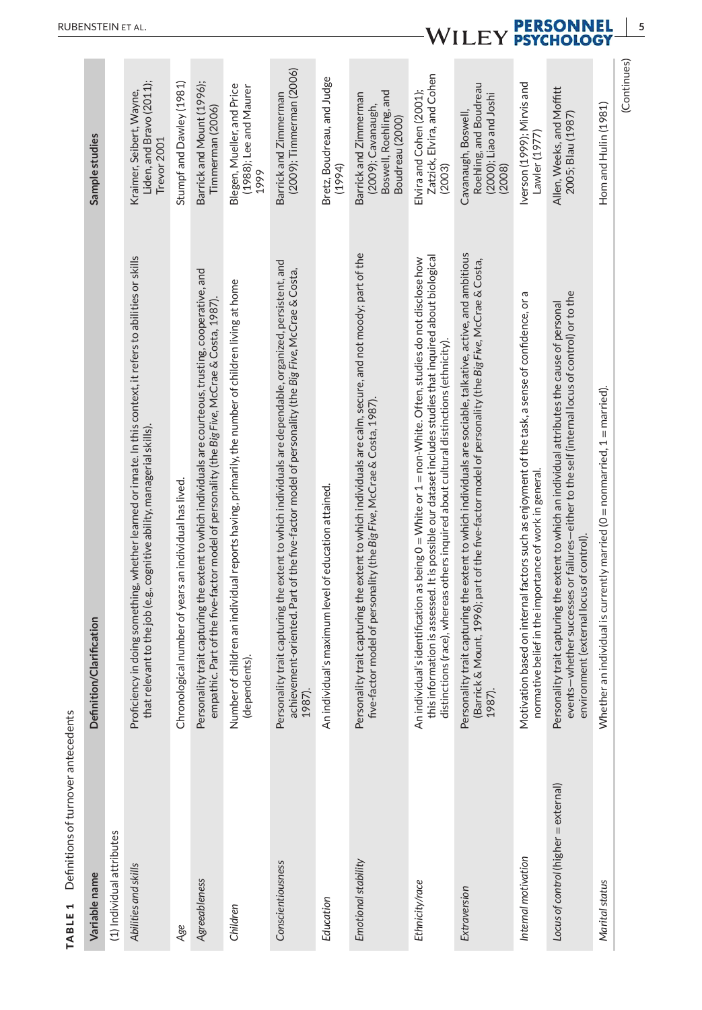| Variable name                        | Definition/Clarification                                                                                                                                                                                                                                                                                        | Sample studies                                                                           |
|--------------------------------------|-----------------------------------------------------------------------------------------------------------------------------------------------------------------------------------------------------------------------------------------------------------------------------------------------------------------|------------------------------------------------------------------------------------------|
| (1) Individual attributes            |                                                                                                                                                                                                                                                                                                                 |                                                                                          |
| Abilities and skills                 | Proficiency in doing something, whether learned or innate. In this context, it refers to abilities or skills<br>that relevant to the job (e.g., cognitive ability, managerial skills).                                                                                                                          | Liden, and Bravo (2011);<br>Kraimer, Seibert, Wayne,<br>Trevor 2001                      |
| Age                                  | Chronological number of years an individual has lived.                                                                                                                                                                                                                                                          | Stumpf and Dawley (1981)                                                                 |
| Agreeableness                        | Personality trait capturing the extent to which individuals are courteous, trusting, cooperative, and<br>empathic. Part of the five-factor model of personality (the Big Five, McCrae & Costa, 1987).                                                                                                           | Barrick and Mount (1996);<br>Timmerman (2006)                                            |
| Children                             | Number of children an individual reports having, primarily, the number of children living at home<br>(dependents).                                                                                                                                                                                              | Blegen, Mueller, and Price<br>(1988); Lee and Maurer<br>1999                             |
| Conscientiousness                    | Personality trait capturing the extent to which individuals are dependable, organized, persistent, and<br>achievement-oriented. Part of the five-factor model of personality (the Big Five, McCrae & Costa,<br>1987).                                                                                           | (2009); Timmerman (2006)<br>Barrick and Zimmerman                                        |
| Education                            | An individual's maximum level of education attained                                                                                                                                                                                                                                                             | Bretz, Boudreau, and Judge<br>(1994)                                                     |
| Emotional stability                  | Personality trait capturing the extent to which individuals are calm, secure, and not moody; part of the<br>five-factor model of personality (the Big Five, McCrae & Costa, 1987).                                                                                                                              | Boswell, Roehling, and<br>Barrick and Zimmerman<br>(2009); Cavanaugh,<br>Boudreau (2000) |
| Ethnicity/race                       | this information is assessed. It is possible our dataset includes studies that inquired about biological<br>distinctions (race), whereas others inquired about cultural distinctions (ethnicity).<br>An individual's identification as being $0 =$ White or $1 =$ non-White. Often, studies do not disclose how | Zatzick, Elvira, and Cohen<br>Elvira and Cohen (2001);<br>(2003)                         |
| Extraversion                         | Personality trait capturing the extent to which individuals are sociable, talkative, active, and ambitious<br>(Barrick & Mount, 1996); part of the five-factor model of personality (the Big Five, McCrae & Costa,<br>1987).                                                                                    | Roehling, and Boudreau<br>(2000); Liao and Joshi<br>Cavanaugh, Boswell,<br>(2008)        |
| Internal motivation                  | Б<br>Motivation based on internal factors such as enjoyment of the task, a sense of confidence, or<br>normative belief in the importance of work in general.                                                                                                                                                    | Iverson (1999); Mirvis and<br>Lawler (1977)                                              |
| Locus of control (higher = external) | events-whether successes or failures-either to the self (internal locus of control) or to the<br>Personality trait capturing the extent to which an individual attributes the cause of personal<br>environment (external locus of control)                                                                      | Allen, Weeks, and Moffitt<br>2005; Blau (1987)                                           |
| Marital status                       | Whether an individual is currently married ( $0$ = nonmarried, $1$ = married).                                                                                                                                                                                                                                  | Hom and Hulin (1981)                                                                     |
|                                      |                                                                                                                                                                                                                                                                                                                 |                                                                                          |

**TABLE 1** Definitions of turnover antecedents

TABLE 1 Definitions of turnover antecedents

#### -WILEY PERSONNEL<br>WILEY PSYCHOLOGY **5**

(Continues) (Continues)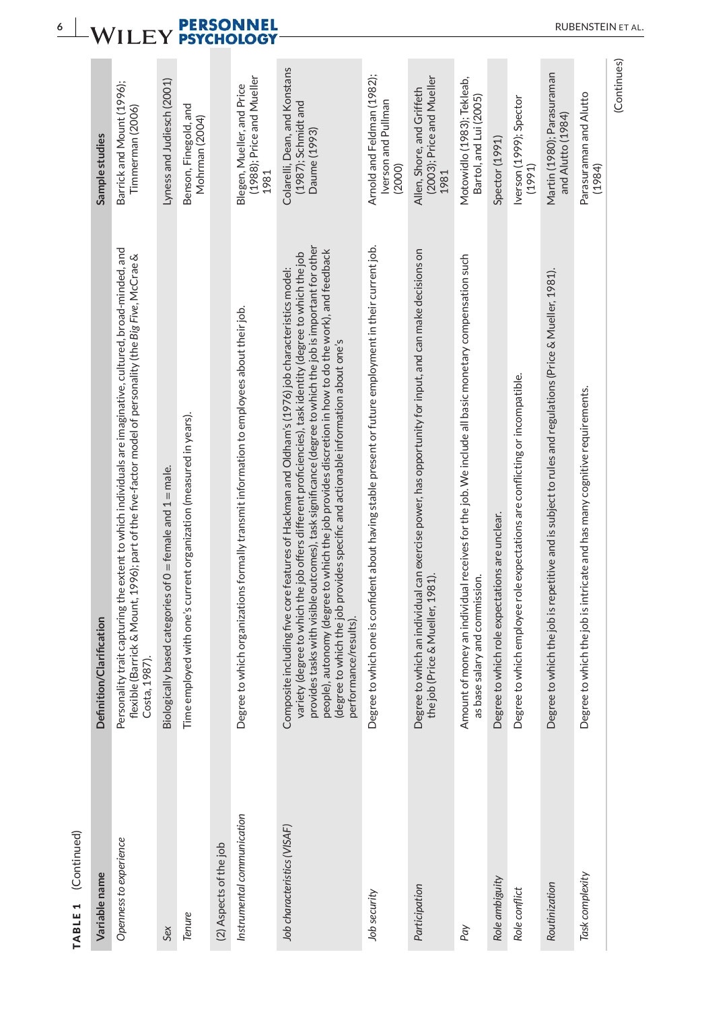| (Continued)<br>TABLE <sub>1</sub> |                                                                                                                                                                                                                                                                                                                                                                                                                                                                                                                                               |                                                                         |
|-----------------------------------|-----------------------------------------------------------------------------------------------------------------------------------------------------------------------------------------------------------------------------------------------------------------------------------------------------------------------------------------------------------------------------------------------------------------------------------------------------------------------------------------------------------------------------------------------|-------------------------------------------------------------------------|
| Variable name                     | Definition/Clarification                                                                                                                                                                                                                                                                                                                                                                                                                                                                                                                      | Sample studies                                                          |
| Openness to experience            | Personality trait capturing the extent to which individuals are imaginative, cultured, broad-minded, and<br>flexible (Barrick & Mount, 1996); part of the five-factor model of personality (the Big Five, McCrae &<br>Costa, 1987).                                                                                                                                                                                                                                                                                                           | Barrick and Mount (1996);<br>Timmerman (2006)                           |
| Sex                               | Biologically based categories of 0 = female and 1 = male.                                                                                                                                                                                                                                                                                                                                                                                                                                                                                     | Lyness and Judiesch (2001)                                              |
| Tenure                            | Time employed with one's current organization (measured in years).                                                                                                                                                                                                                                                                                                                                                                                                                                                                            | Benson, Finegold, and<br>Mohrman (2004)                                 |
| (2) Aspects of the job            |                                                                                                                                                                                                                                                                                                                                                                                                                                                                                                                                               |                                                                         |
| Instrumental communication        | Degree to which organizations formally transmit information to employees about their job. $\,$                                                                                                                                                                                                                                                                                                                                                                                                                                                | (1988); Price and Mueller<br>Blegen, Mueller, and Price<br>1981         |
| Job characteristics (VISAF)       | provides tasks with visible outcomes), task significance (degree to which the job is important for other<br>people), autonomy (degree to which the job provides discretion in how to do the work), and feedback<br>variety (degree to which the job offers different proficiencies), task identity (degree to which the job<br>Composite including five core features of Hackman and Oldham's (1976) job characteristics model:<br>(degree to which the job provides specific and actionable information about one's<br>performance/results). | Colarelli, Dean, and Konstans<br>$(1987)$ ; Schmidt and<br>Daume (1993) |
| Job security                      | Degree to which one is confident about having stable present or future employment in their current job.                                                                                                                                                                                                                                                                                                                                                                                                                                       | Arnold and Feldman (1982);<br>Iverson and Pullman<br>(2000)             |
| Participation                     | Degree to which an individual can exercise power, has opportunity for input, and can make decisions on<br>the job (Price & Mueller, 1981).                                                                                                                                                                                                                                                                                                                                                                                                    | (2003); Price and Mueller<br>Allen, Shore, and Griffeth<br>1981         |
| Pay                               | Amount of money an individual receives for the job. We include all basic monetary compensation such<br>as base salary and commission.                                                                                                                                                                                                                                                                                                                                                                                                         | Motowidlo (1983); Tekleab,<br>Bartol, and Lui (2005)                    |
| Role ambiguity                    | Degree to which role expectations are unclear.                                                                                                                                                                                                                                                                                                                                                                                                                                                                                                | Spector (1991)                                                          |
| Role conflict                     | Degree to which employee role expectations are conflicting or incompatible.                                                                                                                                                                                                                                                                                                                                                                                                                                                                   | Iverson (1999); Spector<br>(1991)                                       |
| Routinization                     | Degree to which the job is repetitive and is subject to rules and regulations (Price & Mueller, 1981).                                                                                                                                                                                                                                                                                                                                                                                                                                        | Martin (1980); Parasuraman<br>and Alutto (1984)                         |
| Task complexity                   | Degree to which the job is intricate and has many cognitive requirements.                                                                                                                                                                                                                                                                                                                                                                                                                                                                     | Parasuraman and Alutto<br>(1984)                                        |
|                                   |                                                                                                                                                                                                                                                                                                                                                                                                                                                                                                                                               | (Continues)                                                             |

### **6** UWILEY PERSONNEL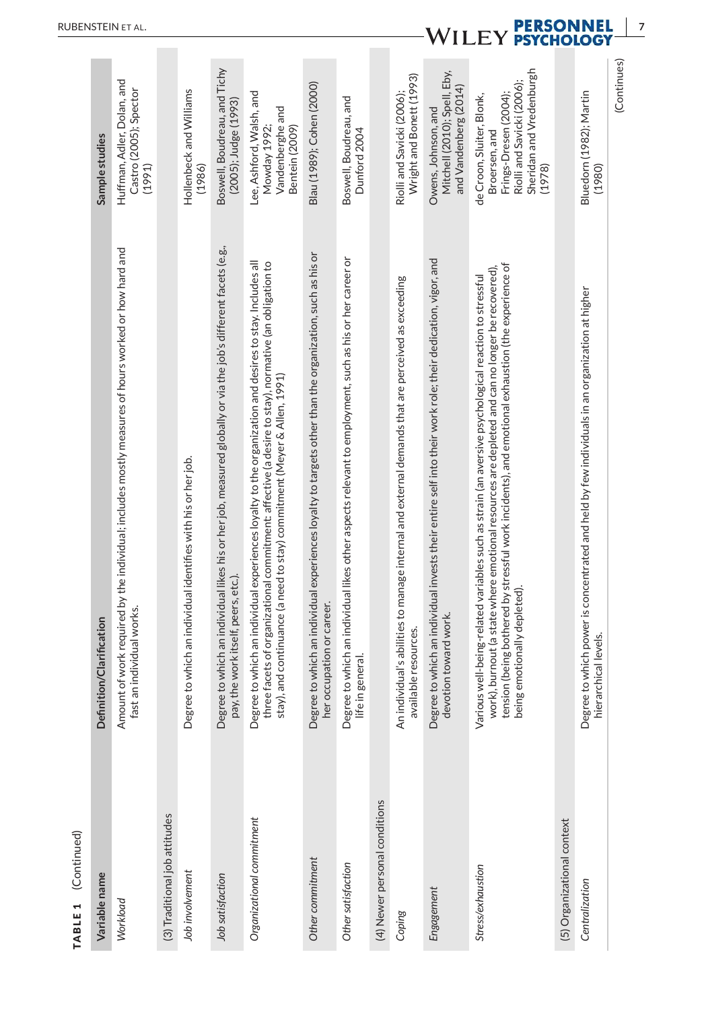| (Continued)<br><b>TABLE 1</b> |                                                                                                                                                                                                                                                                                                                                              |                                                                                                                                         |
|-------------------------------|----------------------------------------------------------------------------------------------------------------------------------------------------------------------------------------------------------------------------------------------------------------------------------------------------------------------------------------------|-----------------------------------------------------------------------------------------------------------------------------------------|
| Variable name                 | Definition/Clarification                                                                                                                                                                                                                                                                                                                     | Sample studies                                                                                                                          |
| Workload                      | Amount of work required by the individual; includes mostly measures of hours worked or how hard and<br>an individual works.<br>fast                                                                                                                                                                                                          | Huffman, Adler, Dolan, and<br>Castro (2005); Spector<br>(1991)                                                                          |
| (3) Traditional job attitudes |                                                                                                                                                                                                                                                                                                                                              |                                                                                                                                         |
| Job involvement               | Degree to which an individual identifies with his or her job.                                                                                                                                                                                                                                                                                | Hollenbeck and Williams<br>(1986)                                                                                                       |
| Job satisfaction              | Degree to which an individual likes his or her job, measured globally or via the job's different facets (e.g.,<br>the work itself, peers, etc.).<br>pay,                                                                                                                                                                                     | Boswell, Boudreau, and Tichy<br>(2005); Judge (1993)                                                                                    |
| Organizational commitment     | Degree to which an individual experiences loyalty to the organization and desires to stay. Includes all<br>three facets of organizational commitment: affective (a desire to stay), normative (an obligation to<br>stay), and continuance (a need to stay) commitment (Meyer & Allen, 1991)                                                  | Lee, Ashford, Walsh, and<br>Vandenberghe and<br>Mowday 1992;<br>Bentein (2009)                                                          |
| Other commitment              | Degree to which an individual experiences loyalty to targets other than the organization, such as his or<br>her occupation or career.                                                                                                                                                                                                        | Blau (1989); Cohen (2000)                                                                                                               |
| Other satisfaction            | Degree to which an individual likes other aspects relevant to employment, such as his or her career or<br>life in general.                                                                                                                                                                                                                   | Boswell, Boudreau, and<br>Dunford 2004                                                                                                  |
| (4) Newer personal conditions |                                                                                                                                                                                                                                                                                                                                              |                                                                                                                                         |
| Coping                        | An individual's abilities to manage internal and external demands that are perceived as exceeding<br>available resources.                                                                                                                                                                                                                    | Wright and Bonett (1993)<br>Riolli and Savicki (2006)                                                                                   |
| Engagement                    | Degree to which an individual invests their entire self into their work role; their dedication, vigor, and<br>devotion toward work.                                                                                                                                                                                                          | Mitchell (2010); Spell, Eby,<br>and Vandenberg (2014)<br>Owens, Johnson, and                                                            |
| Stress/exhaustion             | tension (being bothered by stressful work incidents), and emotional exhaustion (the experience of<br>work), burnout (a state where emotional resources are depleted and can no longer be recovered),<br>Various well-being-related variables such as strain (an aversive psychological reaction to stressful<br>being emotionally depleted). | Sheridan and Vredenburgh<br>Riolli and Savicki (2006);<br>Frings-Dresen (2004);<br>de Croon, Sluiter, Blonk,<br>Broersen, and<br>(1978) |
| (5) Organizational context    |                                                                                                                                                                                                                                                                                                                                              |                                                                                                                                         |
| Centralization                | Degree to which power is concentrated and held by few individuals in an organization at higher<br>hierarchical levels.                                                                                                                                                                                                                       | Bluedorn (1982); Martin<br>(1980)                                                                                                       |
|                               |                                                                                                                                                                                                                                                                                                                                              | (Continues)                                                                                                                             |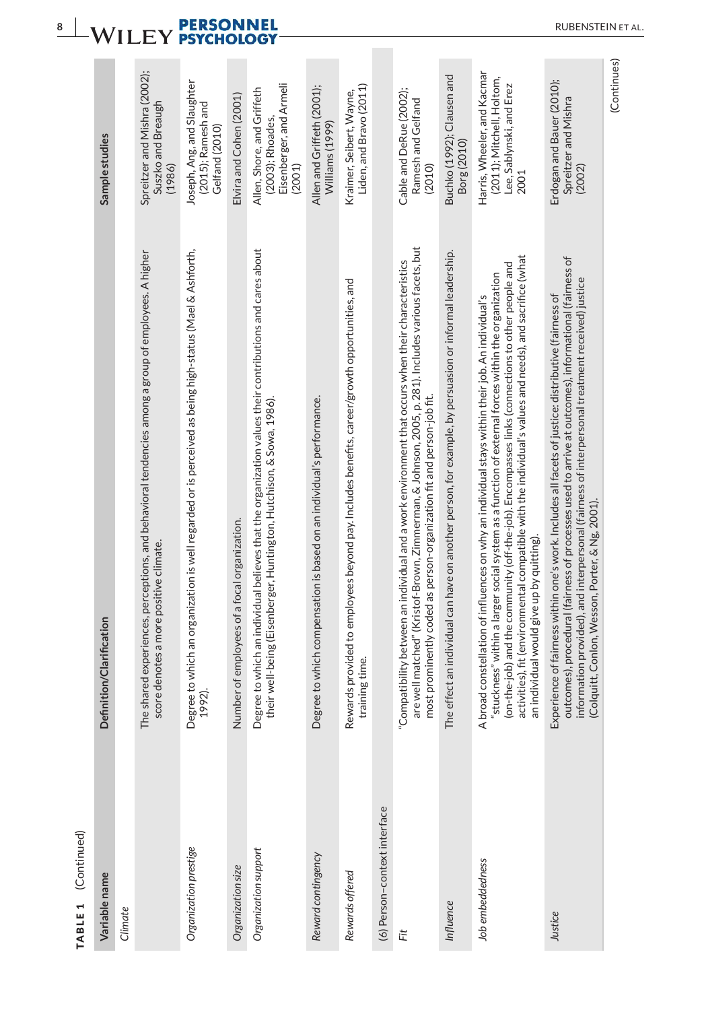| Variable name                | Definition/Clarification                                                                                                                                                                                                                                                                                                                                                                                                                                          | Sample studies                                                                               |
|------------------------------|-------------------------------------------------------------------------------------------------------------------------------------------------------------------------------------------------------------------------------------------------------------------------------------------------------------------------------------------------------------------------------------------------------------------------------------------------------------------|----------------------------------------------------------------------------------------------|
| Climate                      |                                                                                                                                                                                                                                                                                                                                                                                                                                                                   |                                                                                              |
|                              | The shared experiences, perceptions, and behavioral tendencies among a group of employees. A higher<br>score denotes a more positive climate.                                                                                                                                                                                                                                                                                                                     | Spreitzer and Mishra (2002);<br>Suszko and Breaugh<br>(1986)                                 |
| Organization prestige        | Degree to which an organization is well regarded or is perceived as being high-status (Mael & Ashforth,<br>1992).                                                                                                                                                                                                                                                                                                                                                 | Joseph, Ang, and Slaughter<br>(2015); Ramesh and<br>Gelfand (2010)                           |
| Organization size            | Number of employees of a focal organization.                                                                                                                                                                                                                                                                                                                                                                                                                      | Elvira and Cohen (2001)                                                                      |
| Organization support         | Degree to which an individual believes that the organization values their contributions and cares about<br>their well-being (Eisenberger, Huntington, Hutchison, & Sowa, 1986).                                                                                                                                                                                                                                                                                   | Eisenberger, and Armeli<br>Allen, Shore, and Griffeth<br>(2003); Rhoades,<br>(2001)          |
| Reward contingency           | Degree to which compensation is based on an individual's performance.                                                                                                                                                                                                                                                                                                                                                                                             | Allen and Griffeth (2001);<br>Williams (1999)                                                |
| Rewards offered              | Rewards provided to employees beyond pay. Includes benefits, career/growth opportunities, and<br>training time.                                                                                                                                                                                                                                                                                                                                                   | Liden, and Bravo (2011)<br>Kraimer, Seibert, Wayne,                                          |
| (6) Person-context interface |                                                                                                                                                                                                                                                                                                                                                                                                                                                                   |                                                                                              |
| Fit                          | are well matched" (Kristof-Brown, Zimmerman, & Johnson, 2005, p. 281). Includes various facets, but<br>"Compatibility between an individual and a work environment that occurs when their characteristics<br>most prominently coded as person-organization fit and person-job fit.                                                                                                                                                                                | Cable and DeRue (2002);<br>Ramesh and Gelfand<br>(2010)                                      |
| <b>Influence</b>             | The effect an individual can have on another person, for example, by persuasion or informal leadership. $\;$                                                                                                                                                                                                                                                                                                                                                      | Buchko (1992); Clausen and<br>Borg (2010)                                                    |
| Job embeddedness             | activities), fit (environmental compatible with the individual's values and needs), and sacrifice (what<br>(on-the-job) and the community (off-the-job). Encompasses links (connections to other people and<br>"stuckness" within a larger social system as a function of external forces within the organization<br>A broad constellation of influences on why an individual stays within their job. An individual's<br>an individual would give up by quitting) | Harris, Wheeler, and Kacmar<br>(2011); Mitchell, Holtom,<br>Lee, Sablynski, and Erez<br>2001 |
| Justice                      | outcomes), procedural (fairness of processes used to arrive at outcomes), informational (fairness of<br>information provided), and interpersonal (fairness of interpersonal treatment received) justice<br>Experience of fairness within one's work. Includes all facets of justice: distributive (fairness of<br>(Colquitt, Conlon, Wesson, Porter, & Ng, 2001).                                                                                                 | Erdogan and Bauer (2010);<br>Spreitzer and Mishra<br>(2002)                                  |
|                              |                                                                                                                                                                                                                                                                                                                                                                                                                                                                   | (Continues)                                                                                  |

### **8** WILEY PERSONNEL

**TABLE 1** (Continued)

TABLE 1 (Continued)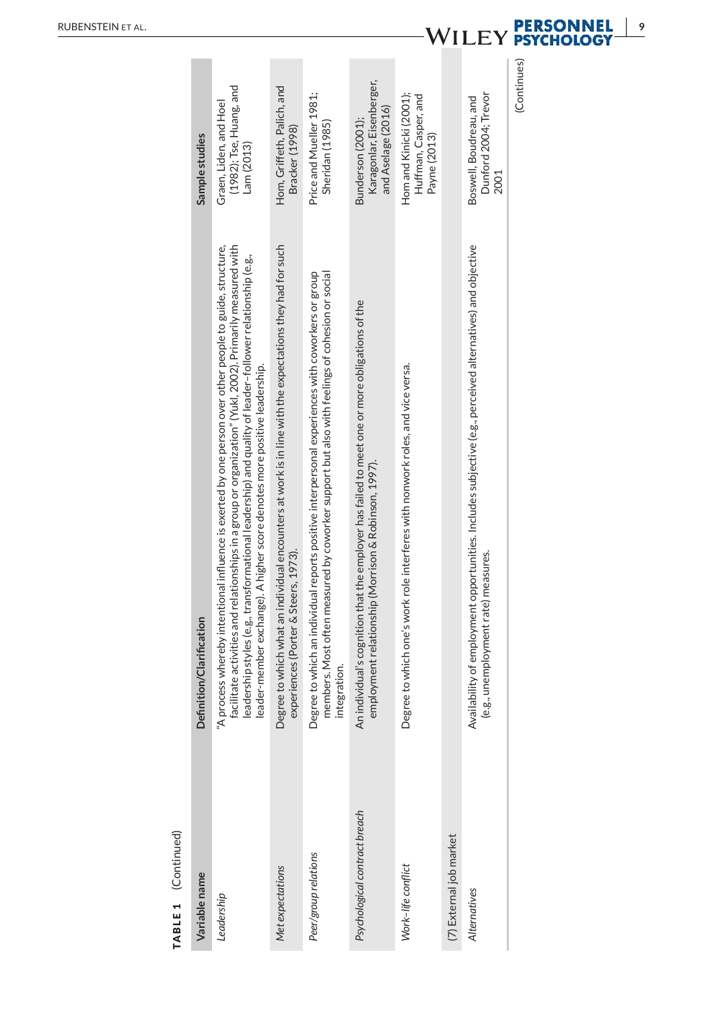| (Continued)<br>TABLE <sub>1</sub> |                                                                                                                                                                                                                                                                                                                                                                                                                |                                                                     |
|-----------------------------------|----------------------------------------------------------------------------------------------------------------------------------------------------------------------------------------------------------------------------------------------------------------------------------------------------------------------------------------------------------------------------------------------------------------|---------------------------------------------------------------------|
| Variable name                     | Definition/Clarification                                                                                                                                                                                                                                                                                                                                                                                       | Sample studies                                                      |
| Leadership                        | "A process whereby intentional influence is exerted by one person over other people to guide, structure,<br>facilitate activities and relationships in a group or organization" (Yukl, 2002). Primarily measured with<br>leadership styles (e.g., transformational leadership) and quality of leader-follower relationship (e.g.,<br>leader-member exchange). A higher score denotes more positive leadership. | (1982); Tse, Huang, and<br>Graen, Liden, and Hoel<br>Lam (2013)     |
| Met expectations                  | to which what an individual encounters at work is in line with the expectations they had for such<br>experiences (Porter & Steers, 1973).<br>Degree                                                                                                                                                                                                                                                            | Hom, Griffeth, Palich, and<br>Bracker (1998)                        |
| Peer/group relations              | members. Most often measured by coworker support but also with feelings of cohesion or social<br>Degree to which an individual reports positive interpersonal experiences with coworkers or group<br>integration.                                                                                                                                                                                              | Price and Mueller 1981;<br>Sheridan (1985)                          |
| Psychological contract breach     | An individual's cognition that the employer has failed to meet one or more obligations of the<br>employment relationship (Morrison & Robinson, 1997).                                                                                                                                                                                                                                                          | Karagonlar, Eisenberger,<br>and Aselage (2016)<br>Bunderson (2001); |
| Work-life conflict                | to which one's work role interferes with nonwork roles, and vice versa.<br>Degree                                                                                                                                                                                                                                                                                                                              | Hom and Kinicki (2001);<br>Huffman, Casper, and<br>Payne (2013)     |
| (7) External job market           |                                                                                                                                                                                                                                                                                                                                                                                                                |                                                                     |
| Alternatives                      | Availability of employment opportunities. Includes subjective (e.g., perceived alternatives) and objective<br>unemployment rate) measures.<br>(e.g.,                                                                                                                                                                                                                                                           | Dunford 2004; Trevor<br>Boswell, Boudreau, and<br>2001              |
|                                   |                                                                                                                                                                                                                                                                                                                                                                                                                | (Continues)                                                         |

#### RUBENSTEIN ET AL .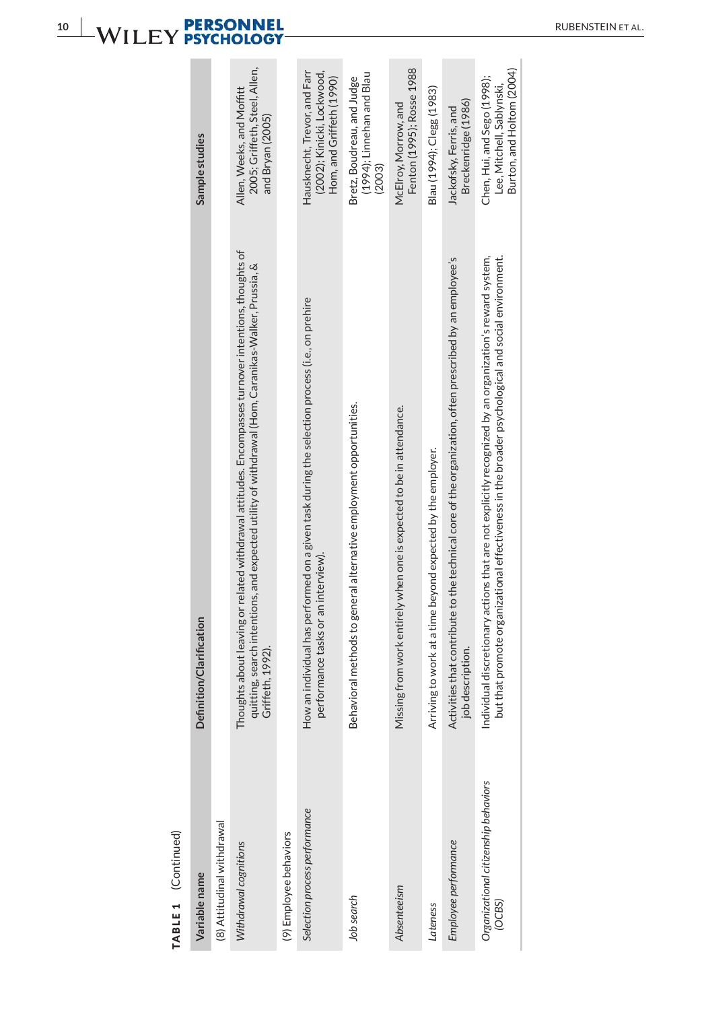| TABLE 1 (Continued)                            |                                                                                                                                                                                                                                |                                                                                        |
|------------------------------------------------|--------------------------------------------------------------------------------------------------------------------------------------------------------------------------------------------------------------------------------|----------------------------------------------------------------------------------------|
| Variable name                                  | Definition/Clarification                                                                                                                                                                                                       | Sample studies                                                                         |
| (8) Attitudinal withdrawal                     |                                                                                                                                                                                                                                |                                                                                        |
| Withdrawal cognitions                          | Thoughts about leaving or related withdrawal attitudes. Encompasses turnover intentions, thoughts of<br>quitting, search intentions, and expected utility of withdrawal (Hom, Caranikas-Walker, Prussia, &<br>Griffeth, 1992). | 2005; Griffeth, Steel, Allen,<br>Allen, Weeks, and Moffitt<br>and Bryan (2005)         |
| (9) Employee behaviors                         |                                                                                                                                                                                                                                |                                                                                        |
| Selection process performance                  | How an individual has performed on a given task during the selection process (i.e., on prehire<br>performance tasks or an interview).                                                                                          | Hausknecht, Trevor, and Farr<br>(2002); Kinicki, Lockwood,<br>Hom, and Griffeth (1990) |
| Job search                                     | Behavioral methods to general alternative employment opportunities.                                                                                                                                                            | (1994); Linnehan and Blau<br>Bretz, Boudreau, and Judge<br>(2003)                      |
| Absenteeism                                    | Missing from work entirely when one is expected to be in attendance.                                                                                                                                                           | Fenton (1995); Rosse 1988<br>McElroy, Morrow, and                                      |
| Lateness                                       | Arriving to work at a time beyond expected by the employer.                                                                                                                                                                    | Blau (1994); Clegg (1983)                                                              |
| Employee performance                           | Activities that contribute to the technical core of the organization, often prescribed by an employee's<br>job description.                                                                                                    | Breckenridge (1986)<br>Jackofsky, Ferris, and                                          |
| Organizational citizenship behaviors<br>(OCBS) | but that promote organizational effectiveness in the broader psychological and social environment.<br>Individual discretionary actions that are not explicitly recognized by an organization's reward system,                  | Burton, and Holtom (2004)<br>Chen, Hui, and Sego (1998);<br>Lee, Mitchell, Sablynski,  |
|                                                |                                                                                                                                                                                                                                |                                                                                        |

### **10** WILEY **PERSONNEL**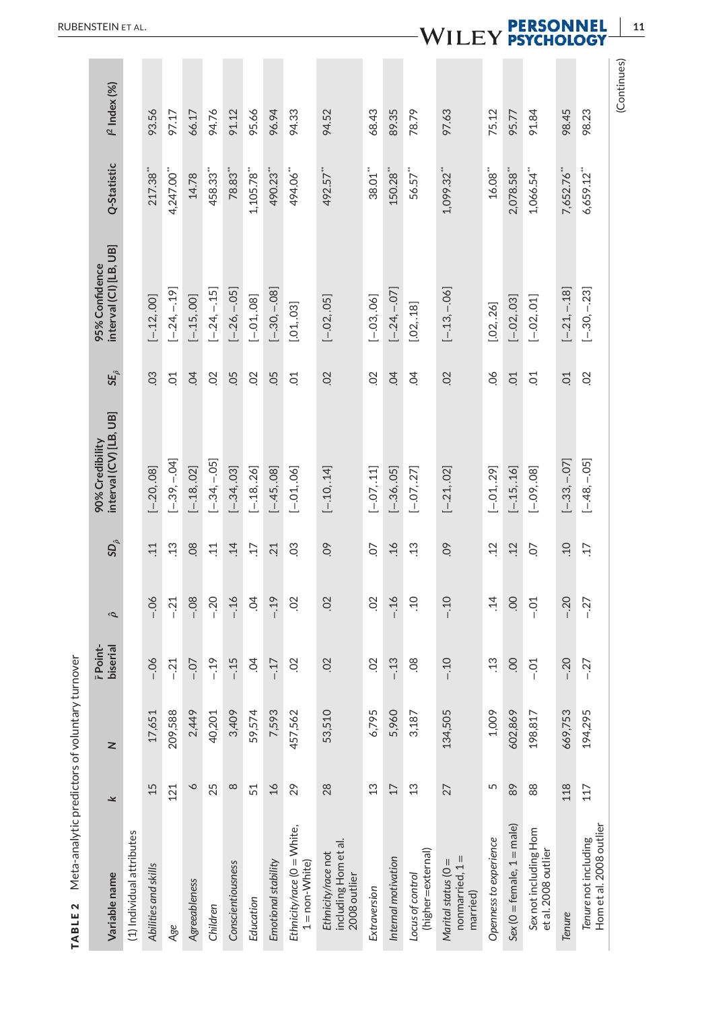| Meta-analytic predictors of voluntary turnover<br><b>TABLE 2</b> |                 |         |                     |                |                          |                                           |                          |                                          |                          |                |
|------------------------------------------------------------------|-----------------|---------|---------------------|----------------|--------------------------|-------------------------------------------|--------------------------|------------------------------------------|--------------------------|----------------|
| Variable name                                                    | ¥               | z       | FPoint-<br>biserial | $\hat{\rho}$   | $\text{SD}_{\hat{\rho}}$ | interval (CV) [LB, UB]<br>90% Credibility | $\mathsf{SE}_\hat{\rho}$ | interval (CI) [LB, UB]<br>95% Confidence | Q-Statistic              | $12$ Index (%) |
| (1) Individual attributes                                        |                 |         |                     |                |                          |                                           |                          |                                          |                          |                |
| Abilities and skills                                             | 15              | 17,651  | $-06$               | $-06$          | $\overline{11}$          | $[-.20, .08]$                             | <b>CO</b>                | $[-.12, .00]$                            | 217.38"                  | 93.56          |
| Age                                                              | 121             | 209,588 | $-21$               | $-21$          | $\ddot{c}$               | $[-39, -04]$                              | $\overline{C}$           | $[-24, -19]$                             | 4,247.00**               | 97.17          |
| Agreeableness                                                    | $\circ$         | 2,449   | $-0.07$             | $-0.8$         | 08                       | $[-.18, .02]$                             | $\overline{5}$           | $[-.15, .00]$                            | 14.78                    | 66.17          |
| Children                                                         | 25              | 40,201  | $-19$               | $-20$          | $\Xi$                    | $[-.34, -.05]$                            | $\Omega$                 | $[-.24, -.15]$                           | 458.33**                 | 94.76          |
| Conscientiousness                                                | $\infty$        | 3,409   | $-15$               | $-16$          | 14                       | $[-.34, .03]$                             | 05                       | $[-26, -05]$                             | 78.83**                  | 91.12          |
| Education                                                        | 51              | 59,574  | $\overline{6}$      | $\overline{5}$ | Ë.                       | $[-.18, .26]$                             | S.                       | $[-01, 08]$                              | 1,105.78"                | 95.66          |
| Emotional stability                                              | $\overline{26}$ | 7,593   | $-17$               | $-.19$         | 21                       | $[-.45, .08]$                             | G5                       | $[-30, -08]$                             | 490.23**                 | 96.94          |
| Ethnicity/race (0 = White,<br>$1 = non-White)$                   | 29              | 457,562 | $\overline{O}$      | S.             | S.                       | $[-01, 06]$                               | S.                       | [.01, .03]                               | 494.06"                  | 94.33          |
| including Hom et al.<br>Ethnicity/race not<br>2008 outlier       | 28              | 53,510  | 02                  | 02             | S.                       | $[-.10, .14]$                             | $\overline{0}$           | $[-0.02, 0.05]$                          | 492.57**                 | 94.52          |
| Extraversion                                                     | $\mathfrak{D}$  | 6,795   | $\Omega$            | $\overline{0}$ | ρÖ                       | $[-.07, .11]$                             | S.                       | $[-03, 06]$                              | $38.01$ <sup>**</sup>    | 68.43          |
| Internal motivation                                              | 17              | 5,960   | $-13$               | $-16$          | $-16$                    | $[-.36, .05]$                             | S.                       | $[-.24, -.07]$                           | $150.28$ <sup>**</sup>   | 89.35          |
| (higher=external)<br>Locus of control                            | $\frac{3}{2}$   | 3,187   | $\overline{0}$      | $\overline{a}$ | $\frac{3}{2}$            | $[-07, 27]$                               | S.                       | [.02, .18]                               | 56.57"                   | 78.79          |
| $normalried, 1 =$<br>Ш<br>Marital status (O<br>married)          | 27              | 134,505 | $-10$               | $-10$          | SO.                      | $[-.21, .02]$                             | $\overline{0}$           | $[-.13, -.06]$                           | $1,099.32$ <sup>**</sup> | 97.63          |
| Openness to experience                                           | 5               | 1,009   | 13                  | 14             | $\overline{12}$          | $[-.01, .29]$                             | 60                       | [.02, .26]                               | $16.08**$                | 75.12          |
| $Sex (O = female, 1 = male)$                                     | 89              | 602,869 | OO.                 | OO.            | 12                       | $[-.15, .16]$                             | $\overline{C}$           | $[-.02, .03]$                            | 2,078.58*                | 95.77          |
| Sex not including Hom<br>et al. 2008 outlier                     | 88              | 198,817 | $-0.1$              | $-0.1$         | ρÖ                       | $[-.09, .08]$                             | S.                       | $[-0.2, 0.01]$                           | 1,066.54"                | 91.84          |
| Tenure                                                           | 118             | 669,753 | $-20$               | $-20$          | 10                       | $[-.33, -.07]$                            | 5.                       | $[-.21, -.18]$                           | 7,652.76"                | 98.45          |
| Hom et al. 2008 outlier<br>Tenure not including                  | 117             | 194,295 | $-27$               | $-27$          | Ë.                       | $[-48, -05]$                              | S.                       | $[-30, -23]$                             | $6,659.12$ <sup>**</sup> | 98.23          |
|                                                                  |                 |         |                     |                |                          |                                           |                          |                                          |                          | (Continues)    |

RUBENSTEIN ET AL

**WILEY PERSONNEL** | 11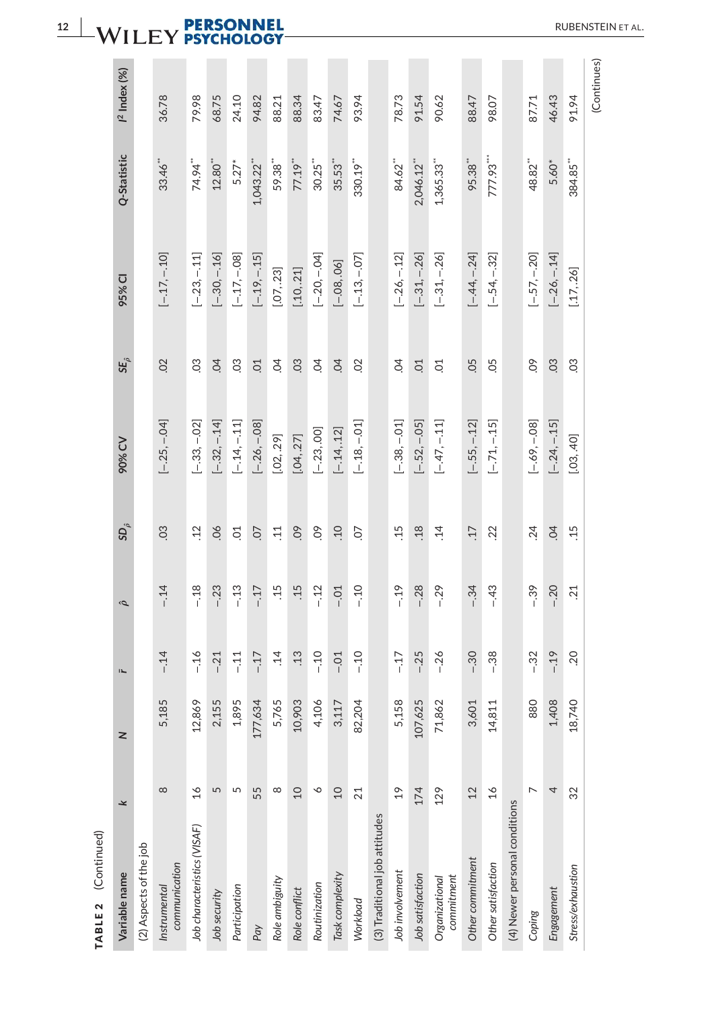| c |  |
|---|--|
| ٦ |  |
| ¢ |  |

| (Continued)<br><b>TABLE 2</b>        |                       |         |         |              |                          |                |                          |                |                          |                |
|--------------------------------------|-----------------------|---------|---------|--------------|--------------------------|----------------|--------------------------|----------------|--------------------------|----------------|
| Variable name                        | ¥                     | z       | ıL,     | $\hat{\rho}$ | $\mathsf{SD}_\hat{\rho}$ | 90% CV         | $\mathsf{SE}_\hat{\rho}$ | 95% CI         | Q-Statistic              | $l2$ Index (%) |
| (2) Aspects of the job               |                       |         |         |              |                          |                |                          |                |                          |                |
| communication<br><b>Instrumental</b> | $\infty$              | 5,185   | $-14$   | $-14$        | 03                       | $[-.25, -.04]$ | 02                       | $[-.17, -.10]$ | $33.46$ **               | 36.78          |
| Job characteristics (VISAF)          | $\frac{6}{2}$         | 12,869  | $-16$   | $-18$        | 12                       | $[-.33, -.02]$ | 03                       | $[-.23, -.11]$ | 74.94"                   | 79.98          |
| Job security                         | 5                     | 2,155   | $-21$   | $-23$        | 06                       | $[-.32, -.14]$ | $\overline{0}$           | $[-.30, -.16]$ | $12.80**$                | 68.75          |
| Participation                        | 5                     | 1,895   | $-11$   | $-13$        | $\overline{C}$           | $[-.14, -.11]$ | $\overline{0}$           | $[-.17, -.08]$ | $5.27*$                  | 24.10          |
| Pay                                  | 55                    | 177,634 | $-17$   | $-17$        | CO.                      | $[-.26, -.08]$ | 01                       | $[-.19, -.15]$ | $1,043.22$ <sup>**</sup> | 94.82          |
| Role ambiguity                       | $\infty$              | 5,765   | 14      | 15           | $\overline{11}$          | [.02, .29]     | $\overline{6}$           | [.07, .23]     | 59.38**                  | 88.21          |
| Role conflict                        | $\Omega$              | 10,903  | .13     | .15          | 09                       | [.04, .27]     | 03                       | [.10, .21]     | 77.19"                   | 88.34          |
| Routinization                        | $\breve{\phantom{a}}$ | 4,106   | $-10$   | $-.12$       | $\overline{O}$           | $[-.23, .00]$  | $\overline{6}$           | $[-20, -04]$   | $30.25$ <sup>**</sup>    | 83.47          |
| Task complexity                      | $\Omega$              | 3,117   | $-0.1$  | $-0.01$      | 10                       | $[-.14, .12]$  | $\overline{0}$           | $[-.08, .06]$  | $35.53**$                | 74.67          |
| Workload                             | 21                    | 82,204  | $-10$   | $-10$        | CO.                      | $[-.18, -.01]$ | $\overline{O}$           | $[-.13, -.07]$ | 330.19"                  | 93.94          |
| (3) Traditional job attitudes        |                       |         |         |              |                          |                |                          |                |                          |                |
| Job involvement                      | $\overline{19}$       | 5,158   | $-17$   | $-.19$       | 15                       | $[-.38, -.01]$ | $\overline{6}$           | $[-.26, -.12]$ | 84.62"                   | 78.73          |
| Job satisfaction                     | 174                   | 107,625 | $-25$   | $-28$        | .18                      | $[-.52, -.05]$ | C <sub>0</sub>           | $[-.31, -.26]$ | $2,046.12$ <sup>**</sup> | 91.54          |
| commitment<br>Organizational         | 129                   | 71,862  | $-26$   | $-29$        | $\overline{14}$          | $[-47, -11]$   | $\overline{C}$           | $[-.31, -.26]$ | 1,365.33"                | 90.62          |
| Other commitment                     | 12                    | 3,601   | $-0.30$ | $-0.34$      | 17                       | $[-.55, -.12]$ | 05                       | $[-44, -24]$   | 95.38**                  | 88.47          |
| Other satisfaction                   | $\frac{1}{6}$         | 14,811  | $-38$   | $-43$        | 22                       | $[-.71, -.15]$ | 05                       | $[-.54, -.32]$ | 777.93***                | 98.07          |
| (4) Newer personal conditions        |                       |         |         |              |                          |                |                          |                |                          |                |
| Coping                               | $\overline{ }$        | 880     | $-32$   | $-0.39$      | 24                       | $[-.69, -.08]$ | O <sub>3</sub>           | $[-.57, -.20]$ | 48.82**                  | 87.71          |
| Engagement                           | 4                     | 1,408   | $-.19$  | $-20$        | $\overline{5}$           | $[-.24, -.15]$ | 03                       | $[-.26, -.14]$ | 5.60*                    | 46.43          |
| Stress/exhaustion                    | 32                    | 18,740  | 20      | 21           | .15                      | [.03, .40]     | 03                       | [.17, .26]     | 384.85**                 | 91.94          |
|                                      |                       |         |         |              |                          |                |                          |                |                          | (Continues)    |

# **12 WILEY PERSONNEL**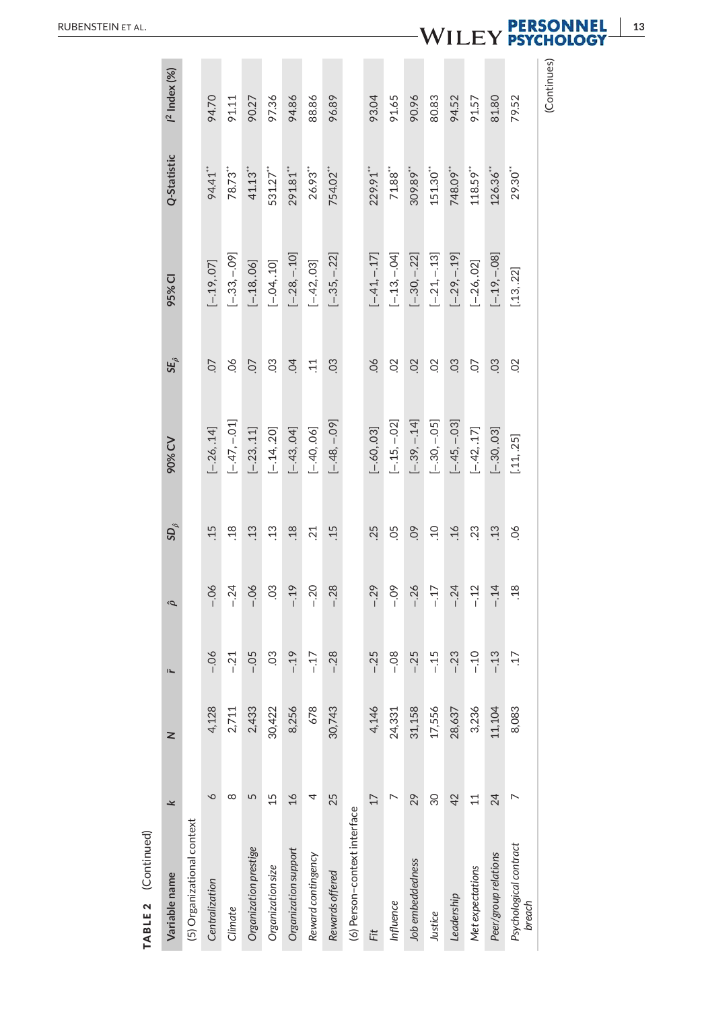| TABLE 2 (Continued)              |                          |        |                 |                |                          |                |                   |                |                        |                |
|----------------------------------|--------------------------|--------|-----------------|----------------|--------------------------|----------------|-------------------|----------------|------------------------|----------------|
| Variable name                    | $\overline{\phantom{a}}$ | $\geq$ | IN.             | $\hat{\rho}$   | $\mathrm{SD}_\hat{\rho}$ | 90% CV         | $SE_{\hat{\rho}}$ | 95% CI         | Q-Statistic            | $12$ Index (%) |
| (5) Organizational context       |                          |        |                 |                |                          |                |                   |                |                        |                |
| Centralization                   | ∘                        | 4,128  | $-06$           | $-0.06$        | .15                      | $[-.26, .14]$  | $\overline{0}$    | $[-.19, .07]$  | 94.41**                | 94.70          |
| Climate                          | ∞                        | 2,711  | $-21$           | $-24$          | .18                      | $[-47, -01]$   | 80                | $[-.33, -.09]$ | 78.73**                | 91.11          |
| Organization prestige            | 5                        | 2,433  | $-0.5$          | $-06$          | .13                      | $[-.23, .11]$  | $\overline{0}$    | $[-.18, .06]$  | $41.13**$              | 90.27          |
| Organization size                | 15                       | 30,422 | C <sub>3</sub>  | $\overline{0}$ | .13                      | $[-.14, .20]$  | 03                | $[-.04, .10]$  | 531.27                 | 97.36          |
| Organization support             | $\frac{6}{1}$            | 8,256  | $-0.19$         | $-.19$         | .18                      | $[-.43, .04]$  | $\overline{6}$    | $[-.28, -.10]$ | $291.81***$            | 94.86          |
| Reward contingency               | 4                        | 678    | $-17$           | $-20$          | 21                       | $[-.40, .06]$  | $\overline{11}$   | $[-.42, .03]$  | $26.93**$              | 88.86          |
| Rewards offered                  | 25                       | 30,743 | $-28$           | $-28$          | .15                      | $[-.48, -.09]$ | 03                | $[-.35, -.22]$ | 754.02**               | 96.89          |
| (6) Person-context interface     |                          |        |                 |                |                          |                |                   |                |                        |                |
| Fit                              | 17                       | 4,146  | $-25$           | $-29$          | .25                      | $[-.60, .03]$  | $\overline{0}$    | $[-.41, -.17]$ | 229.91**               | 93.04          |
| Influence                        | L                        | 24,331 | $-08$           | $-0.0$         | 05                       | $[-.15, -.02]$ | $\overline{0}$    | $[-13, -04]$   | 71.88"                 | 91.65          |
| Job embeddedness                 | 29                       | 31,158 | $-25$           | $-26$          | 60                       | $[-.39, -.14]$ | 02                | $[-.30, -.22]$ | 309.89**               | 90.96          |
| Justice                          | 30                       | 17,556 | $-15$           | $-17$          | 10                       | $[-.30, -.05]$ | 02                | $[-.21, -.13]$ | $151.30**$             | 80.83          |
| Leadership                       | 42                       | 28,637 | $-23$           | $-24$          | .16                      | $[-.45, -.03]$ | 03                | $[-.29, -.19]$ | 748.09**               | 94.52          |
| Met expectations                 | $\Xi$                    | 3,236  | $-.10$          | $-12$          | .23                      | $[-42, 17]$    | $\overline{0}$    | $[-.26, .02]$  | $118.59**$             | 91.57          |
| Peer/group relations             | 24                       | 11,104 | $-.13$          | $-.14$         | .13                      | $[-.30, .03]$  | 03                | $[-.19, -.08]$ | $126.36$ <sup>**</sup> | 81.80          |
| Psychological contract<br>breach |                          | 8,083  | $\overline{17}$ | $\frac{8}{18}$ | 60                       | [.11, .25]     | $\overline{0}$    | [.13, .22]     | 29.30**                | 79.52          |
|                                  |                          |        |                 |                |                          |                |                   |                |                        | (Continues)    |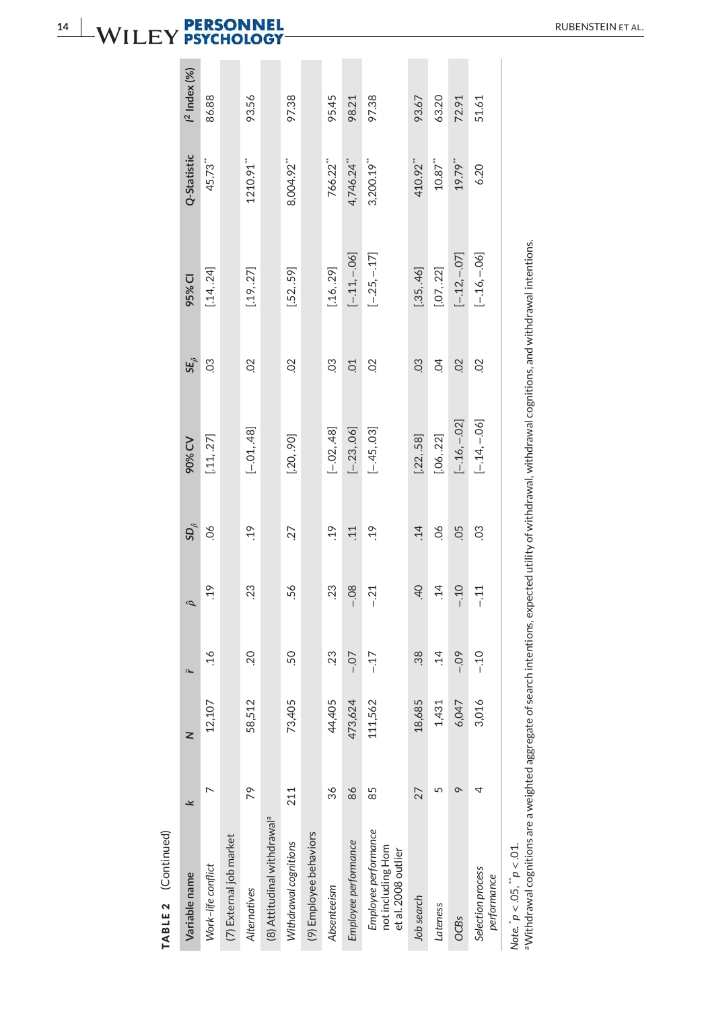| ABLE 2 (Continued)                                               |     |                        |             |               |                          |                |                   |                |                          |                |
|------------------------------------------------------------------|-----|------------------------|-------------|---------------|--------------------------|----------------|-------------------|----------------|--------------------------|----------------|
| Variable name                                                    | ¥   | z                      | ıL,         | $\hat{\rho}$  | $\mathrm{SD}_\hat{\rho}$ | 90% CV         | $SE_{\hat{\rho}}$ | 95% CI         | Q-Statistic              | $l2$ Index (%) |
| Work-life conflict                                               |     | 12,107                 | $-16$       | $\frac{1}{2}$ | 60                       | [.11, .27]     | C <sub>3</sub>    | [.14, .24]     | 45.73**                  | 86.88          |
| (7) External job market                                          |     |                        |             |               |                          |                |                   |                |                          |                |
| Alternatives                                                     | 79  | 58,512                 | 20          | 23            | .19                      | $[-.01, .48]$  | $\overline{O}$    | [.19, .27]     | $1210.91$ <sup>**</sup>  | 93.56          |
| (8) Attitudinal withdrawal <sup>a</sup>                          |     |                        |             |               |                          |                |                   |                |                          |                |
| Withdrawal cognitions                                            | 211 | 405<br>73,             | 50          | 56.           | 27                       | [.20, .90]     | $\overline{0}$    | $[-52, .59]$   | 8,004.92"                | 97.38          |
| (9) Employee behaviors                                           |     |                        |             |               |                          |                |                   |                |                          |                |
| Absenteeism                                                      | 36  | 44,405                 | 23          | 23            | $\frac{9}{1}$            | $[-.02, .48]$  | $\overline{0}$    | [.16, .29]     | 766.22"                  | 95.45          |
| Employee performance                                             | 86  | 624<br>473,            | $-0.7$      | $-0.08$       | 11                       | $[-.23, .06]$  | $\overline{C}$    | $[-.11, -.06]$ | 4,746.24**               | 98.21          |
| Employee performance<br>not including Hom<br>et al. 2008 outlier | 85  | 562<br>111,            | $-17$       | $-21$         | $\frac{1}{2}$            | $[-.45, .03]$  | $\overline{0}$    | $[-.25, -.17]$ | $3,200.19$ <sup>**</sup> | 97.38          |
| Job search                                                       | 27  | ,685<br>$\frac{8}{18}$ | 38          | 40            | .14                      | [.22, .58]     | 03                | [.35, .46]     | 410.92**                 | 93.67          |
| Lateness                                                         | 5   | ,431                   | $\ddot{1}4$ | $\ddot{1}4$   | 60                       | [.06, .22]     | $\overline{6}$    | [.07, .22]     | $10.87$ <sup>**</sup>    | 63.20          |
| OC <sub>B</sub> s                                                |     | 6,047                  | $-0.09$     | $-.10$        | 0.0                      | $[-.16, -.02]$ | 02                | $[-.12, -.07]$ | 19.79**                  | 72.91          |
| Selection process<br>performance                                 |     | 3,016                  | $-10$       | $-11$         | $\overline{0}$           | $[-.14, -.06]$ | $\overline{0}$    | $[-.16, -.06]$ | 6.20                     | 51.61          |

 $\leq$ **TABLE 2** (Continued) Ŕ  $\zeta$ TABI

*Note.* \**p <* .05, \*\**p <* .01.

Note. 'p < .05, '' p < .01.<br>ªWithdrawal cognitions are a weighted aggregate of search intentions, expected utility of withdrawal, withdrawal cognitions, and withdrawal intentions. aWithdrawal cognitions are a weighted aggregate of search intentions, expected utility of withdrawal, withdrawal cognitions, and withdrawal intentions.

### 14 | WILEY **PERSONNEL**

 $1<sup>2</sup>$  Index (%)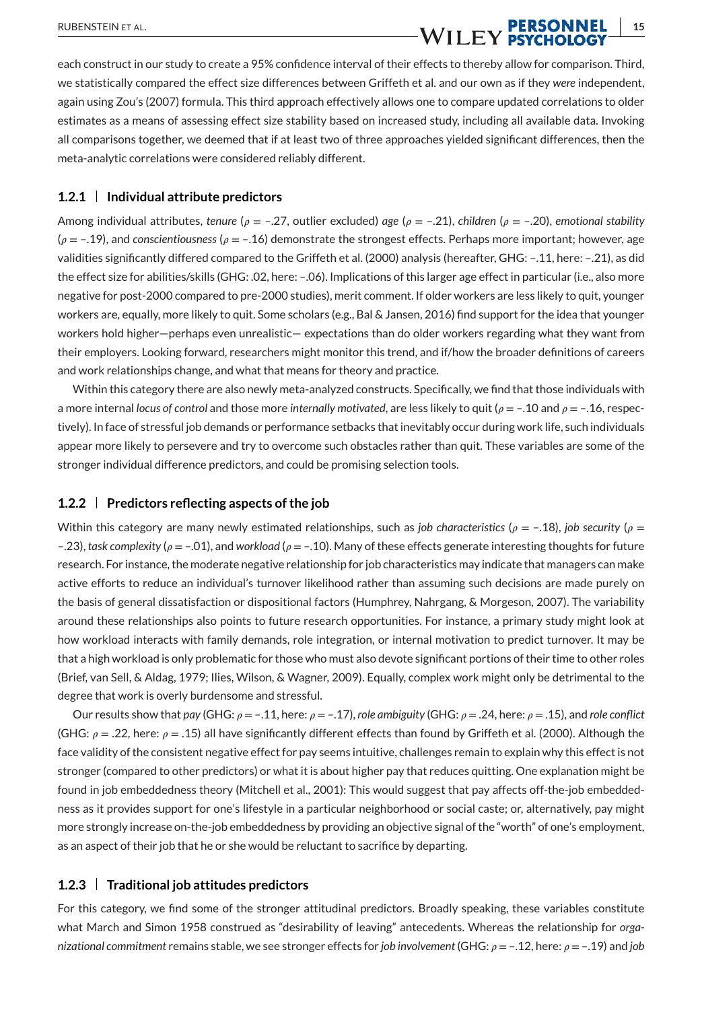### RUBENSTEIN ET AL. **15**

each construct in our study to create a 95% confidence interval of their effects to thereby allow for comparison. Third, we statistically compared the effect size differences between Griffeth et al. and our own as if they *were* independent, again using Zou's (2007) formula. This third approach effectively allows one to compare updated correlations to older estimates as a means of assessing effect size stability based on increased study, including all available data. Invoking all comparisons together, we deemed that if at least two of three approaches yielded significant differences, then the meta-analytic correlations were considered reliably different.

#### **1.2.1 Individual attribute predictors**

Among individual attributes, *tenure* ( $\rho = -.27$ , outlier excluded) *age* ( $\rho = -.21$ ), *children* ( $\rho = -.20$ ), *emotional stability*  $(\rho = -.19)$ , and *conscientiousness* ( $\rho = -.16$ ) demonstrate the strongest effects. Perhaps more important; however, age validities significantly differed compared to the Griffeth et al. (2000) analysis (hereafter, GHG: –.11, here: –.21), as did the effect size for abilities/skills (GHG: .02, here: –.06). Implications of this larger age effect in particular (i.e., also more negative for post-2000 compared to pre-2000 studies), merit comment. If older workers are less likely to quit, younger workers are, equally, more likely to quit. Some scholars (e.g., Bal & Jansen, 2016) find support for the idea that younger workers hold higher—perhaps even unrealistic— expectations than do older workers regarding what they want from their employers. Looking forward, researchers might monitor this trend, and if/how the broader definitions of careers and work relationships change, and what that means for theory and practice.

Within this category there are also newly meta-analyzed constructs. Specifically, we find that those individuals with a more internal *locus of control* and those more *internally motivated*, are less likely to quit ( $\rho = -10$  and  $\rho = -16$ , respectively). In face of stressful job demands or performance setbacks that inevitably occur during work life, such individuals appear more likely to persevere and try to overcome such obstacles rather than quit. These variables are some of the stronger individual difference predictors, and could be promising selection tools.

#### **1.2.2 Predictors reflecting aspects of the job**

Within this category are many newly estimated relationships, such as *job characteristics* ( $\rho = -18$ ), *job security* ( $\rho =$ –.23), *task complexity* ( $\rho = -.01$ ), and *workload* ( $\rho = -.10$ ). Many of these effects generate interesting thoughts for future research. For instance, the moderate negative relationship for job characteristics may indicate that managers can make active efforts to reduce an individual's turnover likelihood rather than assuming such decisions are made purely on the basis of general dissatisfaction or dispositional factors (Humphrey, Nahrgang, & Morgeson, 2007). The variability around these relationships also points to future research opportunities. For instance, a primary study might look at how workload interacts with family demands, role integration, or internal motivation to predict turnover. It may be that a high workload is only problematic for those who must also devote significant portions of their time to other roles (Brief, van Sell, & Aldag, 1979; Ilies, Wilson, & Wagner, 2009). Equally, complex work might only be detrimental to the degree that work is overly burdensome and stressful.

Our results show that *pay* (GHG:  $\rho = -0.11$ , here:  $\rho = -0.17$ ), *role ambiguity* (GHG:  $\rho = 0.24$ , here:  $\rho = 0.15$ ), and *role conflict* (GHG:  $\rho = .22$ , here:  $\rho = .15$ ) all have significantly different effects than found by Griffeth et al. (2000). Although the face validity of the consistent negative effect for pay seems intuitive, challenges remain to explain why this effect is not stronger (compared to other predictors) or what it is about higher pay that reduces quitting. One explanation might be found in job embeddedness theory (Mitchell et al., 2001): This would suggest that pay affects off-the-job embeddedness as it provides support for one's lifestyle in a particular neighborhood or social caste; or, alternatively, pay might more strongly increase on-the-job embeddedness by providing an objective signal of the "worth" of one's employment, as an aspect of their job that he or she would be reluctant to sacrifice by departing.

#### **1.2.3 Traditional job attitudes predictors**

For this category, we find some of the stronger attitudinal predictors. Broadly speaking, these variables constitute what March and Simon 1958 construed as "desirability of leaving" antecedents. Whereas the relationship for *organizational commitment* remains stable, we see stronger effects for *job involvement* (GHG:  $\rho = -.12$ , here:  $\rho = -.19$ ) and *job*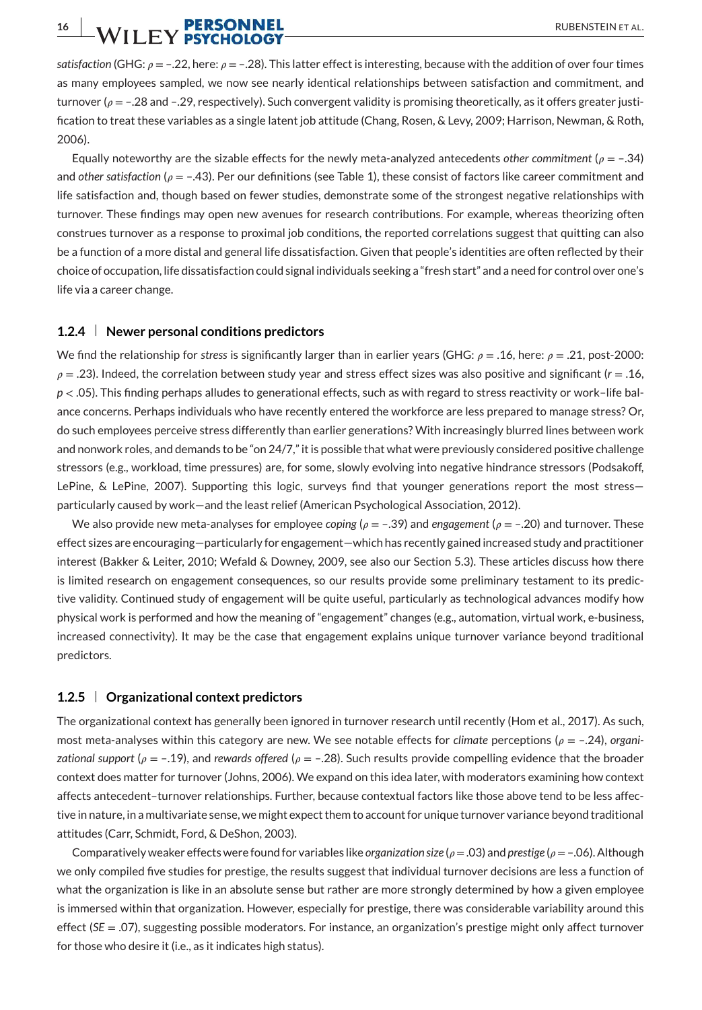*satisfaction* (GHG:  $\rho = -.22$ , here:  $\rho = -.28$ ). This latter effect is interesting, because with the addition of over four times as many employees sampled, we now see nearly identical relationships between satisfaction and commitment, and turnover ( $\rho = -.28$  and  $-.29$ , respectively). Such convergent validity is promising theoretically, as it offers greater justification to treat these variables as a single latent job attitude (Chang, Rosen, & Levy, 2009; Harrison, Newman, & Roth, 2006).

Equally noteworthy are the sizable effects for the newly meta-analyzed antecedents *other commitment* ( $\rho = -34$ ) and *other satisfaction* ( $\rho = -.43$ ). Per our definitions (see Table 1), these consist of factors like career commitment and life satisfaction and, though based on fewer studies, demonstrate some of the strongest negative relationships with turnover. These findings may open new avenues for research contributions. For example, whereas theorizing often construes turnover as a response to proximal job conditions, the reported correlations suggest that quitting can also be a function of a more distal and general life dissatisfaction. Given that people's identities are often reflected by their choice of occupation, life dissatisfaction could signal individuals seeking a "fresh start" and a need for control over one's life via a career change.

#### **1.2.4 Newer personal conditions predictors**

We find the relationship for *stress* is significantly larger than in earlier years (GHG:  $\rho = .16$ , here:  $\rho = .21$ , post-2000:  $\rho = .23$ ). Indeed, the correlation between study year and stress effect sizes was also positive and significant ( $r = .16$ , *p <* .05). This finding perhaps alludes to generational effects, such as with regard to stress reactivity or work–life balance concerns. Perhaps individuals who have recently entered the workforce are less prepared to manage stress? Or, do such employees perceive stress differently than earlier generations? With increasingly blurred lines between work and nonwork roles, and demands to be "on 24/7," it is possible that what were previously considered positive challenge stressors (e.g., workload, time pressures) are, for some, slowly evolving into negative hindrance stressors (Podsakoff, LePine, & LePine, 2007). Supporting this logic, surveys find that younger generations report the most stressparticularly caused by work—and the least relief (American Psychological Association, 2012).

We also provide new meta-analyses for employee *coping* ( $\rho = -.39$ ) and *engagement* ( $\rho = -.20$ ) and turnover. These effect sizes are encouraging—particularly for engagement—which has recently gained increased study and practitioner interest (Bakker & Leiter, 2010; Wefald & Downey, 2009, see also our Section 5.3). These articles discuss how there is limited research on engagement consequences, so our results provide some preliminary testament to its predictive validity. Continued study of engagement will be quite useful, particularly as technological advances modify how physical work is performed and how the meaning of "engagement" changes (e.g., automation, virtual work, e-business, increased connectivity). It may be the case that engagement explains unique turnover variance beyond traditional predictors.

#### **1.2.5 Organizational context predictors**

The organizational context has generally been ignored in turnover research until recently (Hom et al., 2017). As such, most meta-analyses within this category are new. We see notable effects for *climate* perceptions ( $\rho = -0.24$ ), *organizational support* ( $\rho = -.19$ ), and *rewards offered* ( $\rho = -.28$ ). Such results provide compelling evidence that the broader context does matter for turnover (Johns, 2006). We expand on this idea later, with moderators examining how context affects antecedent–turnover relationships. Further, because contextual factors like those above tend to be less affective in nature, in a multivariate sense, we might expect them to account for unique turnover variance beyond traditional attitudes (Carr, Schmidt, Ford, & DeShon, 2003).

Comparatively weaker effects were found for variables like *organization size* ( $\rho$  = .03) and *prestige* ( $\rho$  = -.06). Although we only compiled five studies for prestige, the results suggest that individual turnover decisions are less a function of what the organization is like in an absolute sense but rather are more strongly determined by how a given employee is immersed within that organization. However, especially for prestige, there was considerable variability around this effect (*SE* = .07), suggesting possible moderators. For instance, an organization's prestige might only affect turnover for those who desire it (i.e., as it indicates high status).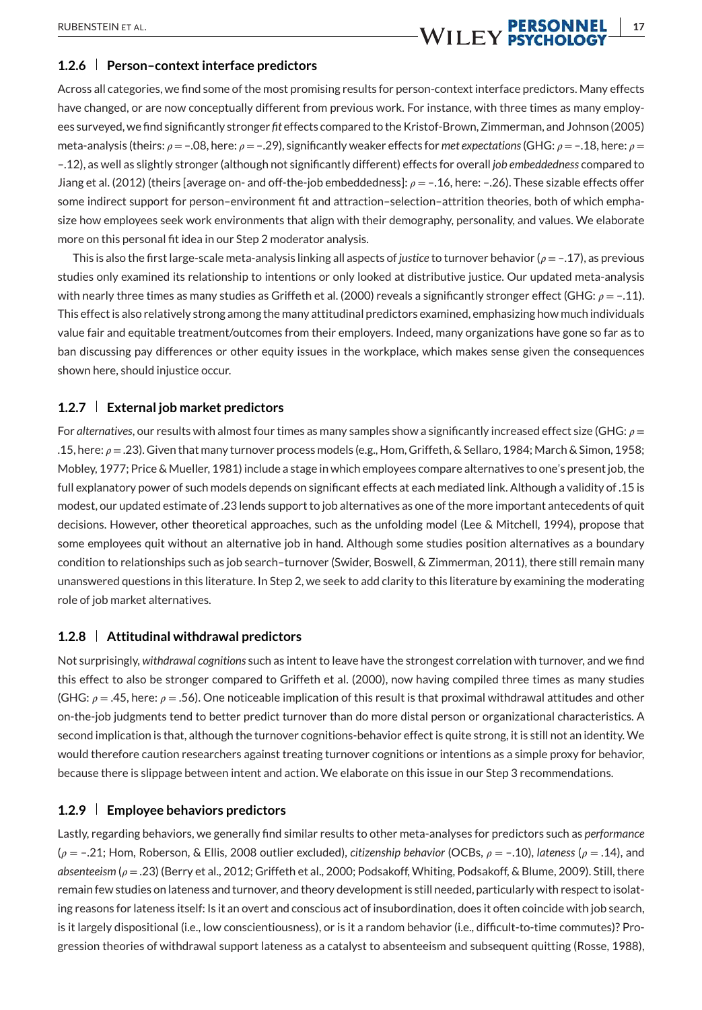#### **1.2.6 Person–context interface predictors**

Across all categories, we find some of the most promising results for person-context interface predictors. Many effects have changed, or are now conceptually different from previous work. For instance, with three times as many employees surveyed, we find significantly stronger *fit* effects compared to the Kristof-Brown, Zimmerman, and Johnson (2005) meta-analysis (theirs:  $\rho = -.08$ , here:  $\rho = -.29$ ), significantly weaker effects for *met expectations* (GHG:  $\rho = -.18$ , here:  $\rho =$ –.12), as well as slightly stronger (although not significantly different) effects for overall *job embeddedness* compared to Jiang et al. (2012) (theirs [average on- and off-the-job embeddedness]:  $\rho = -.16$ , here: -.26). These sizable effects offer some indirect support for person–environment fit and attraction–selection–attrition theories, both of which emphasize how employees seek work environments that align with their demography, personality, and values. We elaborate more on this personal fit idea in our Step 2 moderator analysis.

This is also the first large-scale meta-analysis linking all aspects of *justice* to turnover behavior ( $\rho = -17$ ), as previous studies only examined its relationship to intentions or only looked at distributive justice. Our updated meta-analysis with nearly three times as many studies as Griffeth et al. (2000) reveals a significantly stronger effect (GHG:  $\rho = -11$ ). This effect is also relatively strong among the many attitudinal predictors examined, emphasizing how much individuals value fair and equitable treatment/outcomes from their employers. Indeed, many organizations have gone so far as to ban discussing pay differences or other equity issues in the workplace, which makes sense given the consequences shown here, should injustice occur.

#### **1.2.7 External job market predictors**

For *alternatives*, our results with almost four times as many samples show a significantly increased effect size (GHG:  $\rho$  = .15, here:  $\rho = .23$ ). Given that many turnover process models (e.g., Hom, Griffeth, & Sellaro, 1984; March & Simon, 1958; Mobley, 1977; Price & Mueller, 1981) include a stage in which employees compare alternatives to one's present job, the full explanatory power of such models depends on significant effects at each mediated link. Although a validity of .15 is modest, our updated estimate of .23 lends support to job alternatives as one of the more important antecedents of quit decisions. However, other theoretical approaches, such as the unfolding model (Lee & Mitchell, 1994), propose that some employees quit without an alternative job in hand. Although some studies position alternatives as a boundary condition to relationships such as job search–turnover (Swider, Boswell, & Zimmerman, 2011), there still remain many unanswered questions in this literature. In Step 2, we seek to add clarity to this literature by examining the moderating role of job market alternatives.

#### **1.2.8 Attitudinal withdrawal predictors**

Not surprisingly, *withdrawal cognitions* such as intent to leave have the strongest correlation with turnover, and we find this effect to also be stronger compared to Griffeth et al. (2000), now having compiled three times as many studies (GHG:  $\rho = .45$ , here:  $\rho = .56$ ). One noticeable implication of this result is that proximal withdrawal attitudes and other on-the-job judgments tend to better predict turnover than do more distal person or organizational characteristics. A second implication is that, although the turnover cognitions-behavior effect is quite strong, it is still not an identity. We would therefore caution researchers against treating turnover cognitions or intentions as a simple proxy for behavior, because there is slippage between intent and action. We elaborate on this issue in our Step 3 recommendations.

#### **1.2.9 Employee behaviors predictors**

Lastly, regarding behaviors, we generally find similar results to other meta-analyses for predictors such as *performance*  $(\rho = -.21;$  Hom, Roberson, & Ellis, 2008 outlier excluded), *citizenship behavior* (OCBs,  $\rho = -.10$ ), *lateness* ( $\rho = .14$ ), and *absenteeism* ( $\rho = .23$ ) (Berry et al., 2012; Griffeth et al., 2000; Podsakoff, Whiting, Podsakoff, & Blume, 2009). Still, there remain few studies on lateness and turnover, and theory development is still needed, particularly with respect to isolating reasons for lateness itself: Is it an overt and conscious act of insubordination, does it often coincide with job search, is it largely dispositional (i.e., low conscientiousness), or is it a random behavior (i.e., difficult-to-time commutes)? Progression theories of withdrawal support lateness as a catalyst to absenteeism and subsequent quitting (Rosse, 1988),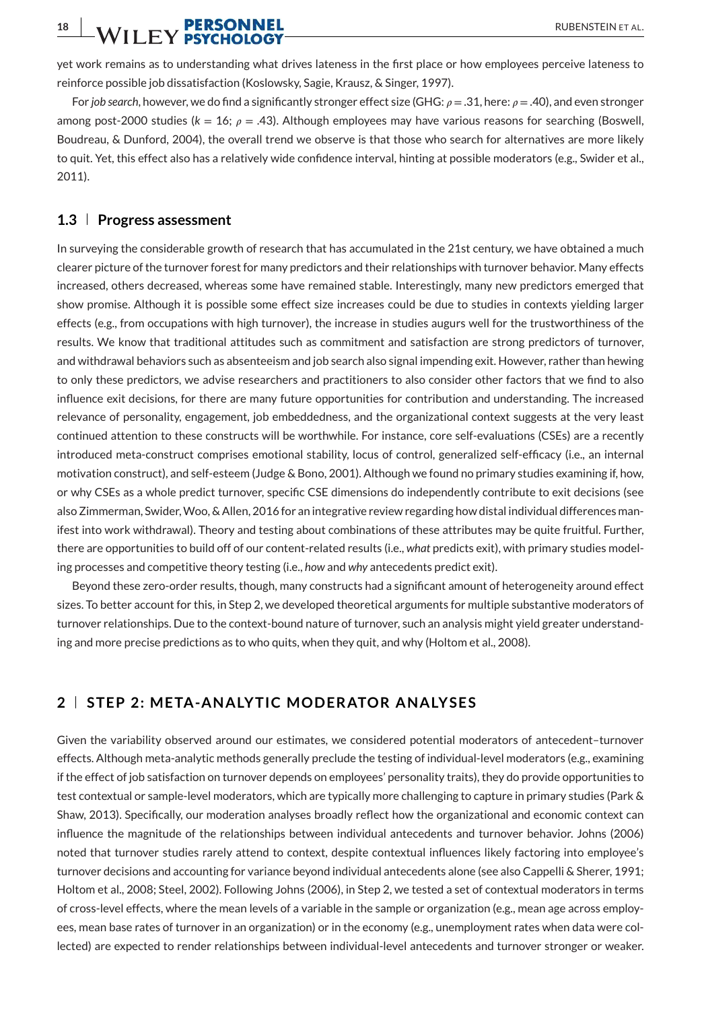**18** WILEY **PERSONNEL** RUBENSTEIN ET AL.

yet work remains as to understanding what drives lateness in the first place or how employees perceive lateness to reinforce possible job dissatisfaction (Koslowsky, Sagie, Krausz, & Singer, 1997).

For *job search*, however, we do find a significantly stronger effect size (GHG:  $\rho = .31$ , here:  $\rho = .40$ ), and even stronger among post-2000 studies ( $k = 16$ ;  $\rho = .43$ ). Although employees may have various reasons for searching (Boswell, Boudreau, & Dunford, 2004), the overall trend we observe is that those who search for alternatives are more likely to quit. Yet, this effect also has a relatively wide confidence interval, hinting at possible moderators (e.g., Swider et al., 2011).

#### **1.3 Progress assessment**

In surveying the considerable growth of research that has accumulated in the 21st century, we have obtained a much clearer picture of the turnover forest for many predictors and their relationships with turnover behavior. Many effects increased, others decreased, whereas some have remained stable. Interestingly, many new predictors emerged that show promise. Although it is possible some effect size increases could be due to studies in contexts yielding larger effects (e.g., from occupations with high turnover), the increase in studies augurs well for the trustworthiness of the results. We know that traditional attitudes such as commitment and satisfaction are strong predictors of turnover, and withdrawal behaviors such as absenteeism and job search also signal impending exit. However, rather than hewing to only these predictors, we advise researchers and practitioners to also consider other factors that we find to also influence exit decisions, for there are many future opportunities for contribution and understanding. The increased relevance of personality, engagement, job embeddedness, and the organizational context suggests at the very least continued attention to these constructs will be worthwhile. For instance, core self-evaluations (CSEs) are a recently introduced meta-construct comprises emotional stability, locus of control, generalized self-efficacy (i.e., an internal motivation construct), and self-esteem (Judge & Bono, 2001). Although we found no primary studies examining if, how, or why CSEs as a whole predict turnover, specific CSE dimensions do independently contribute to exit decisions (see also Zimmerman, Swider,Woo, & Allen, 2016 for an integrative review regarding how distal individual differences manifest into work withdrawal). Theory and testing about combinations of these attributes may be quite fruitful. Further, there are opportunities to build off of our content-related results (i.e., *what* predicts exit), with primary studies modeling processes and competitive theory testing (i.e., *how* and *why* antecedents predict exit).

Beyond these zero-order results, though, many constructs had a significant amount of heterogeneity around effect sizes. To better account for this, in Step 2, we developed theoretical arguments for multiple substantive moderators of turnover relationships. Due to the context-bound nature of turnover, such an analysis might yield greater understanding and more precise predictions as to who quits, when they quit, and why (Holtom et al., 2008).

#### **2 STEP 2: META -ANALYT IC MODERATOR ANALYSES**

Given the variability observed around our estimates, we considered potential moderators of antecedent–turnover effects. Although meta-analytic methods generally preclude the testing of individual-level moderators (e.g., examining if the effect of job satisfaction on turnover depends on employees' personality traits), they do provide opportunities to test contextual or sample-level moderators, which are typically more challenging to capture in primary studies (Park & Shaw, 2013). Specifically, our moderation analyses broadly reflect how the organizational and economic context can influence the magnitude of the relationships between individual antecedents and turnover behavior. Johns (2006) noted that turnover studies rarely attend to context, despite contextual influences likely factoring into employee's turnover decisions and accounting for variance beyond individual antecedents alone (see also Cappelli & Sherer, 1991; Holtom et al., 2008; Steel, 2002). Following Johns (2006), in Step 2, we tested a set of contextual moderators in terms of cross-level effects, where the mean levels of a variable in the sample or organization (e.g., mean age across employees, mean base rates of turnover in an organization) or in the economy (e.g., unemployment rates when data were collected) are expected to render relationships between individual-level antecedents and turnover stronger or weaker.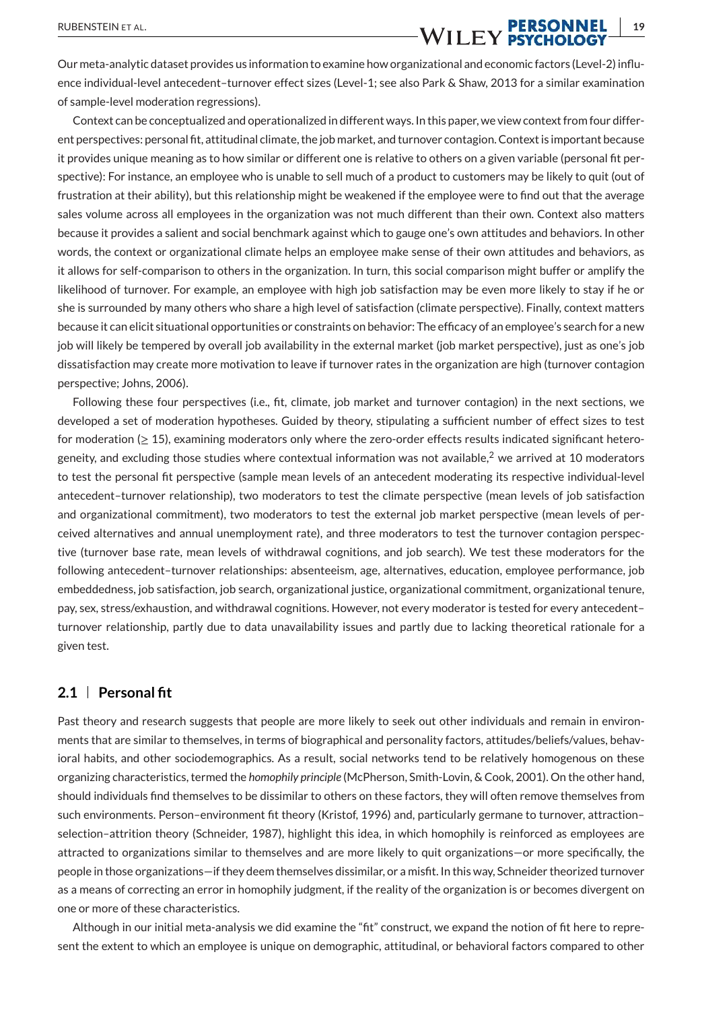### RUBENSTEIN ET AL. **19**

Our meta-analytic dataset provides us information to examine how organizational and economic factors (Level-2) influence individual-level antecedent–turnover effect sizes (Level-1; see also Park & Shaw, 2013 for a similar examination of sample-level moderation regressions).

Context can be conceptualized and operationalized in different ways. In this paper, we view context from four different perspectives: personal fit, attitudinal climate, the job market, and turnover contagion. Context is important because it provides unique meaning as to how similar or different one is relative to others on a given variable (personal fit perspective): For instance, an employee who is unable to sell much of a product to customers may be likely to quit (out of frustration at their ability), but this relationship might be weakened if the employee were to find out that the average sales volume across all employees in the organization was not much different than their own. Context also matters because it provides a salient and social benchmark against which to gauge one's own attitudes and behaviors. In other words, the context or organizational climate helps an employee make sense of their own attitudes and behaviors, as it allows for self-comparison to others in the organization. In turn, this social comparison might buffer or amplify the likelihood of turnover. For example, an employee with high job satisfaction may be even more likely to stay if he or she is surrounded by many others who share a high level of satisfaction (climate perspective). Finally, context matters because it can elicit situational opportunities or constraints on behavior: The efficacy of an employee's search for a new job will likely be tempered by overall job availability in the external market (job market perspective), just as one's job dissatisfaction may create more motivation to leave if turnover rates in the organization are high (turnover contagion perspective; Johns, 2006).

Following these four perspectives (i.e., fit, climate, job market and turnover contagion) in the next sections, we developed a set of moderation hypotheses. Guided by theory, stipulating a sufficient number of effect sizes to test for moderation  $(≥ 15)$ , examining moderators only where the zero-order effects results indicated significant heterogeneity, and excluding those studies where contextual information was not available,<sup>2</sup> we arrived at 10 moderators to test the personal fit perspective (sample mean levels of an antecedent moderating its respective individual-level antecedent–turnover relationship), two moderators to test the climate perspective (mean levels of job satisfaction and organizational commitment), two moderators to test the external job market perspective (mean levels of perceived alternatives and annual unemployment rate), and three moderators to test the turnover contagion perspective (turnover base rate, mean levels of withdrawal cognitions, and job search). We test these moderators for the following antecedent–turnover relationships: absenteeism, age, alternatives, education, employee performance, job embeddedness, job satisfaction, job search, organizational justice, organizational commitment, organizational tenure, pay, sex, stress/exhaustion, and withdrawal cognitions. However, not every moderator is tested for every antecedent– turnover relationship, partly due to data unavailability issues and partly due to lacking theoretical rationale for a given test.

#### **2.1 Personal fit**

Past theory and research suggests that people are more likely to seek out other individuals and remain in environments that are similar to themselves, in terms of biographical and personality factors, attitudes/beliefs/values, behavioral habits, and other sociodemographics. As a result, social networks tend to be relatively homogenous on these organizing characteristics, termed the *homophily principle* (McPherson, Smith-Lovin, & Cook, 2001). On the other hand, should individuals find themselves to be dissimilar to others on these factors, they will often remove themselves from such environments. Person–environment fit theory (Kristof, 1996) and, particularly germane to turnover, attraction– selection–attrition theory (Schneider, 1987), highlight this idea, in which homophily is reinforced as employees are attracted to organizations similar to themselves and are more likely to quit organizations—or more specifically, the people in those organizations—if they deem themselves dissimilar, or a misfit. In this way, Schneider theorized turnover as a means of correcting an error in homophily judgment, if the reality of the organization is or becomes divergent on one or more of these characteristics.

Although in our initial meta-analysis we did examine the "fit" construct, we expand the notion of fit here to represent the extent to which an employee is unique on demographic, attitudinal, or behavioral factors compared to other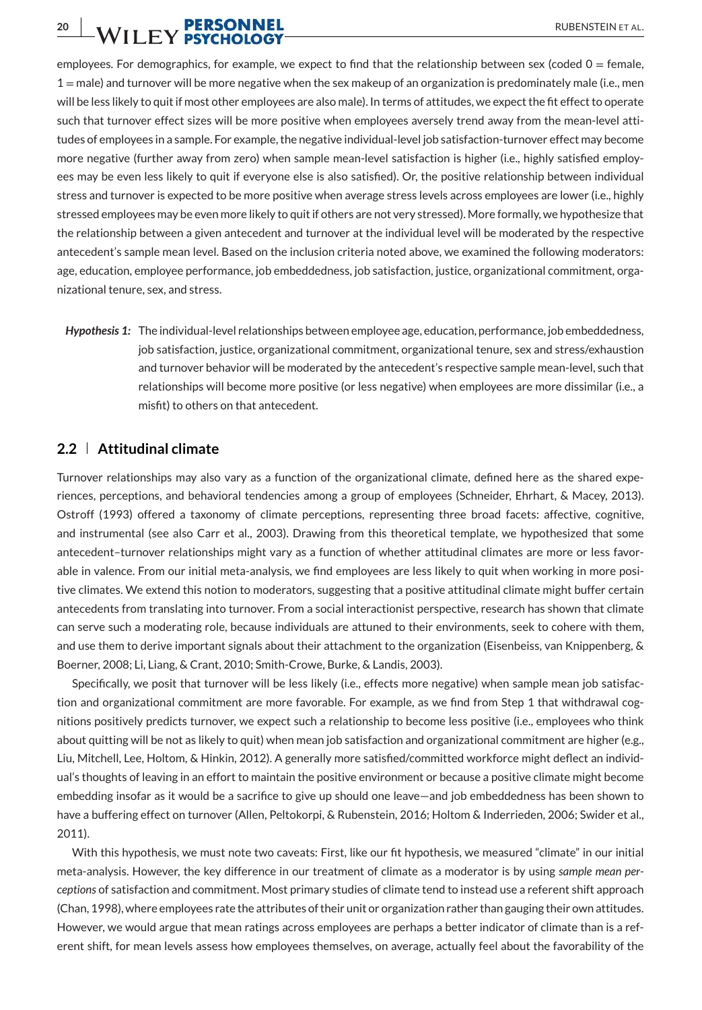# **20** NILEY **PERSONNEL**<br> **EXPERIMENTED**

employees. For demographics, for example, we expect to find that the relationship between sex (coded  $0 =$  female, 1 = male) and turnover will be more negative when the sex makeup of an organization is predominately male (i.e., men will be less likely to quit if most other employees are also male). In terms of attitudes, we expect the fit effect to operate such that turnover effect sizes will be more positive when employees aversely trend away from the mean-level attitudes of employees in a sample. For example, the negative individual-level job satisfaction-turnover effect may become more negative (further away from zero) when sample mean-level satisfaction is higher (i.e., highly satisfied employees may be even less likely to quit if everyone else is also satisfied). Or, the positive relationship between individual stress and turnover is expected to be more positive when average stress levels across employees are lower (i.e., highly stressed employees may be even more likely to quit if others are not very stressed). More formally, we hypothesize that the relationship between a given antecedent and turnover at the individual level will be moderated by the respective antecedent's sample mean level. Based on the inclusion criteria noted above, we examined the following moderators: age, education, employee performance, job embeddedness, job satisfaction, justice, organizational commitment, organizational tenure, sex, and stress.

*Hypothesis 1:* The individual-level relationships between employee age, education, performance, job embeddedness, job satisfaction, justice, organizational commitment, organizational tenure, sex and stress/exhaustion and turnover behavior will be moderated by the antecedent's respective sample mean-level, such that relationships will become more positive (or less negative) when employees are more dissimilar (i.e., a misfit) to others on that antecedent.

#### **2.2 Attitudinal climate**

Turnover relationships may also vary as a function of the organizational climate, defined here as the shared experiences, perceptions, and behavioral tendencies among a group of employees (Schneider, Ehrhart, & Macey, 2013). Ostroff (1993) offered a taxonomy of climate perceptions, representing three broad facets: affective, cognitive, and instrumental (see also Carr et al., 2003). Drawing from this theoretical template, we hypothesized that some antecedent–turnover relationships might vary as a function of whether attitudinal climates are more or less favorable in valence. From our initial meta-analysis, we find employees are less likely to quit when working in more positive climates. We extend this notion to moderators, suggesting that a positive attitudinal climate might buffer certain antecedents from translating into turnover. From a social interactionist perspective, research has shown that climate can serve such a moderating role, because individuals are attuned to their environments, seek to cohere with them, and use them to derive important signals about their attachment to the organization (Eisenbeiss, van Knippenberg, & Boerner, 2008; Li, Liang, & Crant, 2010; Smith-Crowe, Burke, & Landis, 2003).

Specifically, we posit that turnover will be less likely (i.e., effects more negative) when sample mean job satisfaction and organizational commitment are more favorable. For example, as we find from Step 1 that withdrawal cognitions positively predicts turnover, we expect such a relationship to become less positive (i.e., employees who think about quitting will be not as likely to quit) when mean job satisfaction and organizational commitment are higher (e.g., Liu, Mitchell, Lee, Holtom, & Hinkin, 2012). A generally more satisfied/committed workforce might deflect an individual's thoughts of leaving in an effort to maintain the positive environment or because a positive climate might become embedding insofar as it would be a sacrifice to give up should one leave—and job embeddedness has been shown to have a buffering effect on turnover (Allen, Peltokorpi, & Rubenstein, 2016; Holtom & Inderrieden, 2006; Swider et al., 2011).

With this hypothesis, we must note two caveats: First, like our fit hypothesis, we measured "climate" in our initial meta-analysis. However, the key difference in our treatment of climate as a moderator is by using *sample mean perceptions* of satisfaction and commitment. Most primary studies of climate tend to instead use a referent shift approach (Chan, 1998), where employees rate the attributes of their unit or organization rather than gauging their own attitudes. However, we would argue that mean ratings across employees are perhaps a better indicator of climate than is a referent shift, for mean levels assess how employees themselves, on average, actually feel about the favorability of the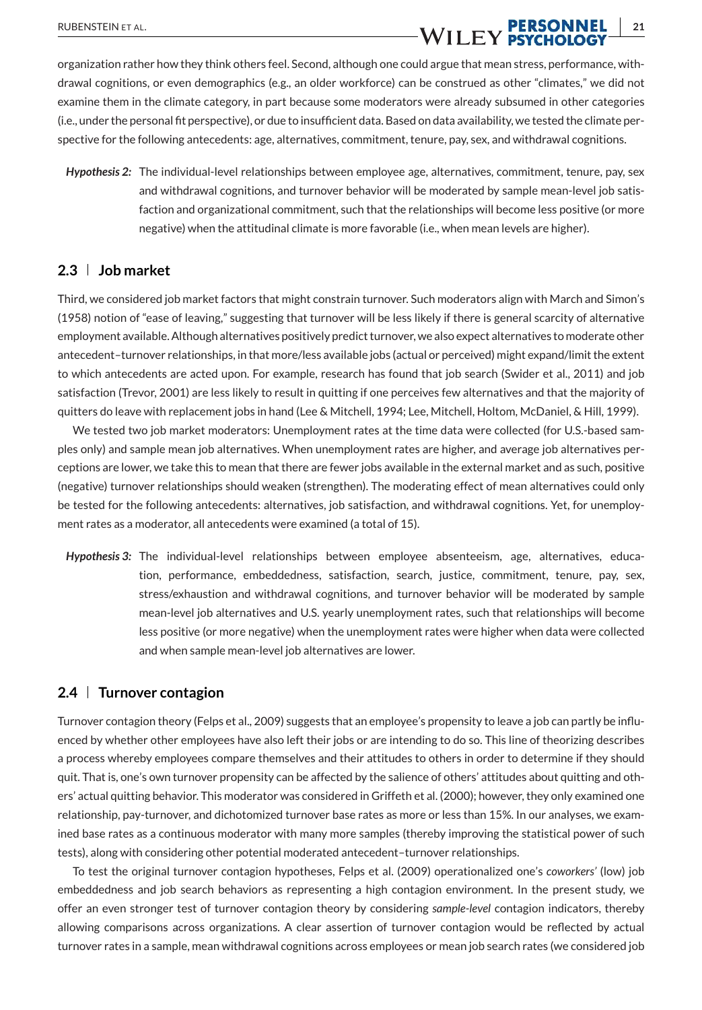### RUBENSTEIN ET AL. **21. READER 1998 - 21. READER 1999 - 21. READER 1999 - 21. READER 1999 - 21. READER 1999 - 21. READER 1999 - 21. READER 1999 - 21. READER 1999 - 21. READER 1999 - 21. READER 1999 - 21. READER 1999 - 21. R**

organization rather how they think others feel. Second, although one could argue that mean stress, performance, withdrawal cognitions, or even demographics (e.g., an older workforce) can be construed as other "climates," we did not examine them in the climate category, in part because some moderators were already subsumed in other categories (i.e., under the personal fit perspective), or due to insufficient data. Based on data availability, we tested the climate perspective for the following antecedents: age, alternatives, commitment, tenure, pay, sex, and withdrawal cognitions.

*Hypothesis 2:* The individual-level relationships between employee age, alternatives, commitment, tenure, pay, sex and withdrawal cognitions, and turnover behavior will be moderated by sample mean-level job satisfaction and organizational commitment, such that the relationships will become less positive (or more negative) when the attitudinal climate is more favorable (i.e., when mean levels are higher).

#### **2.3 Job market**

Third, we considered job market factors that might constrain turnover. Such moderators align with March and Simon's (1958) notion of "ease of leaving," suggesting that turnover will be less likely if there is general scarcity of alternative employment available. Although alternatives positively predict turnover, we also expect alternatives to moderate other antecedent–turnover relationships, in that more/less available jobs (actual or perceived) might expand/limit the extent to which antecedents are acted upon. For example, research has found that job search (Swider et al., 2011) and job satisfaction (Trevor, 2001) are less likely to result in quitting if one perceives few alternatives and that the majority of quitters do leave with replacement jobs in hand (Lee & Mitchell, 1994; Lee, Mitchell, Holtom, McDaniel, & Hill, 1999).

We tested two job market moderators: Unemployment rates at the time data were collected (for U.S.-based samples only) and sample mean job alternatives. When unemployment rates are higher, and average job alternatives perceptions are lower, we take this to mean that there are fewer jobs available in the external market and as such, positive (negative) turnover relationships should weaken (strengthen). The moderating effect of mean alternatives could only be tested for the following antecedents: alternatives, job satisfaction, and withdrawal cognitions. Yet, for unemployment rates as a moderator, all antecedents were examined (a total of 15).

*Hypothesis 3:* The individual-level relationships between employee absenteeism, age, alternatives, education, performance, embeddedness, satisfaction, search, justice, commitment, tenure, pay, sex, stress/exhaustion and withdrawal cognitions, and turnover behavior will be moderated by sample mean-level job alternatives and U.S. yearly unemployment rates, such that relationships will become less positive (or more negative) when the unemployment rates were higher when data were collected and when sample mean-level job alternatives are lower.

#### **2.4 Turnover contagion**

Turnover contagion theory (Felps et al., 2009) suggests that an employee's propensity to leave a job can partly be influenced by whether other employees have also left their jobs or are intending to do so. This line of theorizing describes a process whereby employees compare themselves and their attitudes to others in order to determine if they should quit. That is, one's own turnover propensity can be affected by the salience of others' attitudes about quitting and others' actual quitting behavior. This moderator was considered in Griffeth et al. (2000); however, they only examined one relationship, pay-turnover, and dichotomized turnover base rates as more or less than 15%. In our analyses, we examined base rates as a continuous moderator with many more samples (thereby improving the statistical power of such tests), along with considering other potential moderated antecedent–turnover relationships.

To test the original turnover contagion hypotheses, Felps et al. (2009) operationalized one's *coworkers'* (low) job embeddedness and job search behaviors as representing a high contagion environment. In the present study, we offer an even stronger test of turnover contagion theory by considering *sample-level* contagion indicators, thereby allowing comparisons across organizations. A clear assertion of turnover contagion would be reflected by actual turnover rates in a sample, mean withdrawal cognitions across employees or mean job search rates (we considered job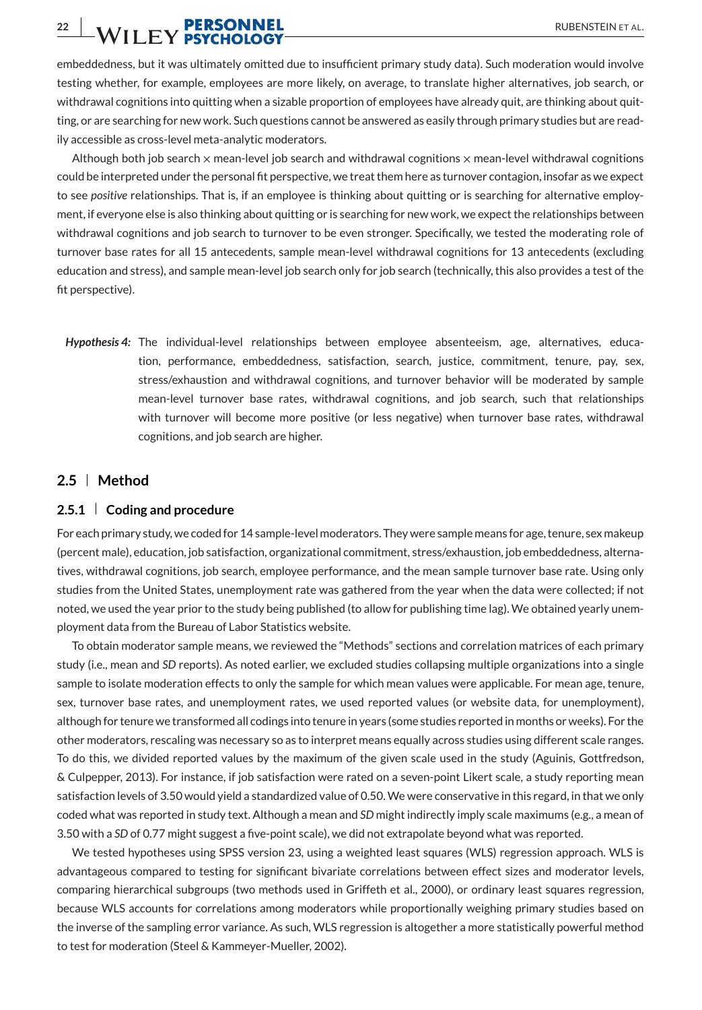### **22** PERSONNEL RUBENSTEIN ET AL.

embeddedness, but it was ultimately omitted due to insufficient primary study data). Such moderation would involve testing whether, for example, employees are more likely, on average, to translate higher alternatives, job search, or withdrawal cognitions into quitting when a sizable proportion of employees have already quit, are thinking about quitting, or are searching for new work. Such questions cannot be answered as easily through primary studies but are readily accessible as cross-level meta-analytic moderators.

Although both job search  $\times$  mean-level job search and withdrawal cognitions  $\times$  mean-level withdrawal cognitions could be interpreted under the personal fit perspective, we treat them here as turnover contagion, insofar as we expect to see *positive* relationships. That is, if an employee is thinking about quitting or is searching for alternative employment, if everyone else is also thinking about quitting or is searching for new work, we expect the relationships between withdrawal cognitions and job search to turnover to be even stronger. Specifically, we tested the moderating role of turnover base rates for all 15 antecedents, sample mean-level withdrawal cognitions for 13 antecedents (excluding education and stress), and sample mean-level job search only for job search (technically, this also provides a test of the fit perspective).

*Hypothesis 4:* The individual-level relationships between employee absenteeism, age, alternatives, education, performance, embeddedness, satisfaction, search, justice, commitment, tenure, pay, sex, stress/exhaustion and withdrawal cognitions, and turnover behavior will be moderated by sample mean-level turnover base rates, withdrawal cognitions, and job search, such that relationships with turnover will become more positive (or less negative) when turnover base rates, withdrawal cognitions, and job search are higher.

#### **2.5 Method**

#### **2.5.1 Coding and procedure**

For each primary study, we coded for 14 sample-level moderators. They were sample means for age, tenure, sex makeup (percent male), education, job satisfaction, organizational commitment, stress/exhaustion, job embeddedness, alternatives, withdrawal cognitions, job search, employee performance, and the mean sample turnover base rate. Using only studies from the United States, unemployment rate was gathered from the year when the data were collected; if not noted, we used the year prior to the study being published (to allow for publishing time lag). We obtained yearly unemployment data from the Bureau of Labor Statistics website.

To obtain moderator sample means, we reviewed the "Methods" sections and correlation matrices of each primary study (i.e., mean and *SD* reports). As noted earlier, we excluded studies collapsing multiple organizations into a single sample to isolate moderation effects to only the sample for which mean values were applicable. For mean age, tenure, sex, turnover base rates, and unemployment rates, we used reported values (or website data, for unemployment), although for tenure we transformed all codings into tenure in years (some studies reported in months or weeks). For the other moderators, rescaling was necessary so as to interpret means equally across studies using different scale ranges. To do this, we divided reported values by the maximum of the given scale used in the study (Aguinis, Gottfredson, & Culpepper, 2013). For instance, if job satisfaction were rated on a seven-point Likert scale, a study reporting mean satisfaction levels of 3.50 would yield a standardized value of 0.50.We were conservative in this regard, in that we only coded what was reported in study text. Although a mean and *SD* might indirectly imply scale maximums (e.g., a mean of 3.50 with a *SD* of 0.77 might suggest a five-point scale), we did not extrapolate beyond what was reported.

We tested hypotheses using SPSS version 23, using a weighted least squares (WLS) regression approach. WLS is advantageous compared to testing for significant bivariate correlations between effect sizes and moderator levels, comparing hierarchical subgroups (two methods used in Griffeth et al., 2000), or ordinary least squares regression, because WLS accounts for correlations among moderators while proportionally weighing primary studies based on the inverse of the sampling error variance. As such, WLS regression is altogether a more statistically powerful method to test for moderation (Steel & Kammeyer-Mueller, 2002).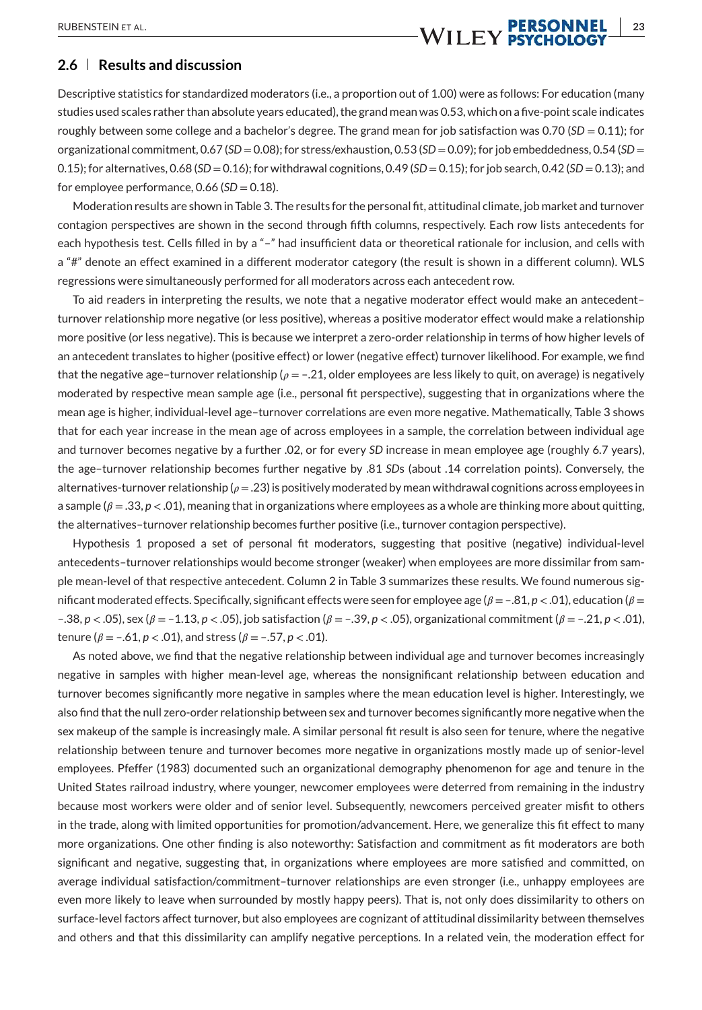#### **2.6 Results and discussion**

Descriptive statistics for standardized moderators (i.e., a proportion out of 1.00) were as follows: For education (many studies used scales rather than absolute years educated), the grand mean was 0.53, which on a five-point scale indicates roughly between some college and a bachelor's degree. The grand mean for job satisfaction was 0.70 (*SD* = 0.11); for organizational commitment, 0.67 (*SD*=0.08); for stress/exhaustion, 0.53 (*SD*=0.09); for job embeddedness, 0.54 (*SD*= 0.15); for alternatives, 0.68 (*SD*=0.16); for withdrawal cognitions, 0.49 (*SD*=0.15); for job search, 0.42 (*SD*=0.13); and for employee performance,  $0.66$  ( $SD = 0.18$ ).

Moderation results are shown in Table 3. The results for the personal fit, attitudinal climate, job market and turnover contagion perspectives are shown in the second through fifth columns, respectively. Each row lists antecedents for each hypothesis test. Cells filled in by a "–" had insufficient data or theoretical rationale for inclusion, and cells with a "#" denote an effect examined in a different moderator category (the result is shown in a different column). WLS regressions were simultaneously performed for all moderators across each antecedent row.

To aid readers in interpreting the results, we note that a negative moderator effect would make an antecedent– turnover relationship more negative (or less positive), whereas a positive moderator effect would make a relationship more positive (or less negative). This is because we interpret a zero-order relationship in terms of how higher levels of an antecedent translates to higher (positive effect) or lower (negative effect) turnover likelihood. For example, we find that the negative age-turnover relationship ( $\rho = -.21$ , older employees are less likely to quit, on average) is negatively moderated by respective mean sample age (i.e., personal fit perspective), suggesting that in organizations where the mean age is higher, individual-level age–turnover correlations are even more negative. Mathematically, Table 3 shows that for each year increase in the mean age of across employees in a sample, the correlation between individual age and turnover becomes negative by a further .02, or for every *SD* increase in mean employee age (roughly 6.7 years), the age–turnover relationship becomes further negative by .81 *SD*s (about .14 correlation points). Conversely, the alternatives-turnover relationship ( $\rho = 0.23$ ) is positively moderated by mean withdrawal cognitions across employees in a sample  $(\beta = .33, p < .01)$ , meaning that in organizations where employees as a whole are thinking more about quitting, the alternatives–turnover relationship becomes further positive (i.e., turnover contagion perspective).

Hypothesis 1 proposed a set of personal fit moderators, suggesting that positive (negative) individual-level antecedents–turnover relationships would become stronger (weaker) when employees are more dissimilar from sample mean-level of that respective antecedent. Column 2 in Table 3 summarizes these results. We found numerous significant moderated effects. Specifically, significant effects were seen for employee age ( $\beta = -.81$ ,  $p < .01$ ), education ( $\beta =$  $-38, p < .05$ ), sex ( $\beta = -1.13, p < .05$ ), job satisfaction ( $\beta = -.39, p < .05$ ), organizational commitment ( $\beta = -.21, p < .01$ ), tenure ( $\beta = -.61, p < .01$ ), and stress ( $\beta = -.57, p < .01$ ).

As noted above, we find that the negative relationship between individual age and turnover becomes increasingly negative in samples with higher mean-level age, whereas the nonsignificant relationship between education and turnover becomes significantly more negative in samples where the mean education level is higher. Interestingly, we also find that the null zero-order relationship between sex and turnover becomes significantly more negative when the sex makeup of the sample is increasingly male. A similar personal fit result is also seen for tenure, where the negative relationship between tenure and turnover becomes more negative in organizations mostly made up of senior-level employees. Pfeffer (1983) documented such an organizational demography phenomenon for age and tenure in the United States railroad industry, where younger, newcomer employees were deterred from remaining in the industry because most workers were older and of senior level. Subsequently, newcomers perceived greater misfit to others in the trade, along with limited opportunities for promotion/advancement. Here, we generalize this fit effect to many more organizations. One other finding is also noteworthy: Satisfaction and commitment as fit moderators are both significant and negative, suggesting that, in organizations where employees are more satisfied and committed, on average individual satisfaction/commitment–turnover relationships are even stronger (i.e., unhappy employees are even more likely to leave when surrounded by mostly happy peers). That is, not only does dissimilarity to others on surface-level factors affect turnover, but also employees are cognizant of attitudinal dissimilarity between themselves and others and that this dissimilarity can amplify negative perceptions. In a related vein, the moderation effect for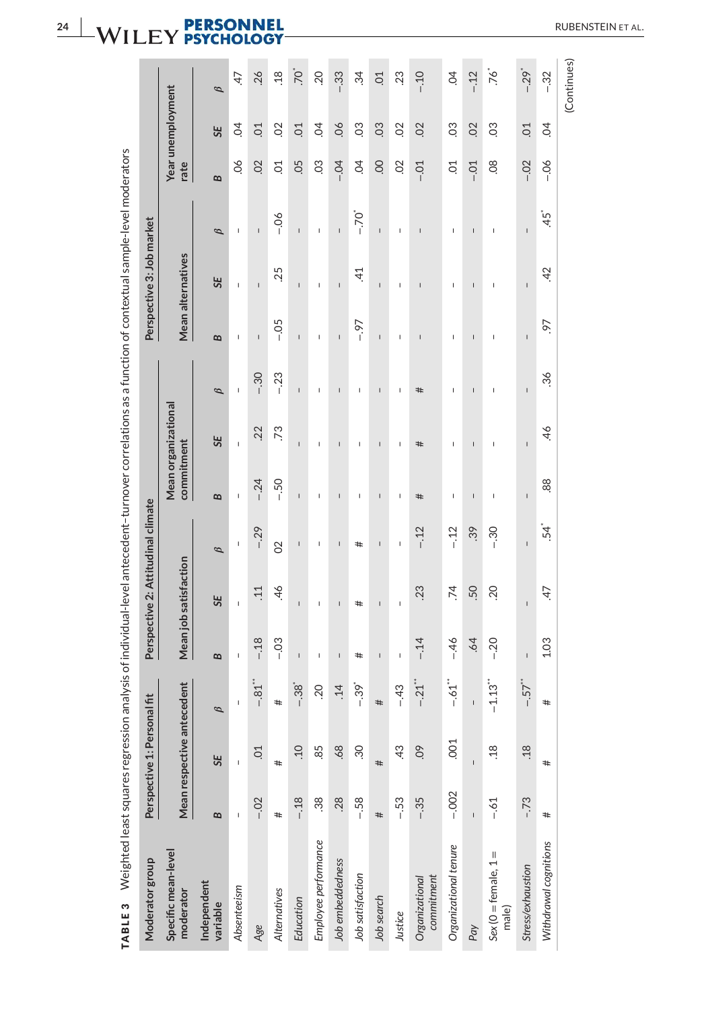| Moderator group                  |              | Perspective 1: Personal fit |                      |                                                                                                                                                                                                                                                                                                                                                                                  |                                                                                                                                                                                                                                                                                                                                                                                                                | Perspective 2: Attitudinal climate                                                                                                                                                                                                                                                                                                                                               |                          |                          |             |                                                                                                                                                                                                                                                                                                                                                                                  | Perspective 3: Job market                                                                                                                                                                                                                                                                                                                                                        |                                                                                                                                                                                                                                                                                                                                                      |                |                   |                 |
|----------------------------------|--------------|-----------------------------|----------------------|----------------------------------------------------------------------------------------------------------------------------------------------------------------------------------------------------------------------------------------------------------------------------------------------------------------------------------------------------------------------------------|----------------------------------------------------------------------------------------------------------------------------------------------------------------------------------------------------------------------------------------------------------------------------------------------------------------------------------------------------------------------------------------------------------------|----------------------------------------------------------------------------------------------------------------------------------------------------------------------------------------------------------------------------------------------------------------------------------------------------------------------------------------------------------------------------------|--------------------------|--------------------------|-------------|----------------------------------------------------------------------------------------------------------------------------------------------------------------------------------------------------------------------------------------------------------------------------------------------------------------------------------------------------------------------------------|----------------------------------------------------------------------------------------------------------------------------------------------------------------------------------------------------------------------------------------------------------------------------------------------------------------------------------------------------------------------------------|------------------------------------------------------------------------------------------------------------------------------------------------------------------------------------------------------------------------------------------------------------------------------------------------------------------------------------------------------|----------------|-------------------|-----------------|
| Specific mean-level<br>moderator |              | Mean respective antecedent  |                      |                                                                                                                                                                                                                                                                                                                                                                                  | Mean job satisfaction                                                                                                                                                                                                                                                                                                                                                                                          |                                                                                                                                                                                                                                                                                                                                                                                  | commitment               | Mean organizational      |             |                                                                                                                                                                                                                                                                                                                                                                                  | Mean alternatives                                                                                                                                                                                                                                                                                                                                                                |                                                                                                                                                                                                                                                                                                                                                      | rate           | Year unemployment |                 |
| Independent<br>variable          | B            | 5E                          | $\beta$              | B                                                                                                                                                                                                                                                                                                                                                                                | 5E                                                                                                                                                                                                                                                                                                                                                                                                             | $\boldsymbol{\beta}$                                                                                                                                                                                                                                                                                                                                                             | B                        | 5E                       | $\beta$     | B                                                                                                                                                                                                                                                                                                                                                                                | 5E                                                                                                                                                                                                                                                                                                                                                                               | $\beta$                                                                                                                                                                                                                                                                                                                                              | $\mathbf{B}$   | 5E                | $\beta$         |
| Absenteeism                      | $\sf I$      | $\mathbf{I}$                |                      | $\sf I$                                                                                                                                                                                                                                                                                                                                                                          | $\begin{array}{c} \rule{0pt}{2ex} \rule{0pt}{2ex} \rule{0pt}{2ex} \rule{0pt}{2ex} \rule{0pt}{2ex} \rule{0pt}{2ex} \rule{0pt}{2ex} \rule{0pt}{2ex} \rule{0pt}{2ex} \rule{0pt}{2ex} \rule{0pt}{2ex} \rule{0pt}{2ex} \rule{0pt}{2ex} \rule{0pt}{2ex} \rule{0pt}{2ex} \rule{0pt}{2ex} \rule{0pt}{2ex} \rule{0pt}{2ex} \rule{0pt}{2ex} \rule{0pt}{2ex} \rule{0pt}{2ex} \rule{0pt}{2ex} \rule{0pt}{2ex} \rule{0pt}{$ | I                                                                                                                                                                                                                                                                                                                                                                                | $\sf I$                  | $\sf I$                  | $\sf I$     | I                                                                                                                                                                                                                                                                                                                                                                                | $\sf I$                                                                                                                                                                                                                                                                                                                                                                          | $\begin{array}{c} \rule{0.2cm}{0.15mm} \rule{0.2cm}{0.15mm} \rule{0.2cm}{0.15mm} \rule{0.2cm}{0.15mm} \rule{0.2cm}{0.15mm} \rule{0.2cm}{0.15mm} \rule{0.2cm}{0.15mm} \rule{0.2cm}{0.15mm} \rule{0.2cm}{0.15mm} \rule{0.2cm}{0.15mm} \rule{0.2cm}{0.15mm} \rule{0.2cm}{0.15mm} \rule{0.2cm}{0.15mm} \rule{0.2cm}{0.15mm} \rule{0.2cm}{0.15mm} \rule{$ | 60             | $\overline{6}$    | $\overline{47}$ |
| Age                              | $-.02$       | 01                          | $-0.81$              | $-.18$                                                                                                                                                                                                                                                                                                                                                                           | $\overline{11}$                                                                                                                                                                                                                                                                                                                                                                                                | $-29$                                                                                                                                                                                                                                                                                                                                                                            | $-24$                    | 22                       | $-30$       | $\sf I$                                                                                                                                                                                                                                                                                                                                                                          | $\sf I$                                                                                                                                                                                                                                                                                                                                                                          | $\sf I$                                                                                                                                                                                                                                                                                                                                              | 02             | 01                | .26             |
| Alternatives                     | $\ddot{}$    | $\ddot{}$                   |                      | $-0.3$                                                                                                                                                                                                                                                                                                                                                                           | 46                                                                                                                                                                                                                                                                                                                                                                                                             | <b>SC</b>                                                                                                                                                                                                                                                                                                                                                                        | $-50$                    | .73                      | $-23$       | $-0.5$                                                                                                                                                                                                                                                                                                                                                                           | 25                                                                                                                                                                                                                                                                                                                                                                               | $-0.06$                                                                                                                                                                                                                                                                                                                                              | $\overline{C}$ | $\overline{0}$    | $\frac{8}{10}$  |
| Education                        | $-18$        | $\overline{c}$              | ႞႙ၟ                  | $\sf I$                                                                                                                                                                                                                                                                                                                                                                          | $\sf I$                                                                                                                                                                                                                                                                                                                                                                                                        | $\sf I$                                                                                                                                                                                                                                                                                                                                                                          | $\sf I$                  | $\sf I$                  | $\sf I$     | $\mathsf{I}$                                                                                                                                                                                                                                                                                                                                                                     | $\mathsf{I}$                                                                                                                                                                                                                                                                                                                                                                     | $\sf I$                                                                                                                                                                                                                                                                                                                                              | 05             | $\overline{C}$    | ö.              |
| Employee performance             | 38           | 85                          | 20                   | $\begin{array}{c} \rule{0pt}{2.5ex} \rule{0pt}{2.5ex} \rule{0pt}{2.5ex} \rule{0pt}{2.5ex} \rule{0pt}{2.5ex} \rule{0pt}{2.5ex} \rule{0pt}{2.5ex} \rule{0pt}{2.5ex} \rule{0pt}{2.5ex} \rule{0pt}{2.5ex} \rule{0pt}{2.5ex} \rule{0pt}{2.5ex} \rule{0pt}{2.5ex} \rule{0pt}{2.5ex} \rule{0pt}{2.5ex} \rule{0pt}{2.5ex} \rule{0pt}{2.5ex} \rule{0pt}{2.5ex} \rule{0pt}{2.5ex} \rule{0$ | $\begin{array}{c} \rule{0pt}{2.5ex} \rule{0pt}{2.5ex} \rule{0pt}{2.5ex} \rule{0pt}{2.5ex} \rule{0pt}{2.5ex} \rule{0pt}{2.5ex} \rule{0pt}{2.5ex} \rule{0pt}{2.5ex} \rule{0pt}{2.5ex} \rule{0pt}{2.5ex} \rule{0pt}{2.5ex} \rule{0pt}{2.5ex} \rule{0pt}{2.5ex} \rule{0pt}{2.5ex} \rule{0pt}{2.5ex} \rule{0pt}{2.5ex} \rule{0pt}{2.5ex} \rule{0pt}{2.5ex} \rule{0pt}{2.5ex} \rule{0$                               | ٠                                                                                                                                                                                                                                                                                                                                                                                | I                        | I                        | ٠           | $\begin{array}{c} \rule{0pt}{2.5ex} \rule{0pt}{2.5ex} \rule{0pt}{2.5ex} \rule{0pt}{2.5ex} \rule{0pt}{2.5ex} \rule{0pt}{2.5ex} \rule{0pt}{2.5ex} \rule{0pt}{2.5ex} \rule{0pt}{2.5ex} \rule{0pt}{2.5ex} \rule{0pt}{2.5ex} \rule{0pt}{2.5ex} \rule{0pt}{2.5ex} \rule{0pt}{2.5ex} \rule{0pt}{2.5ex} \rule{0pt}{2.5ex} \rule{0pt}{2.5ex} \rule{0pt}{2.5ex} \rule{0pt}{2.5ex} \rule{0$ | $\begin{array}{c} \rule{0pt}{2.5ex} \rule{0pt}{2.5ex} \rule{0pt}{2.5ex} \rule{0pt}{2.5ex} \rule{0pt}{2.5ex} \rule{0pt}{2.5ex} \rule{0pt}{2.5ex} \rule{0pt}{2.5ex} \rule{0pt}{2.5ex} \rule{0pt}{2.5ex} \rule{0pt}{2.5ex} \rule{0pt}{2.5ex} \rule{0pt}{2.5ex} \rule{0pt}{2.5ex} \rule{0pt}{2.5ex} \rule{0pt}{2.5ex} \rule{0pt}{2.5ex} \rule{0pt}{2.5ex} \rule{0pt}{2.5ex} \rule{0$ | $\mathsf I$                                                                                                                                                                                                                                                                                                                                          | C <sub>3</sub> | $\overline{6}$    | 20              |
| Job embeddedness                 | .28          | .68                         | $\ddot{ }$           | $\mathsf I$                                                                                                                                                                                                                                                                                                                                                                      | $\sf I$                                                                                                                                                                                                                                                                                                                                                                                                        | $\mathsf I$                                                                                                                                                                                                                                                                                                                                                                      | $\sf I$                  | $\sf I$                  | $\mathsf I$ | $\sf I$                                                                                                                                                                                                                                                                                                                                                                          | $\sf I$                                                                                                                                                                                                                                                                                                                                                                          | $\sf I$                                                                                                                                                                                                                                                                                                                                              | $-0.4$         | 06                | $-33$           |
| Job satisfaction                 | $-58-$       | 30                          | $\ddot{\varepsilon}$ | #                                                                                                                                                                                                                                                                                                                                                                                | #                                                                                                                                                                                                                                                                                                                                                                                                              | #                                                                                                                                                                                                                                                                                                                                                                                | I                        | I                        | I           | -.97                                                                                                                                                                                                                                                                                                                                                                             | $\overline{41}$                                                                                                                                                                                                                                                                                                                                                                  | $-70^*$                                                                                                                                                                                                                                                                                                                                              | $\overline{6}$ | $\overline{0}$    | 34              |
| Job search                       | #            | $\#$                        |                      | $\sf I$                                                                                                                                                                                                                                                                                                                                                                          | $\mathsf I$                                                                                                                                                                                                                                                                                                                                                                                                    | $\begin{array}{c} \rule{0.2cm}{0.15mm} \rule{0.2cm}{0.15mm} \rule{0.2cm}{0.15mm} \rule{0.2cm}{0.15mm} \rule{0.2cm}{0.15mm} \rule{0.2cm}{0.15mm} \rule{0.2cm}{0.15mm} \rule{0.2cm}{0.15mm} \rule{0.2cm}{0.15mm} \rule{0.2cm}{0.15mm} \rule{0.2cm}{0.15mm} \rule{0.2cm}{0.15mm} \rule{0.2cm}{0.15mm} \rule{0.2cm}{0.15mm} \rule{0.2cm}{0.15mm} \rule{$                             | $\overline{\phantom{a}}$ | $\overline{\phantom{a}}$ | $\mathsf I$ | $\begin{array}{c} \rule{0.2cm}{0.15mm} \rule{0.2cm}{0.15mm} \rule{0.2cm}{0.15mm} \rule{0.2cm}{0.15mm} \rule{0.2cm}{0.15mm} \rule{0.2cm}{0.15mm} \rule{0.2cm}{0.15mm} \rule{0.2cm}{0.15mm} \rule{0.2cm}{0.15mm} \rule{0.2cm}{0.15mm} \rule{0.2cm}{0.15mm} \rule{0.2cm}{0.15mm} \rule{0.2cm}{0.15mm} \rule{0.2cm}{0.15mm} \rule{0.2cm}{0.15mm} \rule{$                             | $\mathsf{I}$                                                                                                                                                                                                                                                                                                                                                                     | $\begin{array}{c} \rule{0.2cm}{0.15mm} \rule{0.2cm}{0.15mm} \rule{0.2cm}{0.15mm} \rule{0.2cm}{0.15mm} \rule{0.2cm}{0.15mm} \rule{0.2cm}{0.15mm} \rule{0.2cm}{0.15mm} \rule{0.2cm}{0.15mm} \rule{0.2cm}{0.15mm} \rule{0.2cm}{0.15mm} \rule{0.2cm}{0.15mm} \rule{0.2cm}{0.15mm} \rule{0.2cm}{0.15mm} \rule{0.2cm}{0.15mm} \rule{0.2cm}{0.15mm} \rule{$ | OO.            | 03                | C <sub>1</sub>  |
| Justice                          | $-.53$       | 43                          | 43                   | I                                                                                                                                                                                                                                                                                                                                                                                | $\begin{array}{c} \rule{0pt}{2.5ex} \rule{0pt}{2.5ex} \rule{0pt}{2.5ex} \rule{0pt}{2.5ex} \rule{0pt}{2.5ex} \rule{0pt}{2.5ex} \rule{0pt}{2.5ex} \rule{0pt}{2.5ex} \rule{0pt}{2.5ex} \rule{0pt}{2.5ex} \rule{0pt}{2.5ex} \rule{0pt}{2.5ex} \rule{0pt}{2.5ex} \rule{0pt}{2.5ex} \rule{0pt}{2.5ex} \rule{0pt}{2.5ex} \rule{0pt}{2.5ex} \rule{0pt}{2.5ex} \rule{0pt}{2.5ex} \rule{0$                               | $\begin{array}{c} \rule{0pt}{2.5ex} \rule{0pt}{2.5ex} \rule{0pt}{2.5ex} \rule{0pt}{2.5ex} \rule{0pt}{2.5ex} \rule{0pt}{2.5ex} \rule{0pt}{2.5ex} \rule{0pt}{2.5ex} \rule{0pt}{2.5ex} \rule{0pt}{2.5ex} \rule{0pt}{2.5ex} \rule{0pt}{2.5ex} \rule{0pt}{2.5ex} \rule{0pt}{2.5ex} \rule{0pt}{2.5ex} \rule{0pt}{2.5ex} \rule{0pt}{2.5ex} \rule{0pt}{2.5ex} \rule{0pt}{2.5ex} \rule{0$ | ı                        | ı                        | ٠           | ٠                                                                                                                                                                                                                                                                                                                                                                                | ٠                                                                                                                                                                                                                                                                                                                                                                                | ı                                                                                                                                                                                                                                                                                                                                                    | 02             | $\Omega$          | 23              |
| commitment<br>Organizational     | $-35$        | $\infty$                    | $\ddot{5}$           | $-.14$                                                                                                                                                                                                                                                                                                                                                                           | 23                                                                                                                                                                                                                                                                                                                                                                                                             | $-.12$                                                                                                                                                                                                                                                                                                                                                                           | #                        | #                        | #           | I                                                                                                                                                                                                                                                                                                                                                                                | I                                                                                                                                                                                                                                                                                                                                                                                | $\mathsf{I}$                                                                                                                                                                                                                                                                                                                                         | $-0.01$        | 02                | $-10$           |
| Organizational tenure            | $-.002$      | 001                         | $\cdot$ -61          | $-46$                                                                                                                                                                                                                                                                                                                                                                            | .74                                                                                                                                                                                                                                                                                                                                                                                                            | $-.12$                                                                                                                                                                                                                                                                                                                                                                           | $\mathsf I$              | $\mathsf I$              | I           | I                                                                                                                                                                                                                                                                                                                                                                                | I                                                                                                                                                                                                                                                                                                                                                                                | I                                                                                                                                                                                                                                                                                                                                                    | $\overline{C}$ | $\overline{0}$    | S.              |
| Pay                              | $\mathbf{I}$ | $\mathbf{I}$                |                      | $-64$                                                                                                                                                                                                                                                                                                                                                                            | 50                                                                                                                                                                                                                                                                                                                                                                                                             | .39                                                                                                                                                                                                                                                                                                                                                                              | $\sf I$                  | $\mathsf{I}$             | $\sf I$     | $\mathsf I$                                                                                                                                                                                                                                                                                                                                                                      | $\sf I$                                                                                                                                                                                                                                                                                                                                                                          | $\sf I$                                                                                                                                                                                                                                                                                                                                              | $-0.01$        | $\overline{0}$    | $-.12$          |
| $Sex(0 = female, 1 =$<br>male)   | $-61$        | $\frac{8}{10}$              | $13*$<br>7           | $-20$                                                                                                                                                                                                                                                                                                                                                                            | 20                                                                                                                                                                                                                                                                                                                                                                                                             | $-30$                                                                                                                                                                                                                                                                                                                                                                            | I                        | $\mathsf{I}$             | $\sf I$     | $\mathsf{I}$                                                                                                                                                                                                                                                                                                                                                                     | $\sf I$                                                                                                                                                                                                                                                                                                                                                                          | I                                                                                                                                                                                                                                                                                                                                                    | $\overline{0}$ | $\overline{c}$    | .<br>76         |
| Stress/exhaustion                | $-73$        | .18                         | $-57$                | $\mathbf{I}$                                                                                                                                                                                                                                                                                                                                                                     | $\overline{1}$                                                                                                                                                                                                                                                                                                                                                                                                 | $\mathbf{I}$                                                                                                                                                                                                                                                                                                                                                                     | $\mathsf I$              | $\mathsf{I}$             | $\sf I$     | $\mathbf{I}$                                                                                                                                                                                                                                                                                                                                                                     | $\mathbf{I}$                                                                                                                                                                                                                                                                                                                                                                     | $\mathbf{I}$                                                                                                                                                                                                                                                                                                                                         | $-0.02$        | $\overline{C}$    | $-29^{*}$       |
| Withdrawal cognitions            | #            | #                           |                      | 1.03                                                                                                                                                                                                                                                                                                                                                                             | 47                                                                                                                                                                                                                                                                                                                                                                                                             | -54<br>1                                                                                                                                                                                                                                                                                                                                                                         | 88                       | 46                       | 36          | 56.                                                                                                                                                                                                                                                                                                                                                                              | 42                                                                                                                                                                                                                                                                                                                                                                               | $\ddot{q}$                                                                                                                                                                                                                                                                                                                                           | $-06$          | $\overline{5}$    | $-.32$          |
|                                  |              |                             |                      |                                                                                                                                                                                                                                                                                                                                                                                  |                                                                                                                                                                                                                                                                                                                                                                                                                |                                                                                                                                                                                                                                                                                                                                                                                  |                          |                          |             |                                                                                                                                                                                                                                                                                                                                                                                  |                                                                                                                                                                                                                                                                                                                                                                                  |                                                                                                                                                                                                                                                                                                                                                      |                |                   | (Continues)     |

### **24** WILEY **PERSONNEL**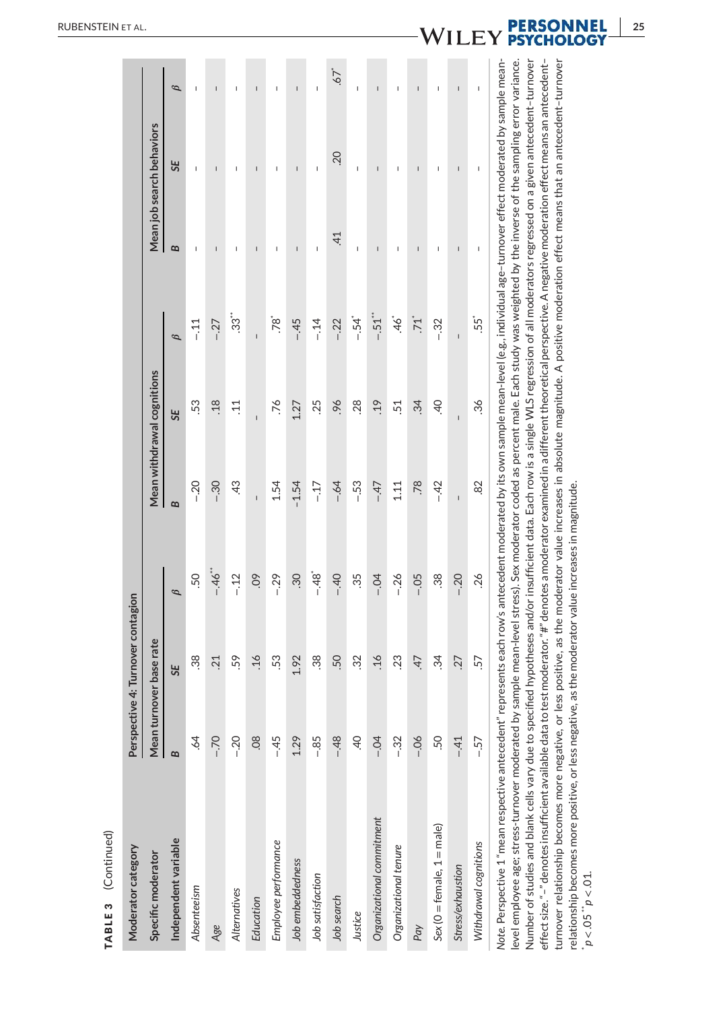| Ĺ |
|---|
|   |
|   |
|   |
|   |
|   |
|   |
|   |
|   |
|   |
|   |
|   |
|   |
|   |
|   |
|   |
|   |
|   |
|   |
| ¢ |
|   |
|   |
|   |
|   |
|   |
|   |
|   |
|   |
|   |
|   |
| Ĺ |

| Moderator category           |                         | Perspective 4: Turnover contagion |               |                            |                 |                               |                                                                                                                                                                                                                                                                                                                                                      |              |                                                                                                                                                                                                                                                                                                                                                      |
|------------------------------|-------------------------|-----------------------------------|---------------|----------------------------|-----------------|-------------------------------|------------------------------------------------------------------------------------------------------------------------------------------------------------------------------------------------------------------------------------------------------------------------------------------------------------------------------------------------------|--------------|------------------------------------------------------------------------------------------------------------------------------------------------------------------------------------------------------------------------------------------------------------------------------------------------------------------------------------------------------|
| Specific moderator           | Mean turnover base rate |                                   |               | Mean withdrawal cognitions |                 |                               | Mean job search behaviors                                                                                                                                                                                                                                                                                                                            |              |                                                                                                                                                                                                                                                                                                                                                      |
| Independent variable         | B                       | SE                                | $\beta$       | $\mathbf{a}$               | <b>SE</b>       | $\mathscr{B}$                 | B                                                                                                                                                                                                                                                                                                                                                    | <b>SE</b>    | $\mathscr{B}$                                                                                                                                                                                                                                                                                                                                        |
| Absenteeism                  | $\ddot{q}$              | 38                                | 50            | $-20$                      | 53              | $-11$                         | I                                                                                                                                                                                                                                                                                                                                                    | ı            |                                                                                                                                                                                                                                                                                                                                                      |
| Age                          | $-70$                   | .21                               | $-46"$        | $-0.30$                    | .18             | $-27$                         | $\begin{array}{c} \rule{0.2cm}{0.15mm} \rule{0.2cm}{0.15mm} \rule{0.2cm}{0.15mm} \rule{0.2cm}{0.15mm} \rule{0.2cm}{0.15mm} \rule{0.2cm}{0.15mm} \rule{0.2cm}{0.15mm} \rule{0.2cm}{0.15mm} \rule{0.2cm}{0.15mm} \rule{0.2cm}{0.15mm} \rule{0.2cm}{0.15mm} \rule{0.2cm}{0.15mm} \rule{0.2cm}{0.15mm} \rule{0.2cm}{0.15mm} \rule{0.2cm}{0.15mm} \rule{$ | $\mathsf{I}$ |                                                                                                                                                                                                                                                                                                                                                      |
| Alternatives                 | $-20$                   | 59.                               | $-12$         | 43                         | $\Xi$           | ္း                            | I                                                                                                                                                                                                                                                                                                                                                    | ı            | ı                                                                                                                                                                                                                                                                                                                                                    |
| Education                    | $\overline{8}$          | .16                               | 60            | $\overline{1}$             | ī               | $\mathbf{I}$                  | $\mathsf{I}$                                                                                                                                                                                                                                                                                                                                         | $\mathsf{I}$ | $\mathsf{I}$                                                                                                                                                                                                                                                                                                                                         |
| Employee performance         | $-45$                   | 53                                | $-29$         | 1.54                       | 76              | $\overset{\ast}{\mathcal{S}}$ | ı                                                                                                                                                                                                                                                                                                                                                    | I            | ı                                                                                                                                                                                                                                                                                                                                                    |
| Job embeddedness             | 1.29                    | 1.92                              | $\ddot{30}$   | $-1.54$                    | 1.27            | $-45$                         | $\mathsf{I}$                                                                                                                                                                                                                                                                                                                                         | $\mathsf{I}$ | ı                                                                                                                                                                                                                                                                                                                                                    |
| Job satisfaction             | $-85$                   | 38                                | $-48^{\circ}$ | $-17$                      | .25             | $-14$                         | $\sf I$                                                                                                                                                                                                                                                                                                                                              | $\mathbf{I}$ | $\mathbf{I}$                                                                                                                                                                                                                                                                                                                                         |
| Job search                   | $-48$                   | 50                                | $-40$         | $-64$                      | 96              | $-22$                         | $\overline{4}$                                                                                                                                                                                                                                                                                                                                       | 20           | $-67$                                                                                                                                                                                                                                                                                                                                                |
| Justice                      | ₹.                      | 32                                | 35            | $-53$                      | 28              | $-54$                         | I.                                                                                                                                                                                                                                                                                                                                                   | I            | I                                                                                                                                                                                                                                                                                                                                                    |
| Organizational commitment    | $-0.4$                  | .16                               | $-0.4$        | $-47$                      | .19             | $-51$ <sup>**</sup>           | I                                                                                                                                                                                                                                                                                                                                                    | $\mathsf{I}$ | ı                                                                                                                                                                                                                                                                                                                                                    |
| Organizational tenure        | $-32$                   | 23                                | $-26$         | 1.11                       | $\overline{51}$ | $\phi^*$                      | ı                                                                                                                                                                                                                                                                                                                                                    | ı            | ı                                                                                                                                                                                                                                                                                                                                                    |
| Pay                          | $-06$                   | 47                                | $-0.5$        | .78                        | $\ddot{34}$     | .71                           | $\overline{\phantom{a}}$                                                                                                                                                                                                                                                                                                                             | $\sf I$      | $\begin{array}{c} \rule{0.2cm}{0.15mm} \rule{0.2cm}{0.15mm} \rule{0.2cm}{0.15mm} \rule{0.2cm}{0.15mm} \rule{0.2cm}{0.15mm} \rule{0.2cm}{0.15mm} \rule{0.2cm}{0.15mm} \rule{0.2cm}{0.15mm} \rule{0.2cm}{0.15mm} \rule{0.2cm}{0.15mm} \rule{0.2cm}{0.15mm} \rule{0.2cm}{0.15mm} \rule{0.2cm}{0.15mm} \rule{0.2cm}{0.15mm} \rule{0.2cm}{0.15mm} \rule{$ |
| $Sex (O = female, 1 = male)$ | 50                      | 34                                | 38            | $-42$                      | $\overline{4}$  | $-32$                         | ı                                                                                                                                                                                                                                                                                                                                                    | I            | ı                                                                                                                                                                                                                                                                                                                                                    |
| Stress/exhaustion            | $-41$                   | 27                                | $-20$         | $\mathbf{I}$               | Ï               | $\mathsf{I}$                  | ı                                                                                                                                                                                                                                                                                                                                                    | $\mathsf{I}$ | I                                                                                                                                                                                                                                                                                                                                                    |
| Withdrawal cognitions        | - 57                    | 57                                | 26            | 82                         | 36              | 55°,                          | I                                                                                                                                                                                                                                                                                                                                                    | ı            | ı                                                                                                                                                                                                                                                                                                                                                    |
|                              |                         |                                   |               |                            |                 |                               |                                                                                                                                                                                                                                                                                                                                                      |              |                                                                                                                                                                                                                                                                                                                                                      |

evel employee age; stress-turnover moderated by sample mean-level stress). Sex moderator coded as percent male. Each study was weighted by the inverse of the sampling error variance. Number of studies and blank cells vary due to specified hypotheses and/or insufficient data. Each row is a single WLS regression of all moderators regressed on a given antecedent-turnover turnover relationship becomes more negative, or less positive, as the moderator value increases in absolute magnitude. A positive moderation effect means that an antecedent-turnover Note. Perspective 1"mean respective antecedent" represents each row's antecedent moderated by its own sample mean-level (e.g., individual age–turnover effect moderated by sample meaneffect size."-" denotes insufficient available data to test moderator."#" denotes a moderator examined in a different theoretical perspective. A negative moderation effect means an antecedent-*Note.* Perspective 1 "mean respective antecedent" represents each row's antecedent moderated by its own sample mean-level (e.g., individual age–turnover effect moderated by sample meanlevel employee age; stress-turnover moderated by sample mean-level stress). Sex moderator coded as percent male. Each study was weighted by the inverse of the sampling error variance. Number of studies and blank cells vary due to specified hypotheses and/or insufficient data. Each row is a single WLS regression of all moderators regressed on a given antecedent–turnover effect size. "–" denotes insufficient available data to test moderator. "#" denotes a moderator examined in a different theoretical perspective. A negative moderation effect means an antecedent– turnover relationship becomes more negative, or less positive, as the moderator value increases in absolute magnitude. A positive moderation effect means that an antecedent–turnover relationship becomes more positive, or less negative, as the moderator value increases in magnitude. relationship becomes more positive, or less negative, as the moderator value increases in magnitude. *<* .05 \*\**p <* .01.\**p*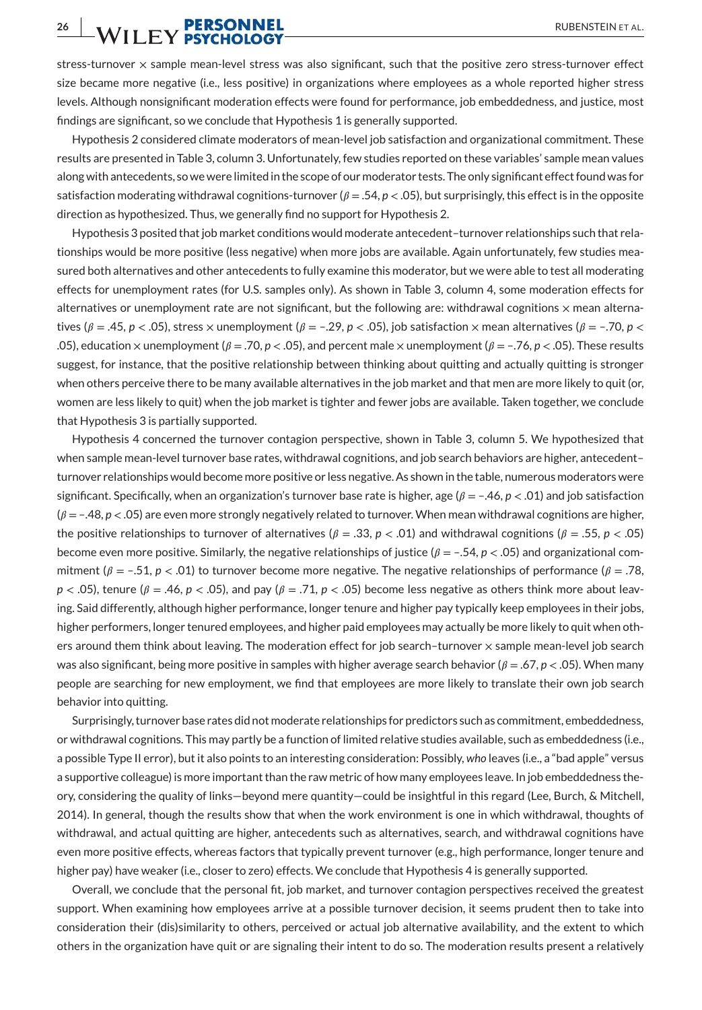# WILEY PERSONNEL<br>
2008 RUBENSTEIN ET AL.

stress-turnover  $\times$  sample mean-level stress was also significant, such that the positive zero stress-turnover effect size became more negative (i.e., less positive) in organizations where employees as a whole reported higher stress levels. Although nonsignificant moderation effects were found for performance, job embeddedness, and justice, most findings are significant, so we conclude that Hypothesis 1 is generally supported.

Hypothesis 2 considered climate moderators of mean-level job satisfaction and organizational commitment. These results are presented in Table 3, column 3. Unfortunately, few studies reported on these variables' sample mean values along with antecedents, so we were limited in the scope of our moderator tests. The only significant effect found was for satisfaction moderating withdrawal cognitions-turnover ( $\beta = .54$ ,  $p < .05$ ), but surprisingly, this effect is in the opposite direction as hypothesized. Thus, we generally find no support for Hypothesis 2.

Hypothesis 3 posited that job market conditions would moderate antecedent–turnover relationships such that relationships would be more positive (less negative) when more jobs are available. Again unfortunately, few studies measured both alternatives and other antecedents to fully examine this moderator, but we were able to test all moderating effects for unemployment rates (for U.S. samples only). As shown in Table 3, column 4, some moderation effects for alternatives or unemployment rate are not significant, but the following are: withdrawal cognitions  $\times$  mean alternatives ( $\beta = .45$ ,  $p < .05$ ), stress  $\times$  unemployment ( $\beta = -.29$ ,  $p < .05$ ), job satisfaction  $\times$  mean alternatives ( $\beta = -.70$ ,  $p <$ .05), education  $\times$  unemployment ( $\beta = .70$ ,  $p < .05$ ), and percent male  $\times$  unemployment ( $\beta = -.76$ ,  $p < .05$ ). These results suggest, for instance, that the positive relationship between thinking about quitting and actually quitting is stronger when others perceive there to be many available alternatives in the job market and that men are more likely to quit (or, women are less likely to quit) when the job market is tighter and fewer jobs are available. Taken together, we conclude that Hypothesis 3 is partially supported.

Hypothesis 4 concerned the turnover contagion perspective, shown in Table 3, column 5. We hypothesized that when sample mean-level turnover base rates, withdrawal cognitions, and job search behaviors are higher, antecedent– turnover relationships would become more positive or less negative. As shown in the table, numerous moderators were significant. Specifically, when an organization's turnover base rate is higher, age ( $\beta = -.46$ ,  $p < .01$ ) and job satisfaction  $(\beta = -.48, p < .05)$  are even more strongly negatively related to turnover. When mean withdrawal cognitions are higher, the positive relationships to turnover of alternatives ( $\beta = .33$ ,  $p < .01$ ) and withdrawal cognitions ( $\beta = .55$ ,  $p < .05$ ) become even more positive. Similarly, the negative relationships of justice ( $\beta = -0.54$ ,  $p < 0.05$ ) and organizational commitment ( $\beta = -0.51$ ,  $p < 0.01$ ) to turnover become more negative. The negative relationships of performance ( $\beta = 0.78$ ,  $p < .05$ ), tenure ( $\beta = .46$ ,  $p < .05$ ), and pay ( $\beta = .71$ ,  $p < .05$ ) become less negative as others think more about leaving. Said differently, although higher performance, longer tenure and higher pay typically keep employees in their jobs, higher performers, longer tenured employees, and higher paid employees may actually be more likely to quit when others around them think about leaving. The moderation effect for job search–turnover × sample mean-level job search was also significant, being more positive in samples with higher average search behavior ( $\beta = .67$ ,  $p < .05$ ). When many people are searching for new employment, we find that employees are more likely to translate their own job search behavior into quitting.

Surprisingly, turnover base rates did not moderate relationships for predictors such as commitment, embeddedness, or withdrawal cognitions. This may partly be a function of limited relative studies available, such as embeddedness (i.e., a possible Type II error), but it also points to an interesting consideration: Possibly, *who* leaves (i.e., a "bad apple" versus a supportive colleague) is more important than the raw metric of how many employees leave. In job embeddedness theory, considering the quality of links—beyond mere quantity—could be insightful in this regard (Lee, Burch, & Mitchell, 2014). In general, though the results show that when the work environment is one in which withdrawal, thoughts of withdrawal, and actual quitting are higher, antecedents such as alternatives, search, and withdrawal cognitions have even more positive effects, whereas factors that typically prevent turnover (e.g., high performance, longer tenure and higher pay) have weaker (i.e., closer to zero) effects. We conclude that Hypothesis 4 is generally supported.

Overall, we conclude that the personal fit, job market, and turnover contagion perspectives received the greatest support. When examining how employees arrive at a possible turnover decision, it seems prudent then to take into consideration their (dis)similarity to others, perceived or actual job alternative availability, and the extent to which others in the organization have quit or are signaling their intent to do so. The moderation results present a relatively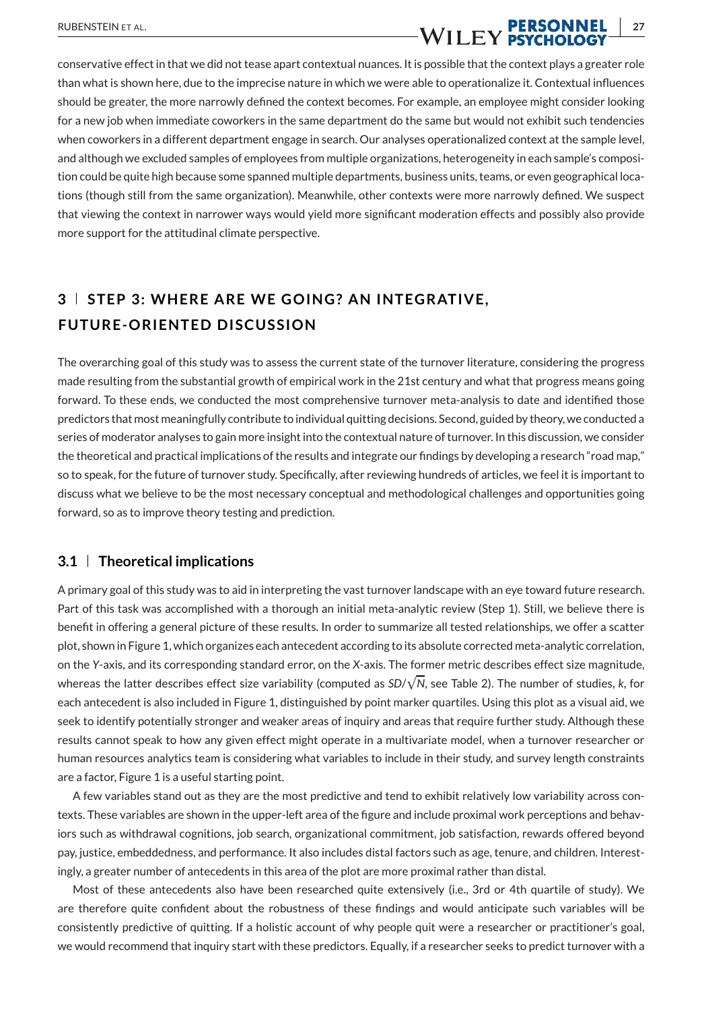

conservative effect in that we did not tease apart contextual nuances. It is possible that the context plays a greater role than what is shown here, due to the imprecise nature in which we were able to operationalize it. Contextual influences should be greater, the more narrowly defined the context becomes. For example, an employee might consider looking for a new job when immediate coworkers in the same department do the same but would not exhibit such tendencies when coworkers in a different department engage in search. Our analyses operationalized context at the sample level, and although we excluded samples of employees from multiple organizations, heterogeneity in each sample's composition could be quite high because some spanned multiple departments, business units, teams, or even geographical locations (though still from the same organization). Meanwhile, other contexts were more narrowly defined. We suspect that viewing the context in narrower ways would yield more significant moderation effects and possibly also provide more support for the attitudinal climate perspective.

#### **3 STEP 3: WHERE ARE WE GOING? AN INTEGRATIVE, FUTURE-ORIENTED DISCUSSION**

The overarching goal of this study was to assess the current state of the turnover literature, considering the progress made resulting from the substantial growth of empirical work in the 21st century and what that progress means going forward. To these ends, we conducted the most comprehensive turnover meta-analysis to date and identified those predictors that most meaningfully contribute to individual quitting decisions. Second, guided by theory, we conducted a series of moderator analyses to gain more insight into the contextual nature of turnover. In this discussion, we consider the theoretical and practical implications of the results and integrate our findings by developing a research "road map," so to speak, for the future of turnover study. Specifically, after reviewing hundreds of articles, we feel it is important to discuss what we believe to be the most necessary conceptual and methodological challenges and opportunities going forward, so as to improve theory testing and prediction.

#### **3.1 Theoretical implications**

A primary goal of this study was to aid in interpreting the vast turnover landscape with an eye toward future research. Part of this task was accomplished with a thorough an initial meta-analytic review (Step 1). Still, we believe there is benefit in offering a general picture of these results. In order to summarize all tested relationships, we offer a scatter plot, shown in Figure 1, which organizes each antecedent according to its absolute corrected meta-analytic correlation, on the *Y*-axis, and its corresponding standard error, on the *X*-axis. The former metric describes effect size magnitude, whereas the latter describes effect size variability (computed as *SD*/ √ *N*, see Table 2). The number of studies, *k*, for each antecedent is also included in Figure 1, distinguished by point marker quartiles. Using this plot as a visual aid, we seek to identify potentially stronger and weaker areas of inquiry and areas that require further study. Although these results cannot speak to how any given effect might operate in a multivariate model, when a turnover researcher or human resources analytics team is considering what variables to include in their study, and survey length constraints are a factor, Figure 1 is a useful starting point.

A few variables stand out as they are the most predictive and tend to exhibit relatively low variability across contexts. These variables are shown in the upper-left area of the figure and include proximal work perceptions and behaviors such as withdrawal cognitions, job search, organizational commitment, job satisfaction, rewards offered beyond pay, justice, embeddedness, and performance. It also includes distal factors such as age, tenure, and children. Interestingly, a greater number of antecedents in this area of the plot are more proximal rather than distal.

Most of these antecedents also have been researched quite extensively (i.e., 3rd or 4th quartile of study). We are therefore quite confident about the robustness of these findings and would anticipate such variables will be consistently predictive of quitting. If a holistic account of why people quit were a researcher or practitioner's goal, we would recommend that inquiry start with these predictors. Equally, if a researcher seeks to predict turnover with a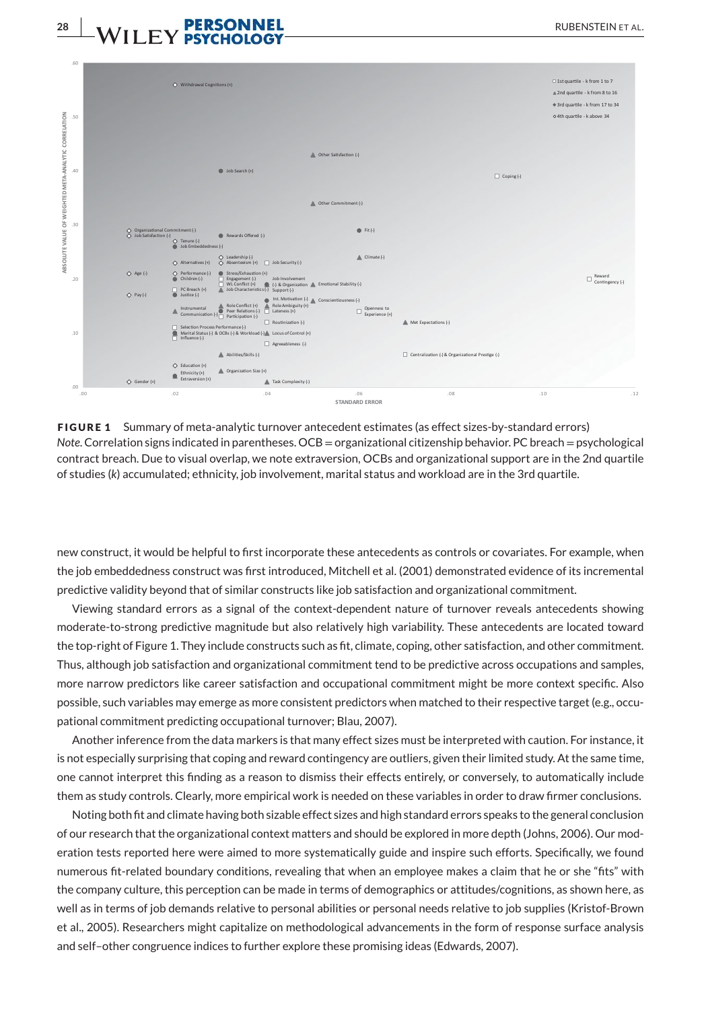### **28 RUBENSTEIN ET AL. PERSONNEL** RUBENSTEIN ET AL.



**FIGURE 1** Summary of meta-analytic turnover antecedent estimates (as effect sizes-by-standard errors) *Note*. Correlation signs indicated in parentheses. OCB = organizational citizenship behavior. PC breach = psychological contract breach. Due to visual overlap, we note extraversion, OCBs and organizational support are in the 2nd quartile of studies (*k*) accumulated; ethnicity, job involvement, marital status and workload are in the 3rd quartile.

new construct, it would be helpful to first incorporate these antecedents as controls or covariates. For example, when the job embeddedness construct was first introduced, Mitchell et al. (2001) demonstrated evidence of its incremental predictive validity beyond that of similar constructs like job satisfaction and organizational commitment.

Viewing standard errors as a signal of the context-dependent nature of turnover reveals antecedents showing moderate-to-strong predictive magnitude but also relatively high variability. These antecedents are located toward the top-right of Figure 1. They include constructs such as fit, climate, coping, other satisfaction, and other commitment. Thus, although job satisfaction and organizational commitment tend to be predictive across occupations and samples, more narrow predictors like career satisfaction and occupational commitment might be more context specific. Also possible, such variables may emerge as more consistent predictors when matched to their respective target (e.g., occupational commitment predicting occupational turnover; Blau, 2007).

Another inference from the data markers is that many effect sizes must be interpreted with caution. For instance, it is not especially surprising that coping and reward contingency are outliers, given their limited study. At the same time, one cannot interpret this finding as a reason to dismiss their effects entirely, or conversely, to automatically include them as study controls. Clearly, more empirical work is needed on these variables in order to draw firmer conclusions.

Noting both fit and climate having both sizable effect sizes and high standard errors speaks to the general conclusion of our research that the organizational context matters and should be explored in more depth (Johns, 2006). Our moderation tests reported here were aimed to more systematically guide and inspire such efforts. Specifically, we found numerous fit-related boundary conditions, revealing that when an employee makes a claim that he or she "fits" with the company culture, this perception can be made in terms of demographics or attitudes/cognitions, as shown here, as well as in terms of job demands relative to personal abilities or personal needs relative to job supplies (Kristof-Brown et al., 2005). Researchers might capitalize on methodological advancements in the form of response surface analysis and self–other congruence indices to further explore these promising ideas (Edwards, 2007).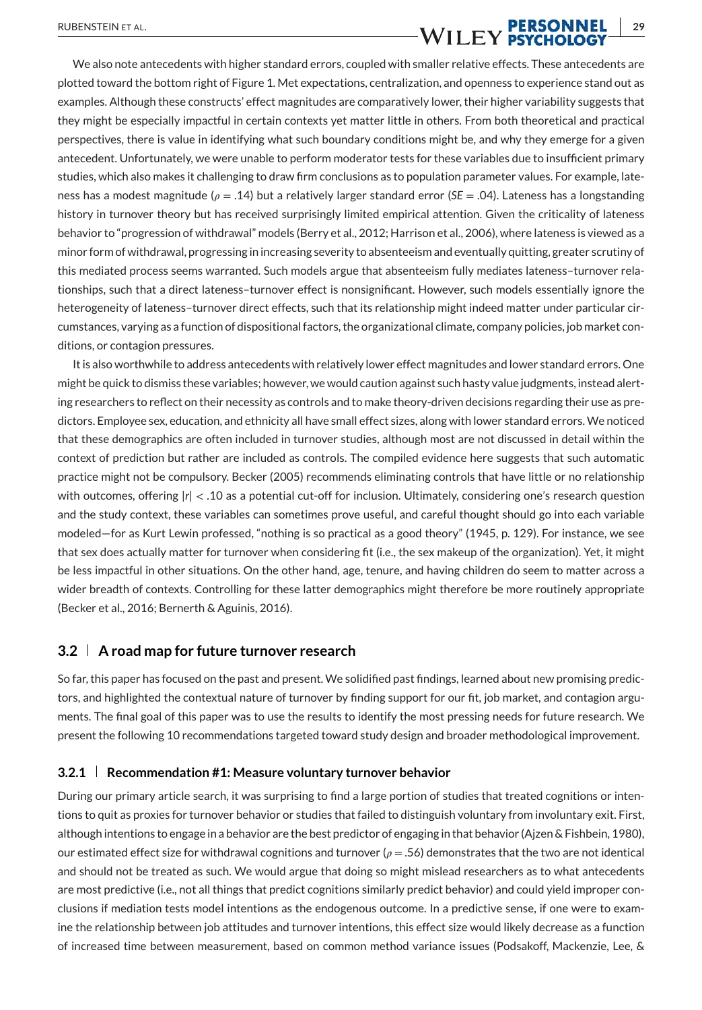### RUBENSTEIN ET AL. **29**

We also note antecedents with higher standard errors, coupled with smaller relative effects. These antecedents are plotted toward the bottom right of Figure 1. Met expectations, centralization, and openness to experience stand out as examples. Although these constructs' effect magnitudes are comparatively lower, their higher variability suggests that they might be especially impactful in certain contexts yet matter little in others. From both theoretical and practical perspectives, there is value in identifying what such boundary conditions might be, and why they emerge for a given antecedent. Unfortunately, we were unable to perform moderator tests for these variables due to insufficient primary studies, which also makes it challenging to draw firm conclusions as to population parameter values. For example, lateness has a modest magnitude ( $\rho = .14$ ) but a relatively larger standard error (*SE* = .04). Lateness has a longstanding history in turnover theory but has received surprisingly limited empirical attention. Given the criticality of lateness behavior to "progression of withdrawal" models (Berry et al., 2012; Harrison et al., 2006), where lateness is viewed as a minor form of withdrawal, progressing in increasing severity to absenteeism and eventually quitting, greater scrutiny of this mediated process seems warranted. Such models argue that absenteeism fully mediates lateness–turnover relationships, such that a direct lateness–turnover effect is nonsignificant. However, such models essentially ignore the heterogeneity of lateness–turnover direct effects, such that its relationship might indeed matter under particular circumstances, varying as a function of dispositional factors, the organizational climate, company policies, job market conditions, or contagion pressures.

It is also worthwhile to address antecedents with relatively lower effect magnitudes and lower standard errors. One might be quick to dismiss these variables; however, we would caution against such hasty value judgments, instead alerting researchers to reflect on their necessity as controls and to make theory-driven decisions regarding their use as predictors. Employee sex, education, and ethnicity all have small effect sizes, along with lower standard errors.We noticed that these demographics are often included in turnover studies, although most are not discussed in detail within the context of prediction but rather are included as controls. The compiled evidence here suggests that such automatic practice might not be compulsory. Becker (2005) recommends eliminating controls that have little or no relationship with outcomes, offering |*r| <* .10 as a potential cut-off for inclusion. Ultimately, considering one's research question and the study context, these variables can sometimes prove useful, and careful thought should go into each variable modeled—for as Kurt Lewin professed, "nothing is so practical as a good theory" (1945, p. 129). For instance, we see that sex does actually matter for turnover when considering fit (i.e., the sex makeup of the organization). Yet, it might be less impactful in other situations. On the other hand, age, tenure, and having children do seem to matter across a wider breadth of contexts. Controlling for these latter demographics might therefore be more routinely appropriate (Becker et al., 2016; Bernerth & Aguinis, 2016).

#### **3.2 A road map for future turnover research**

So far, this paper has focused on the past and present. We solidified past findings, learned about new promising predictors, and highlighted the contextual nature of turnover by finding support for our fit, job market, and contagion arguments. The final goal of this paper was to use the results to identify the most pressing needs for future research. We present the following 10 recommendations targeted toward study design and broader methodological improvement.

#### **3.2.1 Recommendation #1: Measure voluntary turnover behavior**

During our primary article search, it was surprising to find a large portion of studies that treated cognitions or intentions to quit as proxies for turnover behavior or studies that failed to distinguish voluntary from involuntary exit. First, although intentions to engage in a behavior are the best predictor of engaging in that behavior (Ajzen & Fishbein, 1980), our estimated effect size for withdrawal cognitions and turnover ( $\rho = .56$ ) demonstrates that the two are not identical and should not be treated as such. We would argue that doing so might mislead researchers as to what antecedents are most predictive (i.e., not all things that predict cognitions similarly predict behavior) and could yield improper conclusions if mediation tests model intentions as the endogenous outcome. In a predictive sense, if one were to examine the relationship between job attitudes and turnover intentions, this effect size would likely decrease as a function of increased time between measurement, based on common method variance issues (Podsakoff, Mackenzie, Lee, &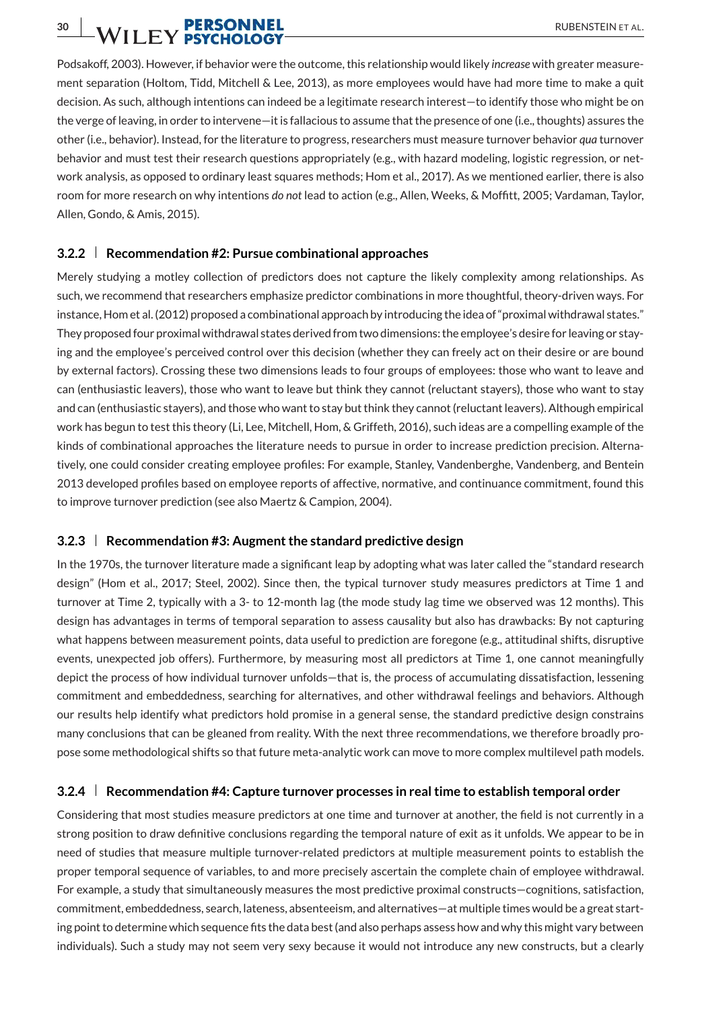Podsakoff, 2003). However, if behavior were the outcome, this relationship would likely *increase* with greater measurement separation (Holtom, Tidd, Mitchell & Lee, 2013), as more employees would have had more time to make a quit decision. As such, although intentions can indeed be a legitimate research interest—to identify those who might be on the verge of leaving, in order to intervene—it is fallacious to assume that the presence of one (i.e., thoughts) assures the other (i.e., behavior). Instead, for the literature to progress, researchers must measure turnover behavior *qua* turnover behavior and must test their research questions appropriately (e.g., with hazard modeling, logistic regression, or network analysis, as opposed to ordinary least squares methods; Hom et al., 2017). As we mentioned earlier, there is also room for more research on why intentions *do not* lead to action (e.g., Allen, Weeks, & Moffitt, 2005; Vardaman, Taylor, Allen, Gondo, & Amis, 2015).

#### **3.2.2 Recommendation #2: Pursue combinational approaches**

Merely studying a motley collection of predictors does not capture the likely complexity among relationships. As such, we recommend that researchers emphasize predictor combinations in more thoughtful, theory-driven ways. For instance, Hom et al. (2012) proposed a combinational approach by introducing the idea of "proximal withdrawal states." They proposed four proximal withdrawal states derived from two dimensions: the employee's desire for leaving or staying and the employee's perceived control over this decision (whether they can freely act on their desire or are bound by external factors). Crossing these two dimensions leads to four groups of employees: those who want to leave and can (enthusiastic leavers), those who want to leave but think they cannot (reluctant stayers), those who want to stay and can (enthusiastic stayers), and those who want to stay but think they cannot (reluctant leavers). Although empirical work has begun to test this theory (Li, Lee, Mitchell, Hom, & Griffeth, 2016), such ideas are a compelling example of the kinds of combinational approaches the literature needs to pursue in order to increase prediction precision. Alternatively, one could consider creating employee profiles: For example, Stanley, Vandenberghe, Vandenberg, and Bentein 2013 developed profiles based on employee reports of affective, normative, and continuance commitment, found this to improve turnover prediction (see also Maertz & Campion, 2004).

#### **3.2.3 Recommendation #3: Augment the standard predictive design**

In the 1970s, the turnover literature made a significant leap by adopting what was later called the "standard research design" (Hom et al., 2017; Steel, 2002). Since then, the typical turnover study measures predictors at Time 1 and turnover at Time 2, typically with a 3- to 12-month lag (the mode study lag time we observed was 12 months). This design has advantages in terms of temporal separation to assess causality but also has drawbacks: By not capturing what happens between measurement points, data useful to prediction are foregone (e.g., attitudinal shifts, disruptive events, unexpected job offers). Furthermore, by measuring most all predictors at Time 1, one cannot meaningfully depict the process of how individual turnover unfolds—that is, the process of accumulating dissatisfaction, lessening commitment and embeddedness, searching for alternatives, and other withdrawal feelings and behaviors. Although our results help identify what predictors hold promise in a general sense, the standard predictive design constrains many conclusions that can be gleaned from reality. With the next three recommendations, we therefore broadly propose some methodological shifts so that future meta-analytic work can move to more complex multilevel path models.

#### **3.2.4 Recommendation #4: Capture turnover processes in real time to establish temporal order**

Considering that most studies measure predictors at one time and turnover at another, the field is not currently in a strong position to draw definitive conclusions regarding the temporal nature of exit as it unfolds. We appear to be in need of studies that measure multiple turnover-related predictors at multiple measurement points to establish the proper temporal sequence of variables, to and more precisely ascertain the complete chain of employee withdrawal. For example, a study that simultaneously measures the most predictive proximal constructs—cognitions, satisfaction, commitment, embeddedness, search, lateness, absenteeism, and alternatives—at multiple times would be a great starting point to determine which sequence fits the data best (and also perhaps assess how and why this might vary between individuals). Such a study may not seem very sexy because it would not introduce any new constructs, but a clearly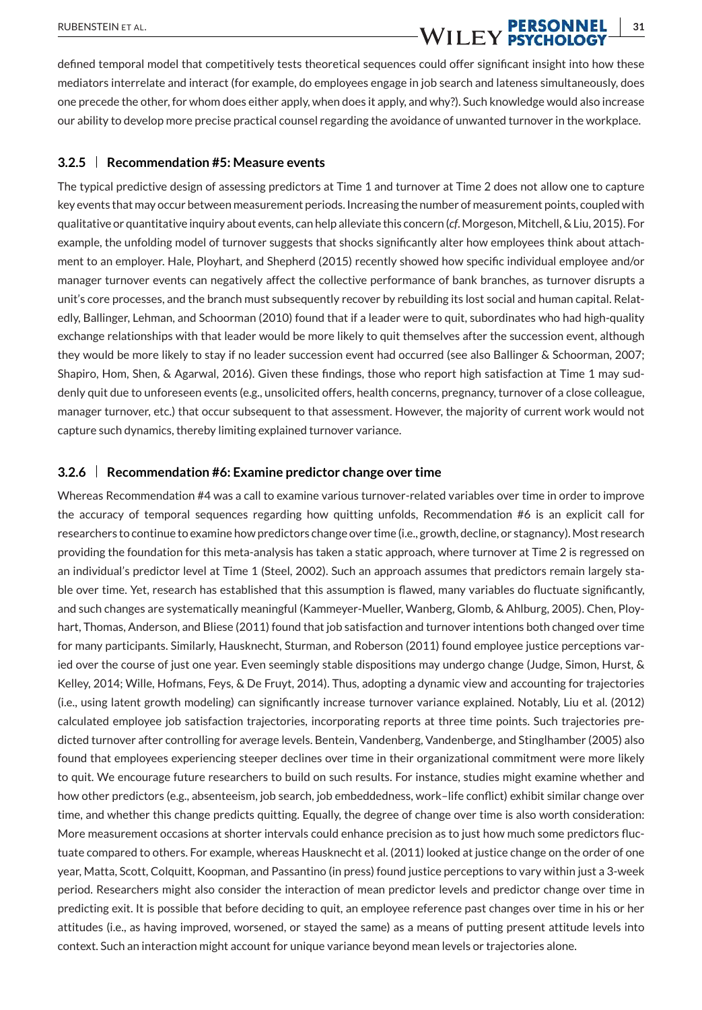### RUBENSTEIN ET AL. **31**<br><u>BUBENSTEIN ET AL.</u> 31**1 A. (2008)** - A. (311 A. (312) - A. (312) - A. (312) - A. (312) - A. (312) - A. (312) - A. (312) - A. (312) - A. (312) - A. (312) - A. (312) - A. (312) - A. (312) - A. (312) -

defined temporal model that competitively tests theoretical sequences could offer significant insight into how these mediators interrelate and interact (for example, do employees engage in job search and lateness simultaneously, does one precede the other, for whom does either apply, when does it apply, and why?). Such knowledge would also increase our ability to develop more precise practical counsel regarding the avoidance of unwanted turnover in the workplace.

#### **3.2.5 Recommendation #5: Measure events**

The typical predictive design of assessing predictors at Time 1 and turnover at Time 2 does not allow one to capture key events that may occur between measurement periods. Increasing the number of measurement points, coupled with qualitative or quantitative inquiry about events, can help alleviate this concern (*cf*.Morgeson,Mitchell, & Liu, 2015). For example, the unfolding model of turnover suggests that shocks significantly alter how employees think about attachment to an employer. Hale, Ployhart, and Shepherd (2015) recently showed how specific individual employee and/or manager turnover events can negatively affect the collective performance of bank branches, as turnover disrupts a unit's core processes, and the branch must subsequently recover by rebuilding its lost social and human capital. Relatedly, Ballinger, Lehman, and Schoorman (2010) found that if a leader were to quit, subordinates who had high-quality exchange relationships with that leader would be more likely to quit themselves after the succession event, although they would be more likely to stay if no leader succession event had occurred (see also Ballinger & Schoorman, 2007; Shapiro, Hom, Shen, & Agarwal, 2016). Given these findings, those who report high satisfaction at Time 1 may suddenly quit due to unforeseen events (e.g., unsolicited offers, health concerns, pregnancy, turnover of a close colleague, manager turnover, etc.) that occur subsequent to that assessment. However, the majority of current work would not capture such dynamics, thereby limiting explained turnover variance.

#### **3.2.6 Recommendation #6: Examine predictor change over time**

Whereas Recommendation #4 was a call to examine various turnover-related variables over time in order to improve the accuracy of temporal sequences regarding how quitting unfolds, Recommendation #6 is an explicit call for researchers to continue to examine how predictors change over time (i.e., growth, decline, or stagnancy).Most research providing the foundation for this meta-analysis has taken a static approach, where turnover at Time 2 is regressed on an individual's predictor level at Time 1 (Steel, 2002). Such an approach assumes that predictors remain largely stable over time. Yet, research has established that this assumption is flawed, many variables do fluctuate significantly, and such changes are systematically meaningful (Kammeyer-Mueller, Wanberg, Glomb, & Ahlburg, 2005). Chen, Ployhart, Thomas, Anderson, and Bliese (2011) found that job satisfaction and turnover intentions both changed over time for many participants. Similarly, Hausknecht, Sturman, and Roberson (2011) found employee justice perceptions varied over the course of just one year. Even seemingly stable dispositions may undergo change (Judge, Simon, Hurst, & Kelley, 2014; Wille, Hofmans, Feys, & De Fruyt, 2014). Thus, adopting a dynamic view and accounting for trajectories (i.e., using latent growth modeling) can significantly increase turnover variance explained. Notably, Liu et al. (2012) calculated employee job satisfaction trajectories, incorporating reports at three time points. Such trajectories predicted turnover after controlling for average levels. Bentein, Vandenberg, Vandenberge, and Stinglhamber (2005) also found that employees experiencing steeper declines over time in their organizational commitment were more likely to quit. We encourage future researchers to build on such results. For instance, studies might examine whether and how other predictors (e.g., absenteeism, job search, job embeddedness, work–life conflict) exhibit similar change over time, and whether this change predicts quitting. Equally, the degree of change over time is also worth consideration: More measurement occasions at shorter intervals could enhance precision as to just how much some predictors fluctuate compared to others. For example, whereas Hausknecht et al. (2011) looked at justice change on the order of one year, Matta, Scott, Colquitt, Koopman, and Passantino (in press) found justice perceptions to vary within just a 3-week period. Researchers might also consider the interaction of mean predictor levels and predictor change over time in predicting exit. It is possible that before deciding to quit, an employee reference past changes over time in his or her attitudes (i.e., as having improved, worsened, or stayed the same) as a means of putting present attitude levels into context. Such an interaction might account for unique variance beyond mean levels or trajectories alone.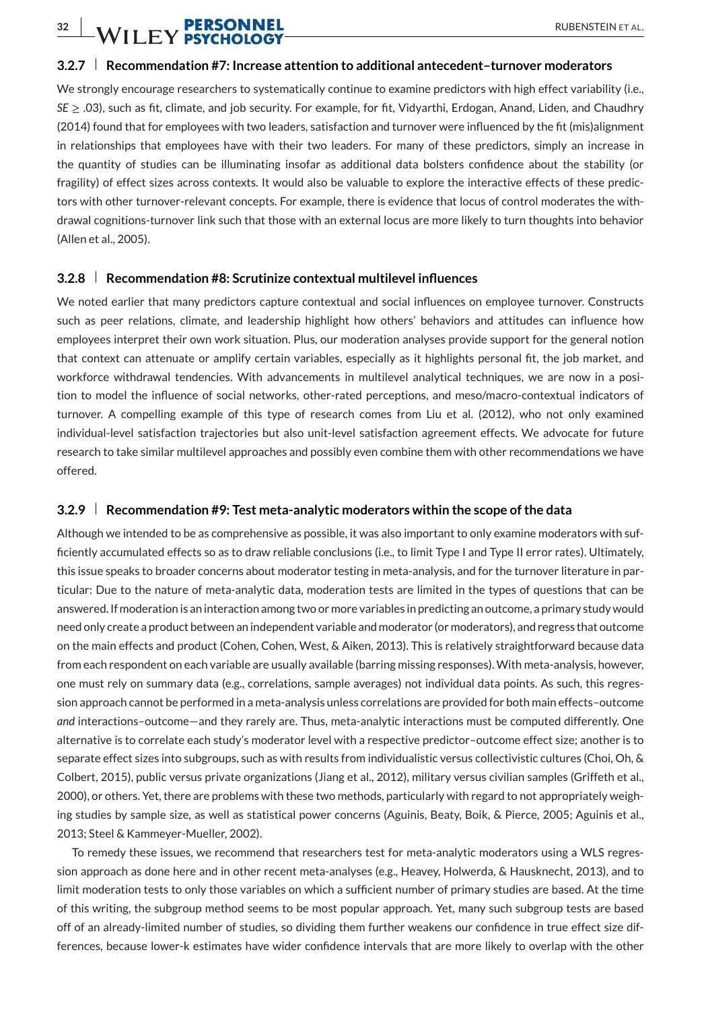#### **3.2.7 Recommendation #7: Increase attention to additional antecedent–turnover moderators**

We strongly encourage researchers to systematically continue to examine predictors with high effect variability (i.e., *SE* ≥ .03), such as fit, climate, and job security. For example, for fit, Vidyarthi, Erdogan, Anand, Liden, and Chaudhry (2014) found that for employees with two leaders, satisfaction and turnover were influenced by the fit (mis)alignment in relationships that employees have with their two leaders. For many of these predictors, simply an increase in the quantity of studies can be illuminating insofar as additional data bolsters confidence about the stability (or fragility) of effect sizes across contexts. It would also be valuable to explore the interactive effects of these predictors with other turnover-relevant concepts. For example, there is evidence that locus of control moderates the withdrawal cognitions-turnover link such that those with an external locus are more likely to turn thoughts into behavior (Allen et al., 2005).

#### **3.2.8 Recommendation #8: Scrutinize contextual multilevel influences**

We noted earlier that many predictors capture contextual and social influences on employee turnover. Constructs such as peer relations, climate, and leadership highlight how others' behaviors and attitudes can influence how employees interpret their own work situation. Plus, our moderation analyses provide support for the general notion that context can attenuate or amplify certain variables, especially as it highlights personal fit, the job market, and workforce withdrawal tendencies. With advancements in multilevel analytical techniques, we are now in a position to model the influence of social networks, other-rated perceptions, and meso/macro-contextual indicators of turnover. A compelling example of this type of research comes from Liu et al. (2012), who not only examined individual-level satisfaction trajectories but also unit-level satisfaction agreement effects. We advocate for future research to take similar multilevel approaches and possibly even combine them with other recommendations we have offered.

#### **3.2.9 Recommendation #9: Test meta-analytic moderators within the scope of the data**

Although we intended to be as comprehensive as possible, it was also important to only examine moderators with sufficiently accumulated effects so as to draw reliable conclusions (i.e., to limit Type I and Type II error rates). Ultimately, this issue speaks to broader concerns about moderator testing in meta-analysis, and for the turnover literature in particular: Due to the nature of meta-analytic data, moderation tests are limited in the types of questions that can be answered. If moderation is an interaction among two or more variables in predicting an outcome, a primary study would need only create a product between an independent variable and moderator (or moderators), and regress that outcome on the main effects and product (Cohen, Cohen, West, & Aiken, 2013). This is relatively straightforward because data from each respondent on each variable are usually available (barring missing responses). With meta-analysis, however, one must rely on summary data (e.g., correlations, sample averages) not individual data points. As such, this regression approach cannot be performed in a meta-analysis unless correlations are provided for both main effects–outcome *and* interactions–outcome—and they rarely are. Thus, meta-analytic interactions must be computed differently. One alternative is to correlate each study's moderator level with a respective predictor–outcome effect size; another is to separate effect sizes into subgroups, such as with results from individualistic versus collectivistic cultures (Choi, Oh, & Colbert, 2015), public versus private organizations (Jiang et al., 2012), military versus civilian samples (Griffeth et al., 2000), or others. Yet, there are problems with these two methods, particularly with regard to not appropriately weighing studies by sample size, as well as statistical power concerns (Aguinis, Beaty, Boik, & Pierce, 2005; Aguinis et al., 2013; Steel & Kammeyer-Mueller, 2002).

To remedy these issues, we recommend that researchers test for meta-analytic moderators using a WLS regression approach as done here and in other recent meta-analyses (e.g., Heavey, Holwerda, & Hausknecht, 2013), and to limit moderation tests to only those variables on which a sufficient number of primary studies are based. At the time of this writing, the subgroup method seems to be most popular approach. Yet, many such subgroup tests are based off of an already-limited number of studies, so dividing them further weakens our confidence in true effect size differences, because lower-k estimates have wider confidence intervals that are more likely to overlap with the other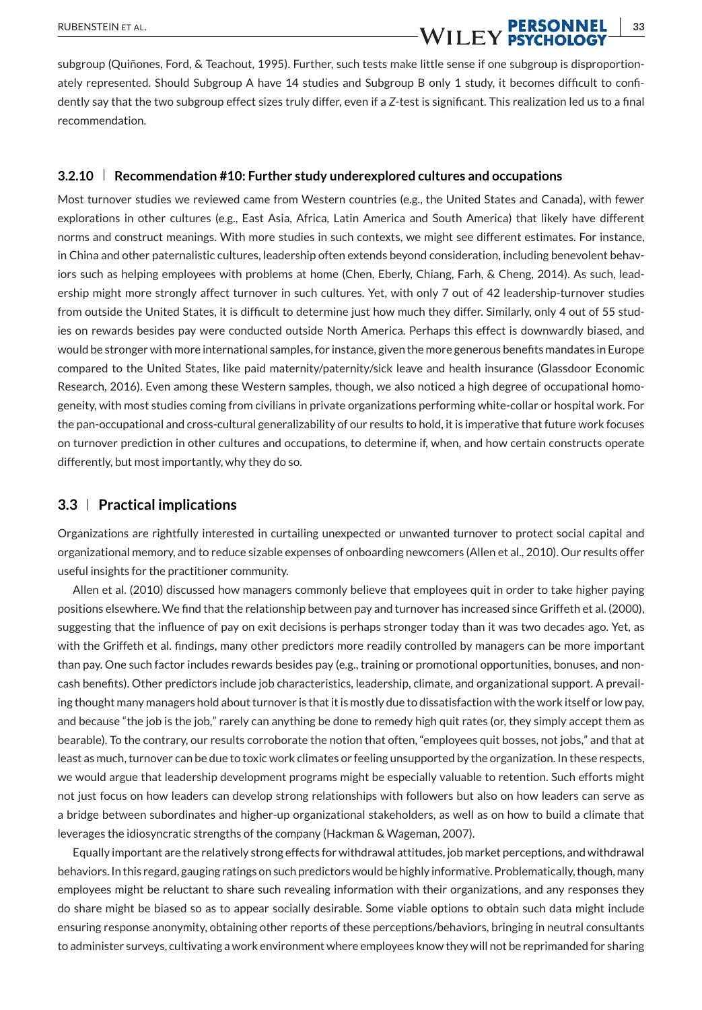RUBENSTEIN ET AL. **33**

subgroup (Quiñones, Ford, & Teachout, 1995). Further, such tests make little sense if one subgroup is disproportionately represented. Should Subgroup A have 14 studies and Subgroup B only 1 study, it becomes difficult to confidently say that the two subgroup effect sizes truly differ, even if a *Z*-test is significant. This realization led us to a final recommendation.

#### **3.2.10 Recommendation #10: Further study underexplored cultures and occupations**

Most turnover studies we reviewed came from Western countries (e.g., the United States and Canada), with fewer explorations in other cultures (e.g., East Asia, Africa, Latin America and South America) that likely have different norms and construct meanings. With more studies in such contexts, we might see different estimates. For instance, in China and other paternalistic cultures, leadership often extends beyond consideration, including benevolent behaviors such as helping employees with problems at home (Chen, Eberly, Chiang, Farh, & Cheng, 2014). As such, leadership might more strongly affect turnover in such cultures. Yet, with only 7 out of 42 leadership-turnover studies from outside the United States, it is difficult to determine just how much they differ. Similarly, only 4 out of 55 studies on rewards besides pay were conducted outside North America. Perhaps this effect is downwardly biased, and would be stronger with more international samples, for instance, given the more generous benefits mandates in Europe compared to the United States, like paid maternity/paternity/sick leave and health insurance (Glassdoor Economic Research, 2016). Even among these Western samples, though, we also noticed a high degree of occupational homogeneity, with most studies coming from civilians in private organizations performing white-collar or hospital work. For the pan-occupational and cross-cultural generalizability of our results to hold, it is imperative that future work focuses on turnover prediction in other cultures and occupations, to determine if, when, and how certain constructs operate differently, but most importantly, why they do so.

#### **3.3 Practical implications**

Organizations are rightfully interested in curtailing unexpected or unwanted turnover to protect social capital and organizational memory, and to reduce sizable expenses of onboarding newcomers (Allen et al., 2010). Our results offer useful insights for the practitioner community.

Allen et al. (2010) discussed how managers commonly believe that employees quit in order to take higher paying positions elsewhere. We find that the relationship between pay and turnover has increased since Griffeth et al. (2000), suggesting that the influence of pay on exit decisions is perhaps stronger today than it was two decades ago. Yet, as with the Griffeth et al. findings, many other predictors more readily controlled by managers can be more important than pay. One such factor includes rewards besides pay (e.g., training or promotional opportunities, bonuses, and noncash benefits). Other predictors include job characteristics, leadership, climate, and organizational support. A prevailing thought many managers hold about turnover is that it is mostly due to dissatisfaction with the work itself or low pay, and because "the job is the job," rarely can anything be done to remedy high quit rates (or, they simply accept them as bearable). To the contrary, our results corroborate the notion that often, "employees quit bosses, not jobs," and that at least as much, turnover can be due to toxic work climates or feeling unsupported by the organization. In these respects, we would argue that leadership development programs might be especially valuable to retention. Such efforts might not just focus on how leaders can develop strong relationships with followers but also on how leaders can serve as a bridge between subordinates and higher-up organizational stakeholders, as well as on how to build a climate that leverages the idiosyncratic strengths of the company (Hackman & Wageman, 2007).

Equally important are the relatively strong effects for withdrawal attitudes, job market perceptions, and withdrawal behaviors. In this regard, gauging ratings on such predictors would be highly informative. Problematically, though, many employees might be reluctant to share such revealing information with their organizations, and any responses they do share might be biased so as to appear socially desirable. Some viable options to obtain such data might include ensuring response anonymity, obtaining other reports of these perceptions/behaviors, bringing in neutral consultants to administer surveys, cultivating a work environment where employees know they will not be reprimanded for sharing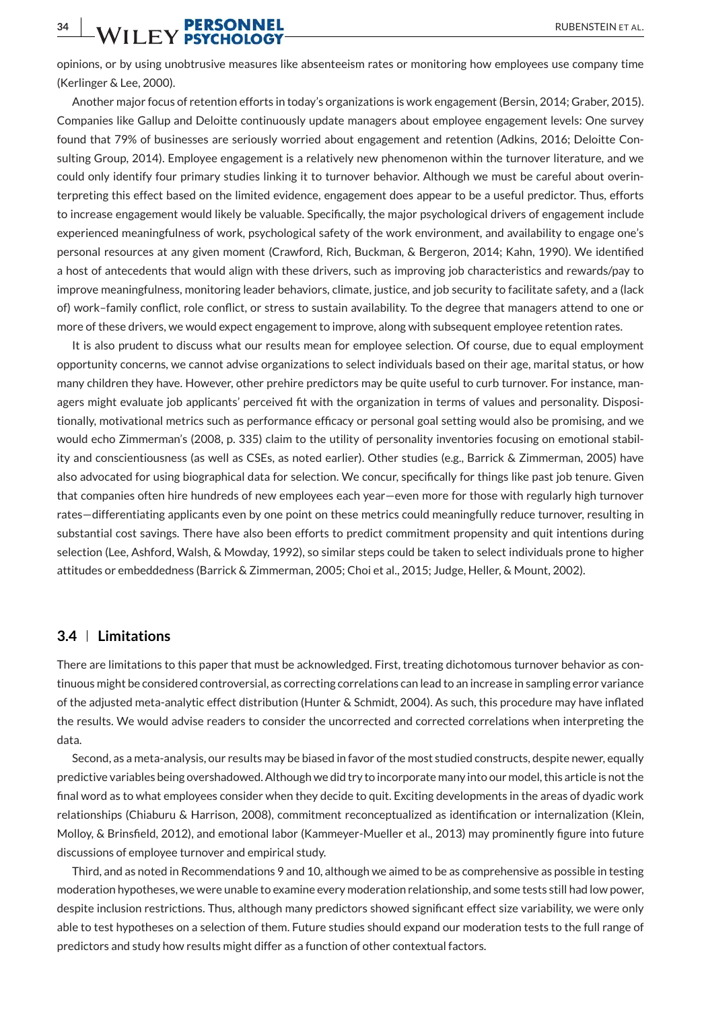### WILEY PERSONNEL<br>WILEY PSYCHOLOGY

opinions, or by using unobtrusive measures like absenteeism rates or monitoring how employees use company time (Kerlinger & Lee, 2000).

Another major focus of retention efforts in today's organizations is work engagement (Bersin, 2014; Graber, 2015). Companies like Gallup and Deloitte continuously update managers about employee engagement levels: One survey found that 79% of businesses are seriously worried about engagement and retention (Adkins, 2016; Deloitte Consulting Group, 2014). Employee engagement is a relatively new phenomenon within the turnover literature, and we could only identify four primary studies linking it to turnover behavior. Although we must be careful about overinterpreting this effect based on the limited evidence, engagement does appear to be a useful predictor. Thus, efforts to increase engagement would likely be valuable. Specifically, the major psychological drivers of engagement include experienced meaningfulness of work, psychological safety of the work environment, and availability to engage one's personal resources at any given moment (Crawford, Rich, Buckman, & Bergeron, 2014; Kahn, 1990). We identified a host of antecedents that would align with these drivers, such as improving job characteristics and rewards/pay to improve meaningfulness, monitoring leader behaviors, climate, justice, and job security to facilitate safety, and a (lack of) work–family conflict, role conflict, or stress to sustain availability. To the degree that managers attend to one or more of these drivers, we would expect engagement to improve, along with subsequent employee retention rates.

It is also prudent to discuss what our results mean for employee selection. Of course, due to equal employment opportunity concerns, we cannot advise organizations to select individuals based on their age, marital status, or how many children they have. However, other prehire predictors may be quite useful to curb turnover. For instance, managers might evaluate job applicants' perceived fit with the organization in terms of values and personality. Dispositionally, motivational metrics such as performance efficacy or personal goal setting would also be promising, and we would echo Zimmerman's (2008, p. 335) claim to the utility of personality inventories focusing on emotional stability and conscientiousness (as well as CSEs, as noted earlier). Other studies (e.g., Barrick & Zimmerman, 2005) have also advocated for using biographical data for selection. We concur, specifically for things like past job tenure. Given that companies often hire hundreds of new employees each year—even more for those with regularly high turnover rates—differentiating applicants even by one point on these metrics could meaningfully reduce turnover, resulting in substantial cost savings. There have also been efforts to predict commitment propensity and quit intentions during selection (Lee, Ashford, Walsh, & Mowday, 1992), so similar steps could be taken to select individuals prone to higher attitudes or embeddedness (Barrick & Zimmerman, 2005; Choi et al., 2015; Judge, Heller, & Mount, 2002).

#### **3.4 Limitations**

There are limitations to this paper that must be acknowledged. First, treating dichotomous turnover behavior as continuous might be considered controversial, as correcting correlations can lead to an increase in sampling error variance of the adjusted meta-analytic effect distribution (Hunter & Schmidt, 2004). As such, this procedure may have inflated the results. We would advise readers to consider the uncorrected and corrected correlations when interpreting the data.

Second, as a meta-analysis, our results may be biased in favor of the most studied constructs, despite newer, equally predictive variables being overshadowed. Although we did try to incorporate many into our model, this article is not the final word as to what employees consider when they decide to quit. Exciting developments in the areas of dyadic work relationships (Chiaburu & Harrison, 2008), commitment reconceptualized as identification or internalization (Klein, Molloy, & Brinsfield, 2012), and emotional labor (Kammeyer-Mueller et al., 2013) may prominently figure into future discussions of employee turnover and empirical study.

Third, and as noted in Recommendations 9 and 10, although we aimed to be as comprehensive as possible in testing moderation hypotheses, we were unable to examine every moderation relationship, and some tests still had low power, despite inclusion restrictions. Thus, although many predictors showed significant effect size variability, we were only able to test hypotheses on a selection of them. Future studies should expand our moderation tests to the full range of predictors and study how results might differ as a function of other contextual factors.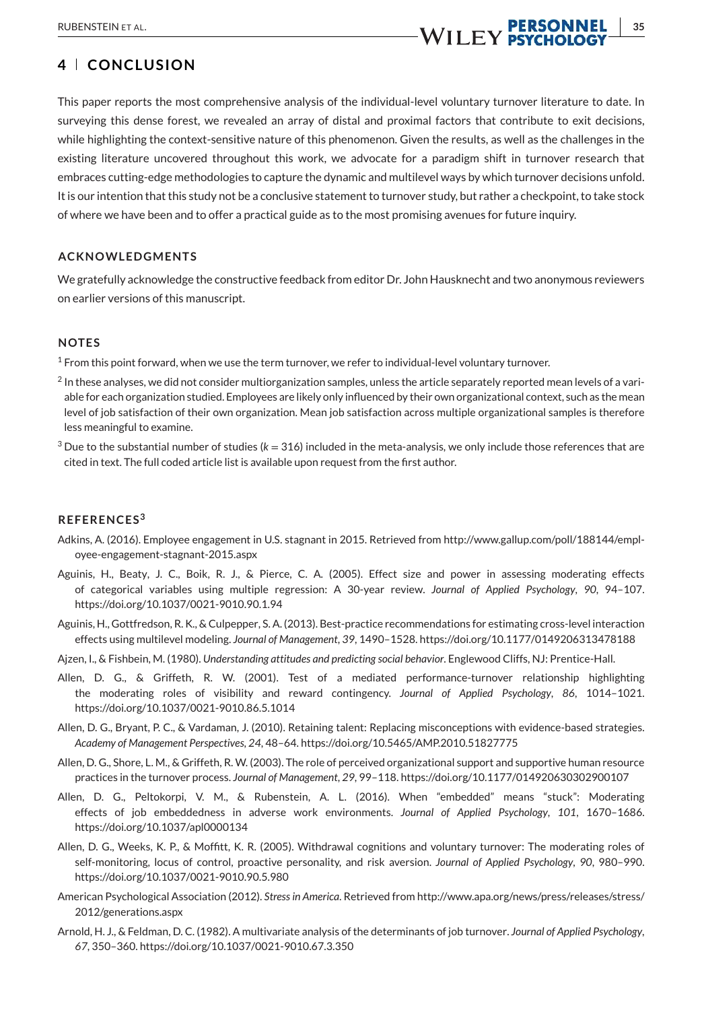

#### **4 CONCLUSION**

This paper reports the most comprehensive analysis of the individual-level voluntary turnover literature to date. In surveying this dense forest, we revealed an array of distal and proximal factors that contribute to exit decisions, while highlighting the context-sensitive nature of this phenomenon. Given the results, as well as the challenges in the existing literature uncovered throughout this work, we advocate for a paradigm shift in turnover research that embraces cutting-edge methodologies to capture the dynamic and multilevel ways by which turnover decisions unfold. It is our intention that this study not be a conclusive statement to turnover study, but rather a checkpoint, to take stock of where we have been and to offer a practical guide as to the most promising avenues for future inquiry.

#### **ACKNOWLEDGMENTS**

We gratefully acknowledge the constructive feedback from editor Dr. John Hausknecht and two anonymous reviewers on earlier versions of this manuscript.

#### **NOTES**

- $1$  From this point forward, when we use the term turnover, we refer to individual-level voluntary turnover.
- $<sup>2</sup>$  In these analyses, we did not consider multiorganization samples, unless the article separately reported mean levels of a vari-</sup> able for each organization studied. Employees are likely only influenced by their own organizational context, such as the mean level of job satisfaction of their own organization. Mean job satisfaction across multiple organizational samples is therefore less meaningful to examine.
- $3$  Due to the substantial number of studies ( $k = 316$ ) included in the meta-analysis, we only include those references that are cited in text. The full coded article list is available upon request from the first author.

#### **REFERENCES<sup>3</sup>**

- Adkins, A. (2016). Employee engagement in U.S. stagnant in 2015. Retrieved from [http://www.gallup.com/poll/188144/empl](http://www.gallup.com/poll/188144/employee-engagement-stagnant-2015.aspx)[oyee-engagement-stagnant-2015.aspx](http://www.gallup.com/poll/188144/employee-engagement-stagnant-2015.aspx)
- Aguinis, H., Beaty, J. C., Boik, R. J., & Pierce, C. A. (2005). Effect size and power in assessing moderating effects of categorical variables using multiple regression: A 30-year review. *Journal of Applied Psychology*, *90*, 94–107. <https://doi.org/10.1037/0021-9010.90.1.94>
- Aguinis, H., Gottfredson, R. K., & Culpepper, S. A. (2013). Best-practice recommendations for estimating cross-level interaction effects using multilevel modeling. *Journal of Management*, *39*, 1490–1528.<https://doi.org/10.1177/0149206313478188>
- Ajzen, I., & Fishbein, M. (1980). *Understanding attitudes and predicting social behavior*. Englewood Cliffs, NJ: Prentice-Hall.
- Allen, D. G., & Griffeth, R. W. (2001). Test of a mediated performance-turnover relationship highlighting the moderating roles of visibility and reward contingency. *Journal of Applied Psychology*, *86*, 1014–1021. <https://doi.org/10.1037/0021-9010.86.5.1014>
- Allen, D. G., Bryant, P. C., & Vardaman, J. (2010). Retaining talent: Replacing misconceptions with evidence-based strategies. *Academy of Management Perspectives*, *24*, 48–64.<https://doi.org/10.5465/AMP.2010.51827775>
- Allen, D. G., Shore, L. M., & Griffeth, R. W. (2003). The role of perceived organizational support and supportive human resource practices in the turnover process. *Journal of Management*, *29*, 99–118.<https://doi.org/10.1177/014920630302900107>
- Allen, D. G., Peltokorpi, V. M., & Rubenstein, A. L. (2016). When "embedded" means "stuck": Moderating effects of job embeddedness in adverse work environments. *Journal of Applied Psychology*, *101*, 1670–1686. <https://doi.org/10.1037/apl0000134>
- Allen, D. G., Weeks, K. P., & Moffitt, K. R. (2005). Withdrawal cognitions and voluntary turnover: The moderating roles of self-monitoring, locus of control, proactive personality, and risk aversion. *Journal of Applied Psychology*, *90*, 980–990. <https://doi.org/10.1037/0021-9010.90.5.980>
- American Psychological Association (2012). *Stress in America*. Retrieved from [http://www.apa.org/news/press/releases/stress/](http://www.apa.org/news/press/releases/stress/2012/generations.aspx) [2012/generations.aspx](http://www.apa.org/news/press/releases/stress/2012/generations.aspx)
- Arnold, H. J., & Feldman, D. C. (1982). A multivariate analysis of the determinants of job turnover. *Journal of Applied Psychology*, *67*, 350–360.<https://doi.org/10.1037/0021-9010.67.3.350>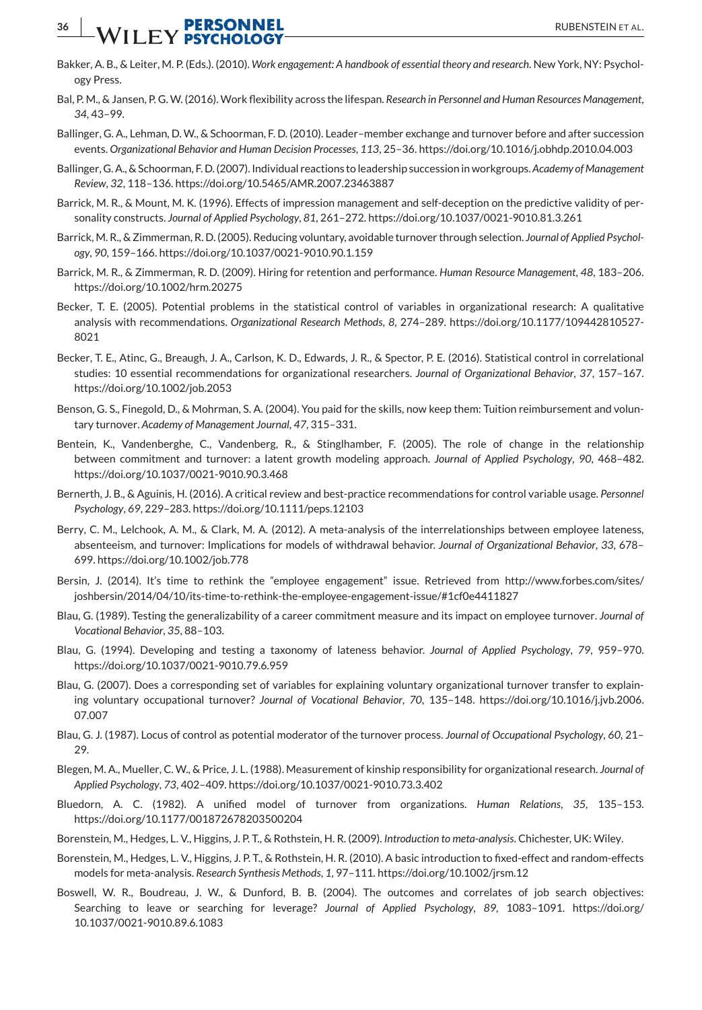### **36 RUBENSTEIN ET AL.**<br>**36 RUBENSTEIN ET AL.**<br>**36 RUBENSTEIN ET AL.**

- Bakker, A. B., & Leiter, M. P. (Eds.). (2010). *Work engagement: A handbook of essential theory and research*. New York, NY: Psychology Press.
- Bal, P. M., & Jansen, P. G. W. (2016). Work flexibility across the lifespan. *Research in Personnel and Human Resources Management*, *34*, 43–99.
- Ballinger, G. A., Lehman, D. W., & Schoorman, F. D. (2010). Leader–member exchange and turnover before and after succession events. *Organizational Behavior and Human Decision Processes*, *113*, 25–36.<https://doi.org/10.1016/j.obhdp.2010.04.003>
- Ballinger, G. A., & Schoorman, F. D. (2007). Individual reactions to leadership succession in workgroups.*Academy of Management Review*, *32*, 118–136.<https://doi.org/10.5465/AMR.2007.23463887>
- Barrick, M. R., & Mount, M. K. (1996). Effects of impression management and self-deception on the predictive validity of personality constructs. *Journal of Applied Psychology*, *81*, 261–272[. https://doi.org/10.1037/0021-9010.81.3.261](https://doi.org/10.1037/0021-9010.81.3.261)
- Barrick, M. R., & Zimmerman, R. D. (2005). Reducing voluntary, avoidable turnover through selection. *Journal of Applied Psychology*, *90*, 159–166.<https://doi.org/10.1037/0021-9010.90.1.159>
- Barrick, M. R., & Zimmerman, R. D. (2009). Hiring for retention and performance. *Human Resource Management*, *48*, 183–206. <https://doi.org/10.1002/hrm.20275>
- Becker, T. E. (2005). Potential problems in the statistical control of variables in organizational research: A qualitative analysis with recommendations. *Organizational Research Methods*, *8*, 274–289. [https://doi.org/10.1177/109442810527-](https://doi.org/10.1177/1094428105278021) [8021](https://doi.org/10.1177/1094428105278021)
- Becker, T. E., Atinc, G., Breaugh, J. A., Carlson, K. D., Edwards, J. R., & Spector, P. E. (2016). Statistical control in correlational studies: 10 essential recommendations for organizational researchers. *Journal of Organizational Behavior*, *37*, 157–167. <https://doi.org/10.1002/job.2053>
- Benson, G. S., Finegold, D., & Mohrman, S. A. (2004). You paid for the skills, now keep them: Tuition reimbursement and voluntary turnover. *Academy of Management Journal*, *47*, 315–331.
- Bentein, K., Vandenberghe, C., Vandenberg, R., & Stinglhamber, F. (2005). The role of change in the relationship between commitment and turnover: a latent growth modeling approach. *Journal of Applied Psychology*, *90*, 468–482. <https://doi.org/10.1037/0021-9010.90.3.468>
- Bernerth, J. B., & Aguinis, H. (2016). A critical review and best-practice recommendations for control variable usage. *Personnel Psychology*, *69*, 229–283.<https://doi.org/10.1111/peps.12103>
- Berry, C. M., Lelchook, A. M., & Clark, M. A. (2012). A meta-analysis of the interrelationships between employee lateness, absenteeism, and turnover: Implications for models of withdrawal behavior. *Journal of Organizational Behavior*, *33*, 678– 699.<https://doi.org/10.1002/job.778>
- Bersin, J. (2014). It's time to rethink the "employee engagement" issue. Retrieved from [http://www.forbes.com/sites/](http://www.forbes.com/sites/joshbersin/2014/04/10/its-time-to-rethink-the-employee-engagement-issue/\0431cf0e4411827) [joshbersin/2014/04/10/its-time-to-rethink-the-employee-engagement-issue/#1cf0e4411827](http://www.forbes.com/sites/joshbersin/2014/04/10/its-time-to-rethink-the-employee-engagement-issue/\0431cf0e4411827)
- Blau, G. (1989). Testing the generalizability of a career commitment measure and its impact on employee turnover. *Journal of Vocational Behavior*, *35*, 88–103.
- Blau, G. (1994). Developing and testing a taxonomy of lateness behavior. *Journal of Applied Psychology*, *79*, 959–970. <https://doi.org/10.1037/0021-9010.79.6.959>
- Blau, G. (2007). Does a corresponding set of variables for explaining voluntary organizational turnover transfer to explaining voluntary occupational turnover? *Journal of Vocational Behavior*, *70*, 135–148. [https://doi.org/10.1016/j.jvb.2006.](https://doi.org/10.1016/j.jvb.2006.07.007) [07.007](https://doi.org/10.1016/j.jvb.2006.07.007)
- Blau, G. J. (1987). Locus of control as potential moderator of the turnover process. *Journal of Occupational Psychology*, *60*, 21– 29.
- Blegen, M. A., Mueller, C. W., & Price, J. L. (1988). Measurement of kinship responsibility for organizational research. *Journal of Applied Psychology*, *73*, 402–409.<https://doi.org/10.1037/0021-9010.73.3.402>
- Bluedorn, A. C. (1982). A unified model of turnover from organizations. *Human Relations*, *35*, 135–153. [https://doi.org/10.1177/001872678203500204]( https://doi.org/10.1177/001872678203500204)
- Borenstein, M., Hedges, L. V., Higgins, J. P. T., & Rothstein, H. R. (2009). *Introduction to meta-analysis*. Chichester, UK: Wiley.
- Borenstein, M., Hedges, L. V., Higgins, J. P. T., & Rothstein, H. R. (2010). A basic introduction to fixed-effect and random-effects models for meta-analysis. *Research Synthesis Methods*, *1*, 97–111.<https://doi.org/10.1002/jrsm.12>
- Boswell, W. R., Boudreau, J. W., & Dunford, B. B. (2004). The outcomes and correlates of job search objectives: Searching to leave or searching for leverage? *Journal of Applied Psychology*, *89*, 1083–1091. [https://doi.org/](https://doi.org/10.1037/0021-9010.89.6.1083) [10.1037/0021-9010.89.6.1083](https://doi.org/10.1037/0021-9010.89.6.1083)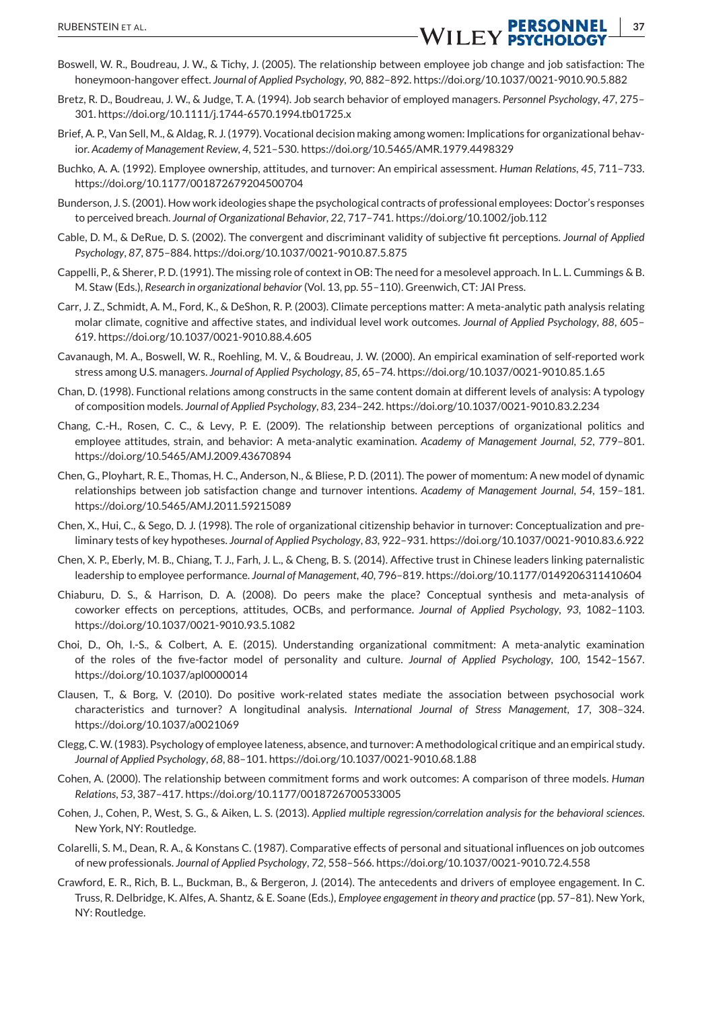# RUBENSTEIN ET AL. **37**<br> **WII FV BENSONNEL** 37

- Boswell, W. R., Boudreau, J. W., & Tichy, J. (2005). The relationship between employee job change and job satisfaction: The honeymoon-hangover effect. *Journal of Applied Psychology*, *90*, 882–892.<https://doi.org/10.1037/0021-9010.90.5.882>
- Bretz, R. D., Boudreau, J. W., & Judge, T. A. (1994). Job search behavior of employed managers. *Personnel Psychology*, *47*, 275– 301.<https://doi.org/10.1111/j.1744-6570.1994.tb01725.x>
- Brief, A. P., Van Sell, M., & Aldag, R. J. (1979). Vocational decision making among women: Implications for organizational behavior. *Academy of Management Review*, *4*, 521–530.<https://doi.org/10.5465/AMR.1979.4498329>
- Buchko, A. A. (1992). Employee ownership, attitudes, and turnover: An empirical assessment. *Human Relations*, *45*, 711–733. <https://doi.org/10.1177/001872679204500704>
- Bunderson, J. S. (2001). How work ideologies shape the psychological contracts of professional employees: Doctor's responses to perceived breach. *Journal of Organizational Behavior*, *22*, 717–741.<https://doi.org/10.1002/job.112>
- Cable, D. M., & DeRue, D. S. (2002). The convergent and discriminant validity of subjective fit perceptions. *Journal of Applied Psychology*, *87*, 875–884.<https://doi.org/10.1037/0021-9010.87.5.875>
- Cappelli, P., & Sherer, P. D. (1991). The missing role of context in OB: The need for a mesolevel approach. In L. L. Cummings & B. M. Staw (Eds.), *Research in organizational behavior* (Vol. 13, pp. 55–110). Greenwich, CT: JAI Press.
- Carr, J. Z., Schmidt, A. M., Ford, K., & DeShon, R. P. (2003). Climate perceptions matter: A meta-analytic path analysis relating molar climate, cognitive and affective states, and individual level work outcomes. *Journal of Applied Psychology*, *88*, 605– 619.<https://doi.org/10.1037/0021-9010.88.4.605>
- Cavanaugh, M. A., Boswell, W. R., Roehling, M. V., & Boudreau, J. W. (2000). An empirical examination of self-reported work stress among U.S. managers. *Journal of Applied Psychology*, *85*, 65–74.<https://doi.org/10.1037/0021-9010.85.1.65>
- Chan, D. (1998). Functional relations among constructs in the same content domain at different levels of analysis: A typology of composition models. *Journal of Applied Psychology*, *83*, 234–242.<https://doi.org/10.1037/0021-9010.83.2.234>
- Chang, C.-H., Rosen, C. C., & Levy, P. E. (2009). The relationship between perceptions of organizational politics and employee attitudes, strain, and behavior: A meta-analytic examination. *Academy of Management Journal*, *52*, 779–801. <https://doi.org/10.5465/AMJ.2009.43670894>
- Chen, G., Ployhart, R. E., Thomas, H. C., Anderson, N., & Bliese, P. D. (2011). The power of momentum: A new model of dynamic relationships between job satisfaction change and turnover intentions. *Academy of Management Journal*, *54*, 159–181. <https://doi.org/10.5465/AMJ.2011.59215089>
- Chen, X., Hui, C., & Sego, D. J. (1998). The role of organizational citizenship behavior in turnover: Conceptualization and preliminary tests of key hypotheses. *Journal of Applied Psychology*, *83*, 922–931.<https://doi.org/10.1037/0021-9010.83.6.922>
- Chen, X. P., Eberly, M. B., Chiang, T. J., Farh, J. L., & Cheng, B. S. (2014). Affective trust in Chinese leaders linking paternalistic leadership to employee performance. *Journal of Management*, *40*, 796–819.<https://doi.org/10.1177/0149206311410604>
- Chiaburu, D. S., & Harrison, D. A. (2008). Do peers make the place? Conceptual synthesis and meta-analysis of coworker effects on perceptions, attitudes, OCBs, and performance. *Journal of Applied Psychology*, *93*, 1082–1103. <https://doi.org/10.1037/0021-9010.93.5.1082>
- Choi, D., Oh, I.-S., & Colbert, A. E. (2015). Understanding organizational commitment: A meta-analytic examination of the roles of the five-factor model of personality and culture. *Journal of Applied Psychology*, *100*, 1542–1567. <https://doi.org/10.1037/apl0000014>
- Clausen, T., & Borg, V. (2010). Do positive work-related states mediate the association between psychosocial work characteristics and turnover? A longitudinal analysis. *International Journal of Stress Management*, *17*, 308–324. <https://doi.org/10.1037/a0021069>
- Clegg, C.W. (1983). Psychology of employee lateness, absence, and turnover: A methodological critique and an empirical study. *Journal of Applied Psychology*, *68*, 88–101.<https://doi.org/10.1037/0021-9010.68.1.88>
- Cohen, A. (2000). The relationship between commitment forms and work outcomes: A comparison of three models. *Human Relations*, *53*, 387–417.<https://doi.org/10.1177/0018726700533005>
- Cohen, J., Cohen, P., West, S. G., & Aiken, L. S. (2013). *Applied multiple regression/correlation analysis for the behavioral sciences*. New York, NY: Routledge.
- Colarelli, S. M., Dean, R. A., & Konstans C. (1987). Comparative effects of personal and situational influences on job outcomes of new professionals. *Journal of Applied Psychology*, *72*, 558–566.<https://doi.org/10.1037/0021-9010.72.4.558>
- Crawford, E. R., Rich, B. L., Buckman, B., & Bergeron, J. (2014). The antecedents and drivers of employee engagement. In C. Truss, R. Delbridge, K. Alfes, A. Shantz, & E. Soane (Eds.), *Employee engagement in theory and practice* (pp. 57–81). New York, NY: Routledge.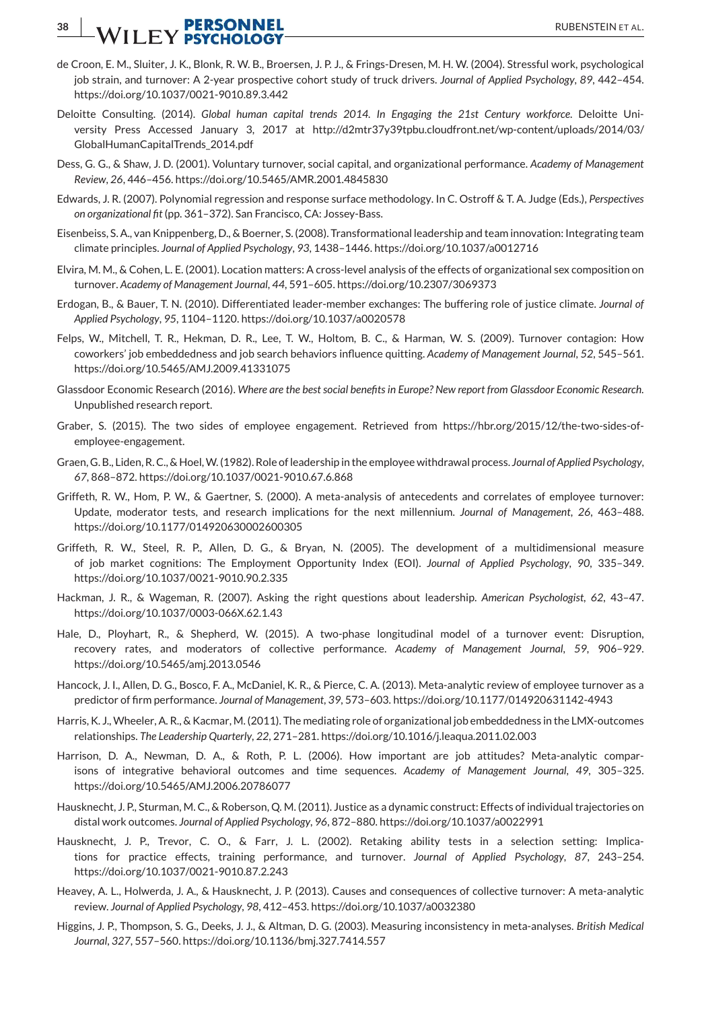# **38** RUBENSTEIN ET AL.

- de Croon, E. M., Sluiter, J. K., Blonk, R. W. B., Broersen, J. P. J., & Frings-Dresen, M. H. W. (2004). Stressful work, psychological job strain, and turnover: A 2-year prospective cohort study of truck drivers. *Journal of Applied Psychology*, *89*, 442–454. <https://doi.org/10.1037/0021-9010.89.3.442>
- Deloitte Consulting. (2014). *Global human capital trends 2014. In Engaging the 21st Century workforce*. Deloitte University Press Accessed January 3, 2017 at [http://d2mtr37y39tpbu.cloudfront.net/wp-content/uploads/2014/03/](http://d2mtr37y39tpbu.cloudfront.net/wp-content/uploads/2014/03/GlobalHumanCapitalTrends_2014.pdf) [GlobalHumanCapitalTrends\\_2014.pdf](http://d2mtr37y39tpbu.cloudfront.net/wp-content/uploads/2014/03/GlobalHumanCapitalTrends_2014.pdf)
- Dess, G. G., & Shaw, J. D. (2001). Voluntary turnover, social capital, and organizational performance. *Academy of Management Review*, *26*, 446–456.<https://doi.org/10.5465/AMR.2001.4845830>
- Edwards, J. R. (2007). Polynomial regression and response surface methodology. In C. Ostroff & T. A. Judge (Eds.), *Perspectives on organizational fit* (pp. 361–372). San Francisco, CA: Jossey-Bass.
- Eisenbeiss, S. A., van Knippenberg, D., & Boerner, S. (2008). Transformational leadership and team innovation: Integrating team climate principles. *Journal of Applied Psychology*, *93*, 1438–1446.<https://doi.org/10.1037/a0012716>
- Elvira, M. M., & Cohen, L. E. (2001). Location matters: A cross-level analysis of the effects of organizational sex composition on turnover. *Academy of Management Journal*, *44*, 591–605.<https://doi.org/10.2307/3069373>
- Erdogan, B., & Bauer, T. N. (2010). Differentiated leader-member exchanges: The buffering role of justice climate. *Journal of Applied Psychology*, *95*, 1104–1120.<https://doi.org/10.1037/a0020578>
- Felps, W., Mitchell, T. R., Hekman, D. R., Lee, T. W., Holtom, B. C., & Harman, W. S. (2009). Turnover contagion: How coworkers' job embeddedness and job search behaviors influence quitting. *Academy of Management Journal*, *52*, 545–561. <https://doi.org/10.5465/AMJ.2009.41331075>
- Glassdoor Economic Research (2016). *Where are the best social benefits in Europe? New report from Glassdoor Economic Research*. Unpublished research report.
- Graber, S. (2015). The two sides of employee engagement. Retrieved from [https://hbr.org/2015/12/the-two-sides-of](https://hbr.org/2015/12/the-two-sides-of-employee-engagement)[employee-engagement.](https://hbr.org/2015/12/the-two-sides-of-employee-engagement)
- Graen, G. B., Liden, R. C., & Hoel,W. (1982). Role of leadership in the employee withdrawal process. *Journal of Applied Psychology*, *67*, 868–872.<https://doi.org/10.1037/0021-9010.67.6.868>
- Griffeth, R. W., Hom, P. W., & Gaertner, S. (2000). A meta-analysis of antecedents and correlates of employee turnover: Update, moderator tests, and research implications for the next millennium. *Journal of Management*, *26*, 463–488. <https://doi.org/10.1177/014920630002600305>
- Griffeth, R. W., Steel, R. P., Allen, D. G., & Bryan, N. (2005). The development of a multidimensional measure of job market cognitions: The Employment Opportunity Index (EOI). *Journal of Applied Psychology*, *90*, 335–349. <https://doi.org/10.1037/0021-9010.90.2.335>
- Hackman, J. R., & Wageman, R. (2007). Asking the right questions about leadership. *American Psychologist*, *62*, 43–47. <https://doi.org/10.1037/0003-066X.62.1.43>
- Hale, D., Ployhart, R., & Shepherd, W. (2015). A two-phase longitudinal model of a turnover event: Disruption, recovery rates, and moderators of collective performance. *Academy of Management Journal*, *59*, 906–929. <https://doi.org/10.5465/amj.2013.0546>
- Hancock, J. I., Allen, D. G., Bosco, F. A., McDaniel, K. R., & Pierce, C. A. (2013). Meta-analytic review of employee turnover as a predictor of firm performance. *Journal of Management*, *39*, 573–603. [https://doi.org/10.1177/014920631142-4943](https://doi.org/10.1177/0149206311424943)
- Harris, K. J.,Wheeler, A. R., & Kacmar, M. (2011). The mediating role of organizational job embeddedness in the LMX-outcomes relationships. *The Leadership Quarterly*, *22*, 271–281.<https://doi.org/10.1016/j.leaqua.2011.02.003>
- Harrison, D. A., Newman, D. A., & Roth, P. L. (2006). How important are job attitudes? Meta-analytic comparisons of integrative behavioral outcomes and time sequences. *Academy of Management Journal*, *49*, 305–325. <https://doi.org/10.5465/AMJ.2006.20786077>
- Hausknecht, J. P., Sturman, M. C., & Roberson, Q. M. (2011). Justice as a dynamic construct: Effects of individual trajectories on distal work outcomes. *Journal of Applied Psychology*, *96*, 872–880.<https://doi.org/10.1037/a0022991>
- Hausknecht, J. P., Trevor, C. O., & Farr, J. L. (2002). Retaking ability tests in a selection setting: Implications for practice effects, training performance, and turnover. *Journal of Applied Psychology*, *87*, 243–254. <https://doi.org/10.1037/0021-9010.87.2.243>
- Heavey, A. L., Holwerda, J. A., & Hausknecht, J. P. (2013). Causes and consequences of collective turnover: A meta-analytic review. *Journal of Applied Psychology*, *98*, 412–453.<https://doi.org/10.1037/a0032380>
- Higgins, J. P., Thompson, S. G., Deeks, J. J., & Altman, D. G. (2003). Measuring inconsistency in meta-analyses. *British Medical Journal*, *327*, 557–560.<https://doi.org/10.1136/bmj.327.7414.557>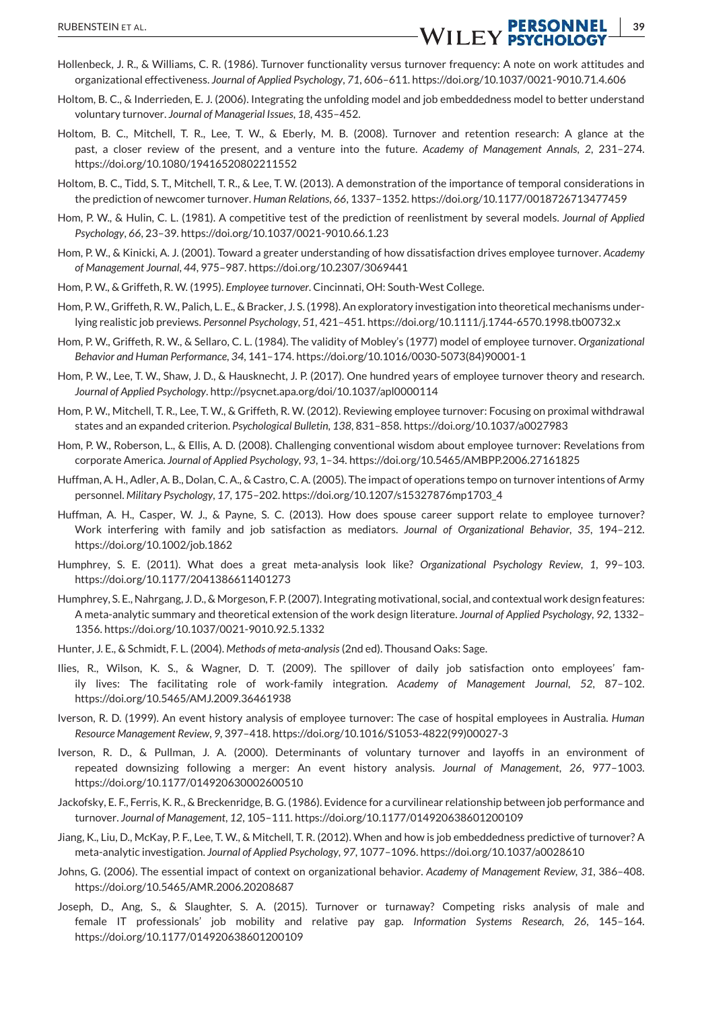

- Hollenbeck, J. R., & Williams, C. R. (1986). Turnover functionality versus turnover frequency: A note on work attitudes and organizational effectiveness. *Journal of Applied Psychology*, *71*, 606–611.<https://doi.org/10.1037/0021-9010.71.4.606>
- Holtom, B. C., & Inderrieden, E. J. (2006). Integrating the unfolding model and job embeddedness model to better understand voluntary turnover. *Journal of Managerial Issues*, *18*, 435–452.
- Holtom, B. C., Mitchell, T. R., Lee, T. W., & Eberly, M. B. (2008). Turnover and retention research: A glance at the past, a closer review of the present, and a venture into the future. *Academy of Management Annals*, *2*, 231–274. <https://doi.org/10.1080/19416520802211552>
- Holtom, B. C., Tidd, S. T., Mitchell, T. R., & Lee, T. W. (2013). A demonstration of the importance of temporal considerations in the prediction of newcomer turnover. *Human Relations*, *66*, 1337–1352.<https://doi.org/10.1177/0018726713477459>
- Hom, P. W., & Hulin, C. L. (1981). A competitive test of the prediction of reenlistment by several models. *Journal of Applied Psychology*, *66*, 23–39.<https://doi.org/10.1037/0021-9010.66.1.23>
- Hom, P. W., & Kinicki, A. J. (2001). Toward a greater understanding of how dissatisfaction drives employee turnover. *Academy of Management Journal*, *44*, 975–987.<https://doi.org/10.2307/3069441>
- Hom, P. W., & Griffeth, R. W. (1995). *Employee turnover*. Cincinnati, OH: South-West College.
- Hom, P. W., Griffeth, R. W., Palich, L. E., & Bracker, J. S. (1998). An exploratory investigation into theoretical mechanisms underlying realistic job previews. *Personnel Psychology*, *51*, 421–451.<https://doi.org/10.1111/j.1744-6570.1998.tb00732.x>
- Hom, P. W., Griffeth, R. W., & Sellaro, C. L. (1984). The validity of Mobley's (1977) model of employee turnover. *Organizational Behavior and Human Performance*, *34*, 141–174. [https://doi.org/10.1016/0030-5073\(84\)90001-1](https://doi.org/10.1016/0030-5073\05084\05190001-1)
- Hom, P. W., Lee, T. W., Shaw, J. D., & Hausknecht, J. P. (2017). One hundred years of employee turnover theory and research. *Journal of Applied Psychology*.<http://psycnet.apa.org/doi/10.1037/apl0000114>
- Hom, P. W., Mitchell, T. R., Lee, T. W., & Griffeth, R. W. (2012). Reviewing employee turnover: Focusing on proximal withdrawal states and an expanded criterion. *Psychological Bulletin*, *138*, 831–858.<https://doi.org/10.1037/a0027983>
- Hom, P. W., Roberson, L., & Ellis, A. D. (2008). Challenging conventional wisdom about employee turnover: Revelations from corporate America. *Journal of Applied Psychology*, *93*, 1–34.<https://doi.org/10.5465/AMBPP.2006.27161825>
- Huffman, A. H., Adler, A. B., Dolan, C. A., & Castro, C. A. (2005). The impact of operations tempo on turnover intentions of Army personnel. *Military Psychology*, *17*, 175–202. [https://doi.org/10.1207/s15327876mp1703\\_4](https://doi.org/10.1207/s15327876mp1703_4)
- Huffman, A. H., Casper, W. J., & Payne, S. C. (2013). How does spouse career support relate to employee turnover? Work interfering with family and job satisfaction as mediators. *Journal of Organizational Behavior*, *35*, 194–212. <https://doi.org/10.1002/job.1862>
- Humphrey, S. E. (2011). What does a great meta-analysis look like? *Organizational Psychology Review*, *1*, 99–103. <https://doi.org/10.1177/2041386611401273>
- Humphrey, S. E., Nahrgang, J. D., & Morgeson, F. P. (2007). Integrating motivational, social, and contextual work design features: A meta-analytic summary and theoretical extension of the work design literature. *Journal of Applied Psychology*, *92*, 1332– 1356.<https://doi.org/10.1037/0021-9010.92.5.1332>
- Hunter, J. E., & Schmidt, F. L. (2004). *Methods of meta-analysis*(2nd ed). Thousand Oaks: Sage.
- Ilies, R., Wilson, K. S., & Wagner, D. T. (2009). The spillover of daily job satisfaction onto employees' family lives: The facilitating role of work-family integration. *Academy of Management Journal*, *52*, 87–102. <https://doi.org/10.5465/AMJ.2009.36461938>
- Iverson, R. D. (1999). An event history analysis of employee turnover: The case of hospital employees in Australia. *Human Resource Management Review*, *9*, 397–418. [https://doi.org/10.1016/S1053-4822\(99\)00027-3](https://doi.org/10.1016/S1053-4822\05099\05100027-3)
- Iverson, R. D., & Pullman, J. A. (2000). Determinants of voluntary turnover and layoffs in an environment of repeated downsizing following a merger: An event history analysis. *Journal of Management*, *26*, 977–1003. <https://doi.org/10.1177/014920630002600510>
- Jackofsky, E. F., Ferris, K. R., & Breckenridge, B. G. (1986). Evidence for a curvilinear relationship between job performance and turnover. *Journal of Management*, *12*, 105–111.<https://doi.org/10.1177/014920638601200109>
- Jiang, K., Liu, D., McKay, P. F., Lee, T. W., & Mitchell, T. R. (2012). When and how is job embeddedness predictive of turnover? A meta-analytic investigation. *Journal of Applied Psychology*, *97*, 1077–1096.<https://doi.org/10.1037/a0028610>
- Johns, G. (2006). The essential impact of context on organizational behavior. *Academy of Management Review*, *31*, 386–408. <https://doi.org/10.5465/AMR.2006.20208687>
- Joseph, D., Ang, S., & Slaughter, S. A. (2015). Turnover or turnaway? Competing risks analysis of male and female IT professionals' job mobility and relative pay gap. *Information Systems Research*, *26*, 145–164. <https://doi.org/10.1177/014920638601200109>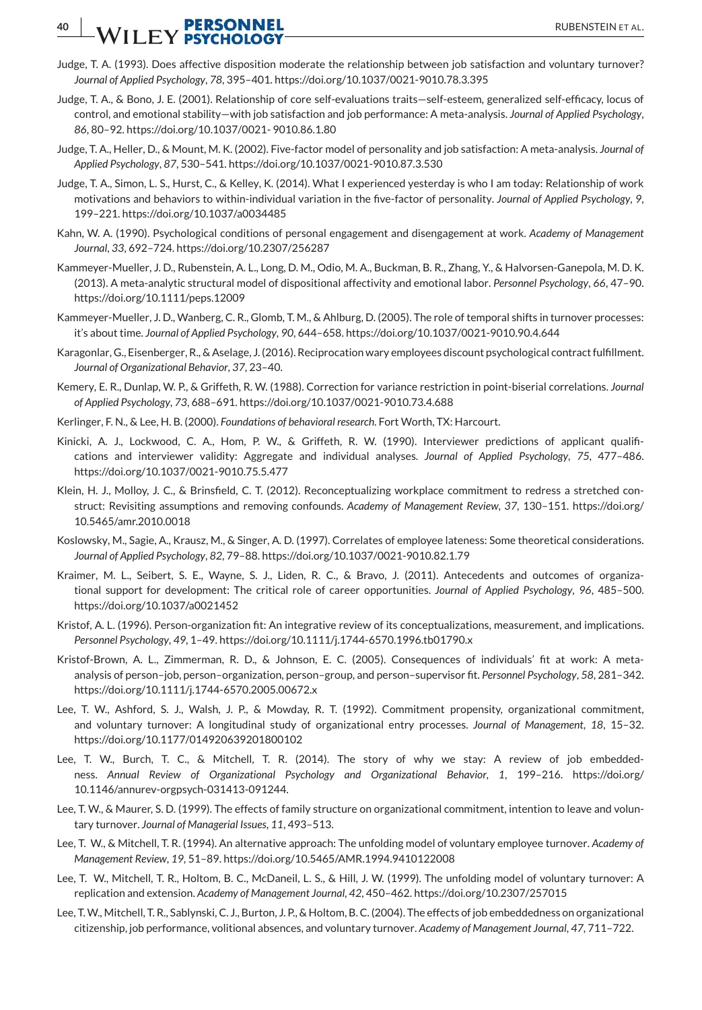# **And I RUBENSTEIN ET AL.**<br> **400 RUBENSTEIN ET AL.**<br> **400 RUBENSTEIN ET AL.**

- Judge, T. A. (1993). Does affective disposition moderate the relationship between job satisfaction and voluntary turnover? *Journal of Applied Psychology*, *78*, 395–401.<https://doi.org/10.1037/0021-9010.78.3.395>
- Judge, T. A., & Bono, J. E. (2001). Relationship of core self-evaluations traits—self-esteem, generalized self-efficacy, locus of control, and emotional stability—with job satisfaction and job performance: A meta-analysis. *Journal of Applied Psychology*, *86*, 80–92[. https://doi.org/10.1037/0021- 9010.86.1.80](https://doi.org/10.1037/0021-9010.86.1.80)
- Judge, T. A., Heller, D., & Mount, M. K. (2002). Five-factor model of personality and job satisfaction: A meta-analysis. *Journal of Applied Psychology*, *87*, 530–541.<https://doi.org/10.1037/0021-9010.87.3.530>
- Judge, T. A., Simon, L. S., Hurst, C., & Kelley, K. (2014). What I experienced yesterday is who I am today: Relationship of work motivations and behaviors to within-individual variation in the five-factor of personality. *Journal of Applied Psychology*, *9*, 199–221[. https://doi.org/10.1037/a0034485](https://doi.org/10.1037/a0034485)
- Kahn, W. A. (1990). Psychological conditions of personal engagement and disengagement at work. *Academy of Management Journal*, *33*, 692–724.<https://doi.org/10.2307/256287>
- Kammeyer-Mueller, J. D., Rubenstein, A. L., Long, D. M., Odio, M. A., Buckman, B. R., Zhang, Y., & Halvorsen-Ganepola, M. D. K. (2013). A meta-analytic structural model of dispositional affectivity and emotional labor. *Personnel Psychology*, *66*, 47–90. <https://doi.org/10.1111/peps.12009>
- Kammeyer-Mueller, J. D., Wanberg, C. R., Glomb, T. M., & Ahlburg, D. (2005). The role of temporal shifts in turnover processes: it's about time. *Journal of Applied Psychology*, *90*, 644–658.<https://doi.org/10.1037/0021-9010.90.4.644>
- Karagonlar, G., Eisenberger, R., & Aselage, J. (2016). Reciprocation wary employees discount psychological contract fulfillment. *Journal of Organizational Behavior*, *37*, 23–40.
- Kemery, E. R., Dunlap, W. P., & Griffeth, R. W. (1988). Correction for variance restriction in point-biserial correlations. *Journal of Applied Psychology*, *73*, 688–691[. https://doi.org/10.1037/0021-9010.73.4.688](https://doi.org/10.1037/0021-9010.73.4.688)
- Kerlinger, F. N., & Lee, H. B. (2000). *Foundations of behavioral research*. Fort Worth, TX: Harcourt.
- Kinicki, A. J., Lockwood, C. A., Hom, P. W., & Griffeth, R. W. (1990). Interviewer predictions of applicant qualifications and interviewer validity: Aggregate and individual analyses. *Journal of Applied Psychology*, *75*, 477–486. <https://doi.org/10.1037/0021-9010.75.5.477>
- Klein, H. J., Molloy, J. C., & Brinsfield, C. T. (2012). Reconceptualizing workplace commitment to redress a stretched construct: Revisiting assumptions and removing confounds. *Academy of Management Review*, *37*, 130–151. [https://doi.org/](https://doi.org/10.5465/amr.2010.0018) [10.5465/amr.2010.0018](https://doi.org/10.5465/amr.2010.0018)
- Koslowsky, M., Sagie, A., Krausz, M., & Singer, A. D. (1997). Correlates of employee lateness: Some theoretical considerations. *Journal of Applied Psychology*, *82*, 79–88.<https://doi.org/10.1037/0021-9010.82.1.79>
- Kraimer, M. L., Seibert, S. E., Wayne, S. J., Liden, R. C., & Bravo, J. (2011). Antecedents and outcomes of organizational support for development: The critical role of career opportunities. *Journal of Applied Psychology*, *96*, 485–500. <https://doi.org/10.1037/a0021452>
- Kristof, A. L. (1996). Person-organization fit: An integrative review of its conceptualizations, measurement, and implications. *Personnel Psychology*, *49*, 1–49.<https://doi.org/10.1111/j.1744-6570.1996.tb01790.x>
- Kristof-Brown, A. L., Zimmerman, R. D., & Johnson, E. C. (2005). Consequences of individuals' fit at work: A metaanalysis of person–job, person–organization, person–group, and person–supervisor fit. *Personnel Psychology*, *58*, 281–342. <https://doi.org/10.1111/j.1744-6570.2005.00672.x>
- Lee, T. W., Ashford, S. J., Walsh, J. P., & Mowday, R. T. (1992). Commitment propensity, organizational commitment, and voluntary turnover: A longitudinal study of organizational entry processes. *Journal of Management*, *18*, 15–32. <https://doi.org/10.1177/014920639201800102>
- Lee, T. W., Burch, T. C., & Mitchell, T. R. (2014). The story of why we stay: A review of job embeddedness. *Annual Review of Organizational Psychology and Organizational Behavior*, *1*, 199–216. [https://doi.org/](https://doi.org/10.1146/annurev-orgpsych-031413-091244) [10.1146/annurev-orgpsych-031413-091244.](https://doi.org/10.1146/annurev-orgpsych-031413-091244)
- Lee, T. W., & Maurer, S. D. (1999). The effects of family structure on organizational commitment, intention to leave and voluntary turnover. *Journal of Managerial Issues*, *11*, 493–513.
- Lee, T. W., & Mitchell, T. R. (1994). An alternative approach: The unfolding model of voluntary employee turnover. *Academy of Management Review*, *19*, 51–89[. https://doi.org/10.5465/AMR.1994.9410122008](https://doi.org/10.5465/AMR.1994.9410122008)
- Lee, T. W., Mitchell, T. R., Holtom, B. C., McDaneil, L. S., & Hill, J. W. (1999). The unfolding model of voluntary turnover: A replication and extension. *Academy of Management Journal*, *42*, 450–462.<https://doi.org/10.2307/257015>
- Lee, T.W., Mitchell, T. R., Sablynski, C. J., Burton, J. P., & Holtom, B. C. (2004). The effects of job embeddedness on organizational citizenship, job performance, volitional absences, and voluntary turnover. *Academy of Management Journal*, *47*, 711–722.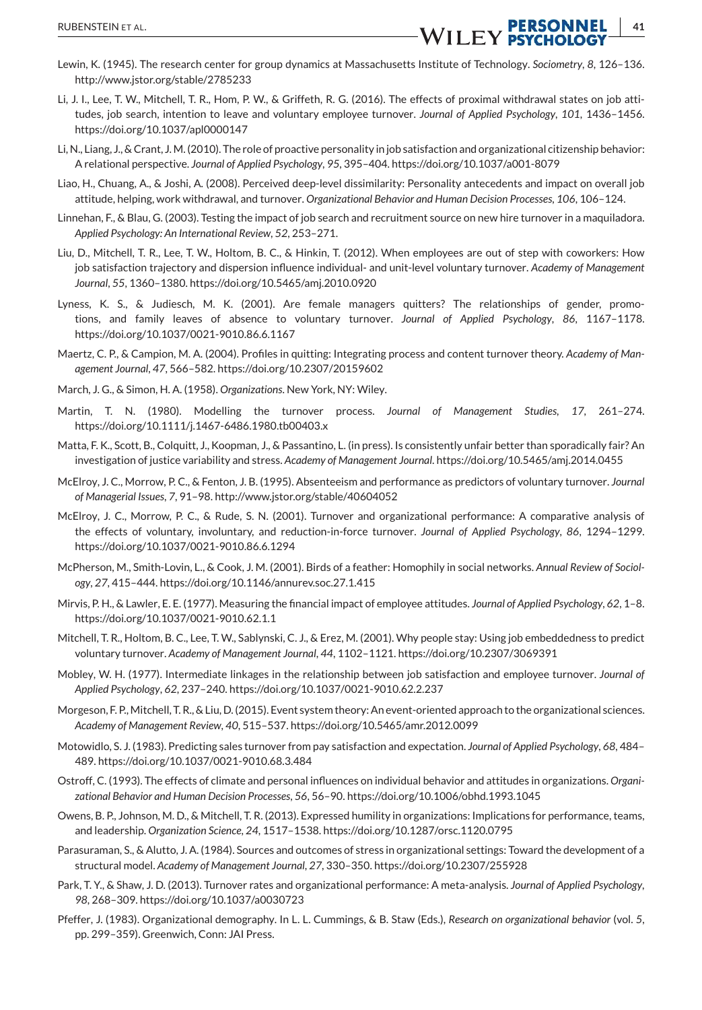

- Lewin, K. (1945). The research center for group dynamics at Massachusetts Institute of Technology. *Sociometry*, *8*, 126–136. <http://www.jstor.org/stable/2785233>
- Li, J. I., Lee, T. W., Mitchell, T. R., Hom, P. W., & Griffeth, R. G. (2016). The effects of proximal withdrawal states on job attitudes, job search, intention to leave and voluntary employee turnover. *Journal of Applied Psychology*, *101*, 1436–1456. <https://doi.org/10.1037/apl0000147>
- Li, N., Liang, J., & Crant, J. M. (2010). The role of proactive personality in job satisfaction and organizational citizenship behavior: A relational perspective. *Journal of Applied Psychology*, *95*, 395–404. [https://doi.org/10.1037/a001-8079](https://doi.org/10.1037/a0018079)
- Liao, H., Chuang, A., & Joshi, A. (2008). Perceived deep-level dissimilarity: Personality antecedents and impact on overall job attitude, helping, work withdrawal, and turnover. *Organizational Behavior and Human Decision Processes*, *106*, 106–124.
- Linnehan, F., & Blau, G. (2003). Testing the impact of job search and recruitment source on new hire turnover in a maquiladora. *Applied Psychology: An International Review*, *52*, 253–271.
- Liu, D., Mitchell, T. R., Lee, T. W., Holtom, B. C., & Hinkin, T. (2012). When employees are out of step with coworkers: How job satisfaction trajectory and dispersion influence individual- and unit-level voluntary turnover. *Academy of Management Journal*, *55*, 1360–1380.<https://doi.org/10.5465/amj.2010.0920>
- Lyness, K. S., & Judiesch, M. K. (2001). Are female managers quitters? The relationships of gender, promotions, and family leaves of absence to voluntary turnover. *Journal of Applied Psychology*, *86*, 1167–1178. <https://doi.org/10.1037/0021-9010.86.6.1167>
- Maertz, C. P., & Campion, M. A. (2004). Profiles in quitting: Integrating process and content turnover theory. *Academy of Management Journal*, *47*, 566–582.<https://doi.org/10.2307/20159602>
- March, J. G., & Simon, H. A. (1958). *Organizations*. New York, NY: Wiley.
- Martin, T. N. (1980). Modelling the turnover process. *Journal of Management Studies*, *17*, 261–274. <https://doi.org/10.1111/j.1467-6486.1980.tb00403.x>
- Matta, F. K., Scott, B., Colquitt, J., Koopman, J., & Passantino, L. (in press). Is consistently unfair better than sporadically fair? An investigation of justice variability and stress. *Academy of Management Journal*.<https://doi.org/10.5465/amj.2014.0455>
- McElroy, J. C., Morrow, P. C., & Fenton, J. B. (1995). Absenteeism and performance as predictors of voluntary turnover. *Journal of Managerial Issues*, *7*, 91–98.<http://www.jstor.org/stable/40604052>
- McElroy, J. C., Morrow, P. C., & Rude, S. N. (2001). Turnover and organizational performance: A comparative analysis of the effects of voluntary, involuntary, and reduction-in-force turnover. *Journal of Applied Psychology*, *86*, 1294–1299. <https://doi.org/10.1037/0021-9010.86.6.1294>
- McPherson, M., Smith-Lovin, L., & Cook, J. M. (2001). Birds of a feather: Homophily in social networks. *Annual Review of Sociology*, *27*, 415–444.<https://doi.org/10.1146/annurev.soc.27.1.415>
- Mirvis, P. H., & Lawler, E. E. (1977). Measuring the financial impact of employee attitudes. *Journal of Applied Psychology*, *62*, 1–8. <https://doi.org/10.1037/0021-9010.62.1.1>
- Mitchell, T. R., Holtom, B. C., Lee, T. W., Sablynski, C. J., & Erez, M. (2001). Why people stay: Using job embeddedness to predict voluntary turnover. *Academy of Management Journal*, *44*, 1102–1121.<https://doi.org/10.2307/3069391>
- Mobley, W. H. (1977). Intermediate linkages in the relationship between job satisfaction and employee turnover. *Journal of Applied Psychology*, *62*, 237–240[. https://doi.org/10.1037/0021-9010.62.2.237](https://doi.org/10.1037/0021-9010.62.2.237)
- Morgeson, F. P.,Mitchell, T. R., & Liu, D. (2015). Event system theory: An event-oriented approach to the organizational sciences. *Academy of Management Review*, *40*, 515–537.<https://doi.org/10.5465/amr.2012.0099>
- Motowidlo, S. J. (1983). Predicting sales turnover from pay satisfaction and expectation. *Journal of Applied Psychology*, *68*, 484– 489.<https://doi.org/10.1037/0021-9010.68.3.484>
- Ostroff, C. (1993). The effects of climate and personal influences on individual behavior and attitudes in organizations. *Organizational Behavior and Human Decision Processes*, *56*, 56–90.<https://doi.org/10.1006/obhd.1993.1045>
- Owens, B. P., Johnson, M. D., & Mitchell, T. R. (2013). Expressed humility in organizations: Implications for performance, teams, and leadership. *Organization Science*, *24*, 1517–1538.<https://doi.org/10.1287/orsc.1120.0795>
- Parasuraman, S., & Alutto, J. A. (1984). Sources and outcomes of stress in organizational settings: Toward the development of a structural model. *Academy of Management Journal*, *27*, 330–350.<https://doi.org/10.2307/255928>
- Park, T. Y., & Shaw, J. D. (2013). Turnover rates and organizational performance: A meta-analysis. *Journal of Applied Psychology*, *98*, 268–309.<https://doi.org/10.1037/a0030723>
- Pfeffer, J. (1983). Organizational demography. In L. L. Cummings, & B. Staw (Eds.), *Research on organizational behavior* (vol. *5*, pp. 299–359). Greenwich, Conn: JAI Press.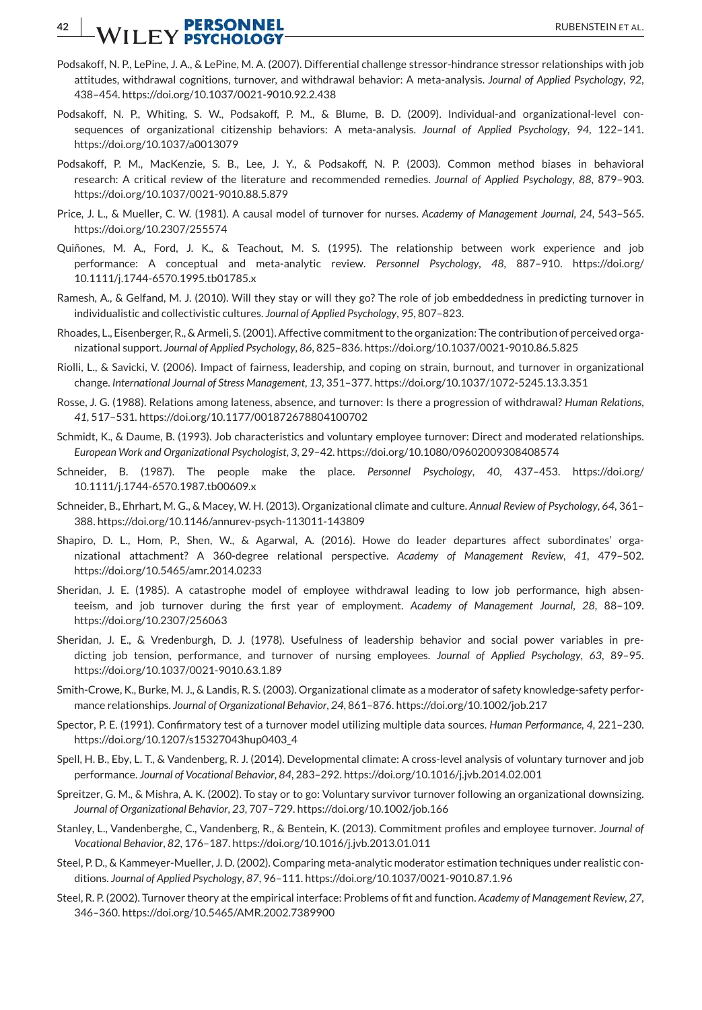# WILEY PERSONNEL<br>WILEY PSYCHOLOGY

- Podsakoff, N. P., LePine, J. A., & LePine, M. A. (2007). Differential challenge stressor-hindrance stressor relationships with job attitudes, withdrawal cognitions, turnover, and withdrawal behavior: A meta-analysis. *Journal of Applied Psychology*, *92*, 438–454[. https://doi.org/10.1037/0021-9010.92.2.438](https://doi.org/10.1037/0021-9010.92.2.438)
- Podsakoff, N. P., Whiting, S. W., Podsakoff, P. M., & Blume, B. D. (2009). Individual-and organizational-level consequences of organizational citizenship behaviors: A meta-analysis. *Journal of Applied Psychology*, *94*, 122–141. <https://doi.org/10.1037/a0013079>
- Podsakoff, P. M., MacKenzie, S. B., Lee, J. Y., & Podsakoff, N. P. (2003). Common method biases in behavioral research: A critical review of the literature and recommended remedies. *Journal of Applied Psychology*, *88*, 879–903. <https://doi.org/10.1037/0021-9010.88.5.879>
- Price, J. L., & Mueller, C. W. (1981). A causal model of turnover for nurses. *Academy of Management Journal*, *24*, 543–565. <https://doi.org/10.2307/255574>
- Quiñones, M. A., Ford, J. K., & Teachout, M. S. (1995). The relationship between work experience and job performance: A conceptual and meta-analytic review. *Personnel Psychology*, *48*, 887–910. [https://doi.org/](https://doi.org/10.1111/j.1744-6570.1995.tb01785.x) [10.1111/j.1744-6570.1995.tb01785.x](https://doi.org/10.1111/j.1744-6570.1995.tb01785.x)
- Ramesh, A., & Gelfand, M. J. (2010). Will they stay or will they go? The role of job embeddedness in predicting turnover in individualistic and collectivistic cultures. *Journal of Applied Psychology*, *95*, 807–823.
- Rhoades, L., Eisenberger, R., & Armeli, S. (2001). Affective commitment to the organization: The contribution of perceived organizational support. *Journal of Applied Psychology*, *86*, 825–836.<https://doi.org/10.1037/0021-9010.86.5.825>
- Riolli, L., & Savicki, V. (2006). Impact of fairness, leadership, and coping on strain, burnout, and turnover in organizational change. *International Journal of Stress Management*, *13*, 351–377.<https://doi.org/10.1037/1072-5245.13.3.351>
- Rosse, J. G. (1988). Relations among lateness, absence, and turnover: Is there a progression of withdrawal? *Human Relations*, *41*, 517–531.<https://doi.org/10.1177/001872678804100702>
- Schmidt, K., & Daume, B. (1993). Job characteristics and voluntary employee turnover: Direct and moderated relationships. *European Work and Organizational Psychologist*, *3*, 29–42.<https://doi.org/10.1080/09602009308408574>
- Schneider, B. (1987). The people make the place. *Personnel Psychology*, *40*, 437–453. [https://doi.org/](https://doi.org/10.1111/j.1744-6570.1987.tb00609.x) [10.1111/j.1744-6570.1987.tb00609.x](https://doi.org/10.1111/j.1744-6570.1987.tb00609.x)
- Schneider, B., Ehrhart, M. G., & Macey, W. H. (2013). Organizational climate and culture. *Annual Review of Psychology*, *64*, 361– 388.<https://doi.org/10.1146/annurev-psych-113011-143809>
- Shapiro, D. L., Hom, P., Shen, W., & Agarwal, A. (2016). Howe do leader departures affect subordinates' organizational attachment? A 360-degree relational perspective. *Academy of Management Review*, *41*, 479–502. <https://doi.org/10.5465/amr.2014.0233>
- Sheridan, J. E. (1985). A catastrophe model of employee withdrawal leading to low job performance, high absenteeism, and job turnover during the first year of employment. *Academy of Management Journal*, *28*, 88–109. <https://doi.org/10.2307/256063>
- Sheridan, J. E., & Vredenburgh, D. J. (1978). Usefulness of leadership behavior and social power variables in predicting job tension, performance, and turnover of nursing employees. *Journal of Applied Psychology*, *63*, 89–95. <https://doi.org/10.1037/0021-9010.63.1.89>
- Smith-Crowe, K., Burke, M. J., & Landis, R. S. (2003). Organizational climate as a moderator of safety knowledge-safety performance relationships. *Journal of Organizational Behavior*, *24*, 861–876.<https://doi.org/10.1002/job.217>
- Spector, P. E. (1991). Confirmatory test of a turnover model utilizing multiple data sources. *Human Performance*, *4*, 221–230. [https://doi.org/10.1207/s15327043hup0403\\_4](https://doi.org/10.1207/s15327043hup0403_4)
- Spell, H. B., Eby, L. T., & Vandenberg, R. J. (2014). Developmental climate: A cross-level analysis of voluntary turnover and job performance. *Journal of Vocational Behavior*, *84*, 283–292.<https://doi.org/10.1016/j.jvb.2014.02.001>
- Spreitzer, G. M., & Mishra, A. K. (2002). To stay or to go: Voluntary survivor turnover following an organizational downsizing. *Journal of Organizational Behavior*, *23*, 707–729.<https://doi.org/10.1002/job.166>
- Stanley, L., Vandenberghe, C., Vandenberg, R., & Bentein, K. (2013). Commitment profiles and employee turnover. *Journal of Vocational Behavior*, *82*, 176–187.<https://doi.org/10.1016/j.jvb.2013.01.011>
- Steel, P. D., & Kammeyer-Mueller, J. D. (2002). Comparing meta-analytic moderator estimation techniques under realistic conditions. *Journal of Applied Psychology*, *87*, 96–111.<https://doi.org/10.1037/0021-9010.87.1.96>
- Steel, R. P. (2002). Turnover theory at the empirical interface: Problems of fit and function. *Academy of Management Review*, *27*, 346–360[. https://doi.org/10.5465/AMR.2002.7389900](https://doi.org/10.5465/AMR.2002.7389900)